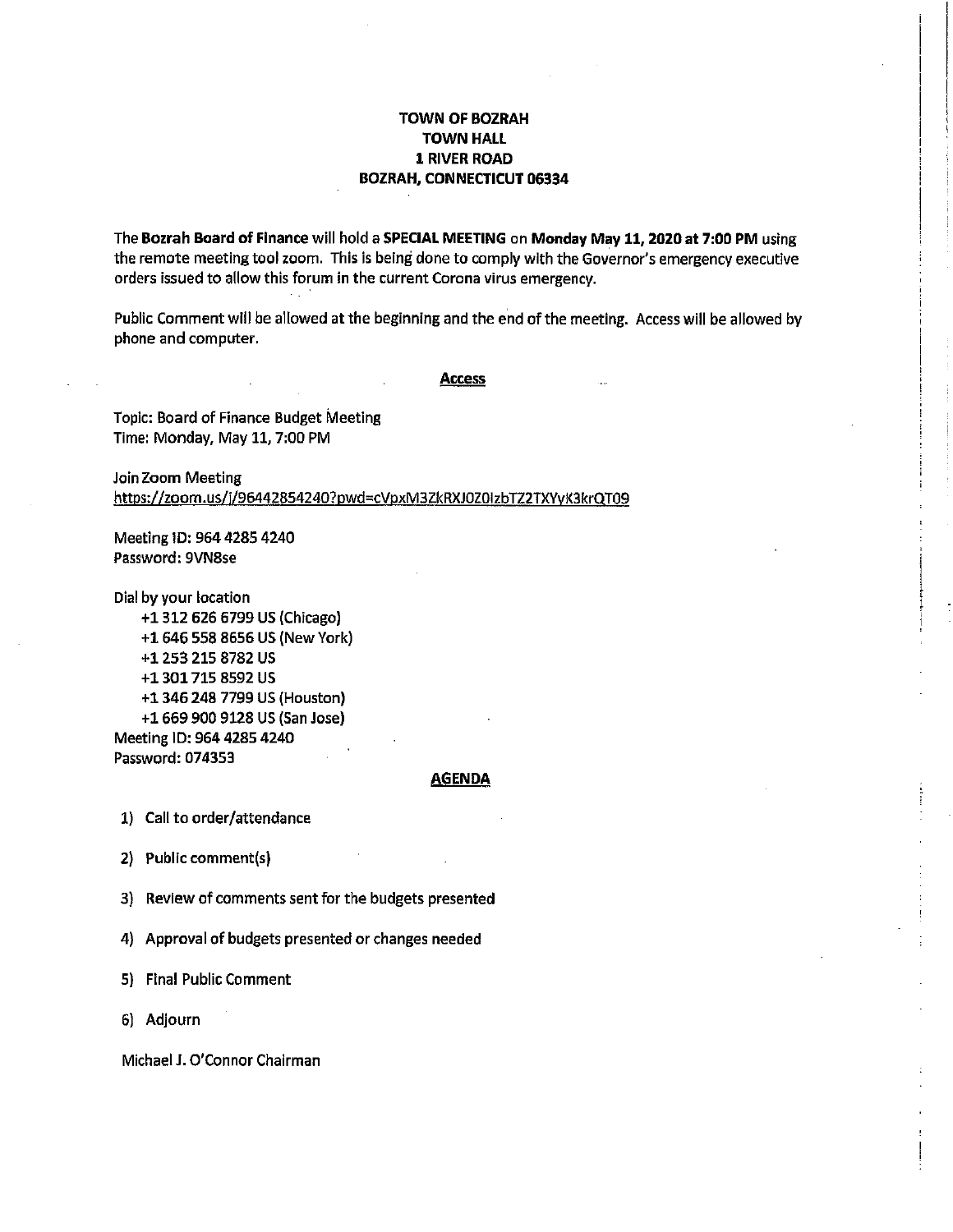#### **TOWN OF BOZRAH TOWN HALL** 1 RIVER ROAD **BOZRAH, CONNECTICUT 06334**

The Bozrah Board of Finance will hold a SPECIAL MEETING on Monday May 11, 2020 at 7:00 PM using the remote meeting tool zoom. This is being done to comply with the Governor's emergency executive orders issued to allow this forum in the current Corona virus emergency.

Public Comment will be allowed at the beginning and the end of the meeting. Access will be allowed by phone and computer.

**Access** 

Topic: Board of Finance Budget Meeting Time: Monday, May 11, 7:00 PM

Join Zoom Meeting https://zoom.us/j/96442854240?pwd=cVpxM3ZkRXJ0Z0izbTZ2TXYyK3krQT09

Meeting 1D: 964 4285 4240 Password: 9VN8se

Dial by your location

+1 312 626 6799 US (Chicago) +1 646 558 8656 US (New York) +1 253 215 8782 US +1 301 715 8592 US +1 346 248 7799 US (Houston) +1 669 900 9128 US (San Jose) Meeting ID: 964 4285 4240 Password: 074353

#### <u>AGENDA</u>

1) Call to order/attendance

2) Public comment(s)

3) Review of comments sent for the budgets presented

4) Approval of budgets presented or changes needed

5) Final Public Comment

6) Adjourn

Michael J. O'Connor Chairman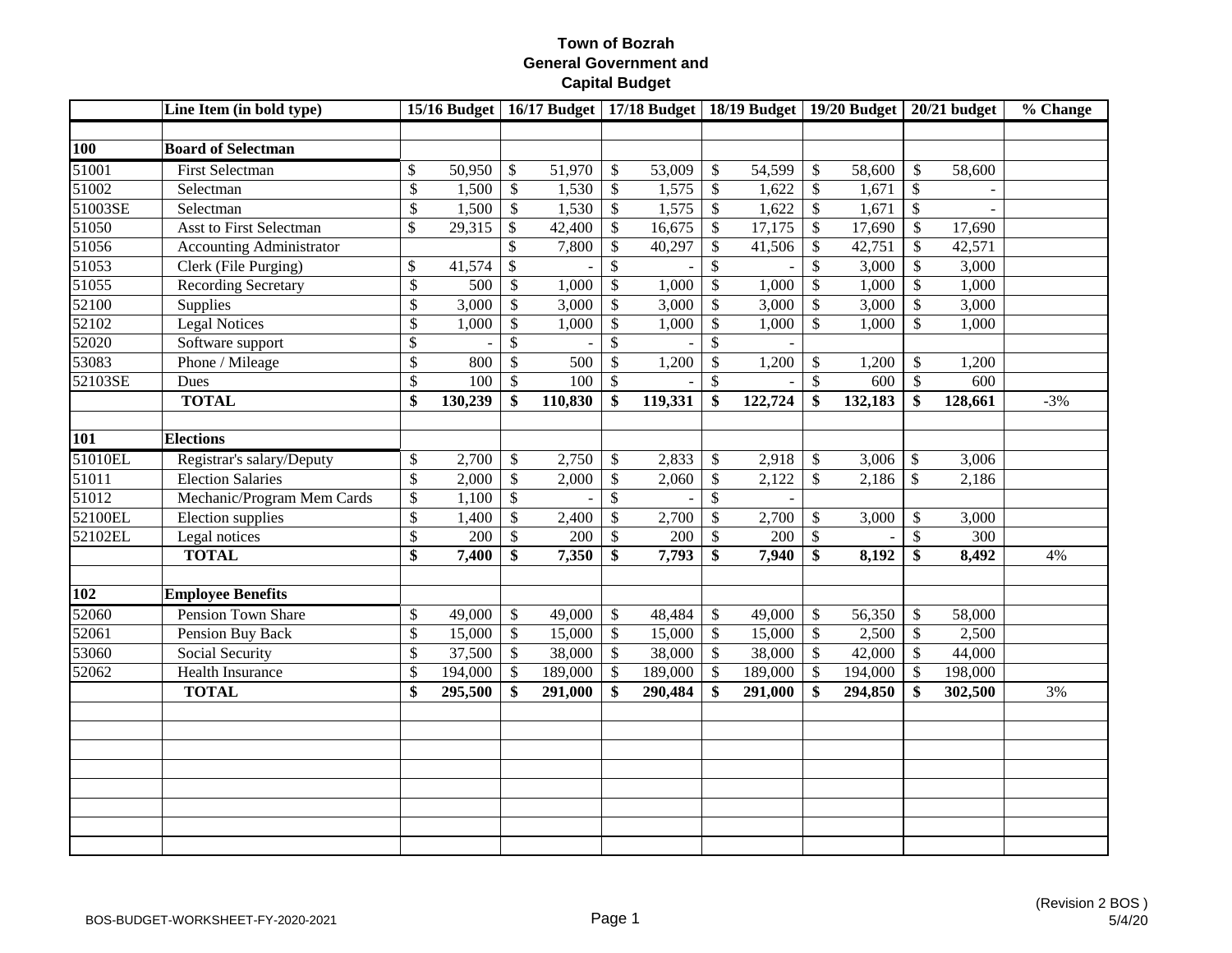|                     | Line Item (in bold type)        |              |         |                           |         |                 | 15/16 Budget   16/17 Budget   17/18 Budget   18/19 Budget   19/20 Budget |               |         |                           |                      |                           | $20/21$ budget | % Change |
|---------------------|---------------------------------|--------------|---------|---------------------------|---------|-----------------|--------------------------------------------------------------------------|---------------|---------|---------------------------|----------------------|---------------------------|----------------|----------|
|                     | <b>Board of Selectman</b>       |              |         |                           |         |                 |                                                                          |               |         |                           |                      |                           |                |          |
| <b>100</b><br>51001 | <b>First Selectman</b>          | \$           | 50,950  | $\boldsymbol{\mathsf{S}}$ | 51,970  | \$              | 53,009                                                                   | $\mathbb{S}$  | 54,599  | \$                        | 58,600               | $\mathbb{S}$              | 58,600         |          |
| 51002               | Selectman                       | \$           | 1,500   | $\boldsymbol{\mathsf{S}}$ | 1,530   | $\$$            | 1,575                                                                    | \$            | 1,622   | \$                        | 1,671                | $\mathcal{S}$             |                |          |
| 51003SE             | Selectman                       | \$           | 1,500   | $\mathbb{S}$              | 1,530   | $\$$            | 1,575                                                                    | \$            | 1,622   | $\$\,$                    | 1,671                | $\mathcal{S}$             |                |          |
| 51050               | <b>Asst to First Selectman</b>  | \$           | 29,315  | $\mathcal{S}$             | 42,400  | $\overline{\$}$ | 16,675                                                                   | $\mathcal{S}$ | 17,175  | $\overline{\$}$           | 17,690               | $\mathbb{S}$              | 17,690         |          |
| 51056               | <b>Accounting Administrator</b> |              |         | $\mathcal{S}$             | 7,800   | \$              | 40,297                                                                   | \$            | 41,506  | $\$$                      | 42,751               | \$                        | 42,571         |          |
| 51053               | Clerk (File Purging)            | \$           | 41,574  | $\mathcal{S}$             |         | \$              |                                                                          | \$            |         | $\overline{\$}$           | 3,000                | \$                        | 3,000          |          |
| 51055               | <b>Recording Secretary</b>      | \$           | 500     | $\$\,$                    | 1,000   | $\mathcal{S}$   | 1,000                                                                    | \$            | 1,000   | $\mathbb{S}$              | 1,000                | \$                        | 1,000          |          |
| 52100               | Supplies                        | $\mathbb{S}$ | 3,000   | \$                        | 3,000   | \$              | 3,000                                                                    | $\mathcal{S}$ | 3,000   | $\mathcal{S}$             | 3,000                | \$                        | 3,000          |          |
| 52102               | <b>Legal Notices</b>            | $\$$         | 1,000   | $\mathcal{S}$             | 1,000   | \$              | 1,000                                                                    | $\mathcal{S}$ | 1,000   | $\mathbb{S}$              | 1,000                | $\mathbb{S}$              | 1,000          |          |
| 52020               | Software support                | \$           |         | \$                        |         | \$              |                                                                          | $\mathcal{S}$ |         |                           |                      |                           |                |          |
| 53083               | Phone / Mileage                 | \$           | 800     | \$                        | 500     | \$              | 1,200                                                                    | \$            | 1,200   | \$                        | 1,200                | \$                        | 1,200          |          |
| 52103SE             | Dues                            | \$           | 100     | $\mathsf{\$}$             | 100     | \$              |                                                                          | \$            |         | $\mathbb{S}$              | 600                  | $\mathbb{S}$              | 600            |          |
|                     | <b>TOTAL</b>                    | \$           | 130,239 | \$                        | 110,830 | \$              | 119,331                                                                  | \$            | 122,724 | \$                        | $\overline{132,183}$ | \$                        | 128,661        | $-3%$    |
|                     |                                 |              |         |                           |         |                 |                                                                          |               |         |                           |                      |                           |                |          |
| 101                 | <b>Elections</b>                |              |         |                           |         |                 |                                                                          |               |         |                           |                      |                           |                |          |
| 51010EL             | Registrar's salary/Deputy       | \$           | 2,700   | \$                        | 2,750   | \$              | 2,833                                                                    | \$            | 2,918   | \$                        | 3,006                | \$                        | 3,006          |          |
| 51011               | <b>Election Salaries</b>        | $\mathbb{S}$ | 2,000   | \$                        | 2,000   | \$              | 2,060                                                                    | \$            | 2,122   | $\mathbb{S}$              | 2,186                | $\boldsymbol{\mathsf{S}}$ | 2,186          |          |
| 51012               | Mechanic/Program Mem Cards      | \$           | 1,100   | $\mathcal{S}$             |         | $\mathbb{S}$    |                                                                          | $\mathbb{S}$  |         |                           |                      |                           |                |          |
| 52100EL             | Election supplies               | $\$$         | 1,400   | $\$\,$                    | 2,400   | $\mathcal{S}$   | 2,700                                                                    | $\mathcal{S}$ | 2,700   | $\mathcal{S}$             | 3,000                | \$                        | 3,000          |          |
| 52102EL             | Legal notices                   | $\$$         | 200     | $\$$                      | 200     | \$              | 200                                                                      | $\mathsf{\$}$ | 200     | $\boldsymbol{\mathsf{S}}$ |                      | \$                        | 300            |          |
|                     | <b>TOTAL</b>                    | \$           | 7,400   | \$                        | 7,350   | \$              | 7,793                                                                    | \$            | 7,940   | \$                        | 8,192                | \$                        | 8,492          | 4%       |
|                     |                                 |              |         |                           |         |                 |                                                                          |               |         |                           |                      |                           |                |          |
| <b>102</b>          | <b>Employee Benefits</b>        |              |         |                           |         |                 |                                                                          |               |         |                           |                      |                           |                |          |
| 52060               | <b>Pension Town Share</b>       | \$           | 49,000  | \$                        | 49,000  | \$              | 48,484                                                                   | \$            | 49,000  | \$                        | 56,350               | \$                        | 58,000         |          |
| 52061               | Pension Buy Back                | \$           | 15,000  | $\mathbb{S}$              | 15,000  | $\$$            | 15,000                                                                   | $\$\,$        | 15,000  | $\boldsymbol{\mathsf{S}}$ | 2,500                | $\mathsf{\$}$             | 2,500          |          |
| 53060               | Social Security                 | \$           | 37,500  | $\overline{\mathcal{S}}$  | 38,000  | \$              | 38,000                                                                   | \$            | 38,000  | $\mathcal{S}$             | 42,000               | $\mathcal{S}$             | 44,000         |          |
| 52062               | <b>Health Insurance</b>         | \$           | 194,000 | \$                        | 189,000 | \$              | 189,000                                                                  | \$            | 189,000 | \$                        | 194,000              | \$                        | 198,000        |          |
|                     | <b>TOTAL</b>                    | \$           | 295,500 | \$                        | 291,000 | \$              | 290,484                                                                  | \$            | 291,000 | \$                        | 294,850              | \$                        | 302,500        | 3%       |
|                     |                                 |              |         |                           |         |                 |                                                                          |               |         |                           |                      |                           |                |          |
|                     |                                 |              |         |                           |         |                 |                                                                          |               |         |                           |                      |                           |                |          |
|                     |                                 |              |         |                           |         |                 |                                                                          |               |         |                           |                      |                           |                |          |
|                     |                                 |              |         |                           |         |                 |                                                                          |               |         |                           |                      |                           |                |          |
|                     |                                 |              |         |                           |         |                 |                                                                          |               |         |                           |                      |                           |                |          |
|                     |                                 |              |         |                           |         |                 |                                                                          |               |         |                           |                      |                           |                |          |
|                     |                                 |              |         |                           |         |                 |                                                                          |               |         |                           |                      |                           |                |          |
|                     |                                 |              |         |                           |         |                 |                                                                          |               |         |                           |                      |                           |                |          |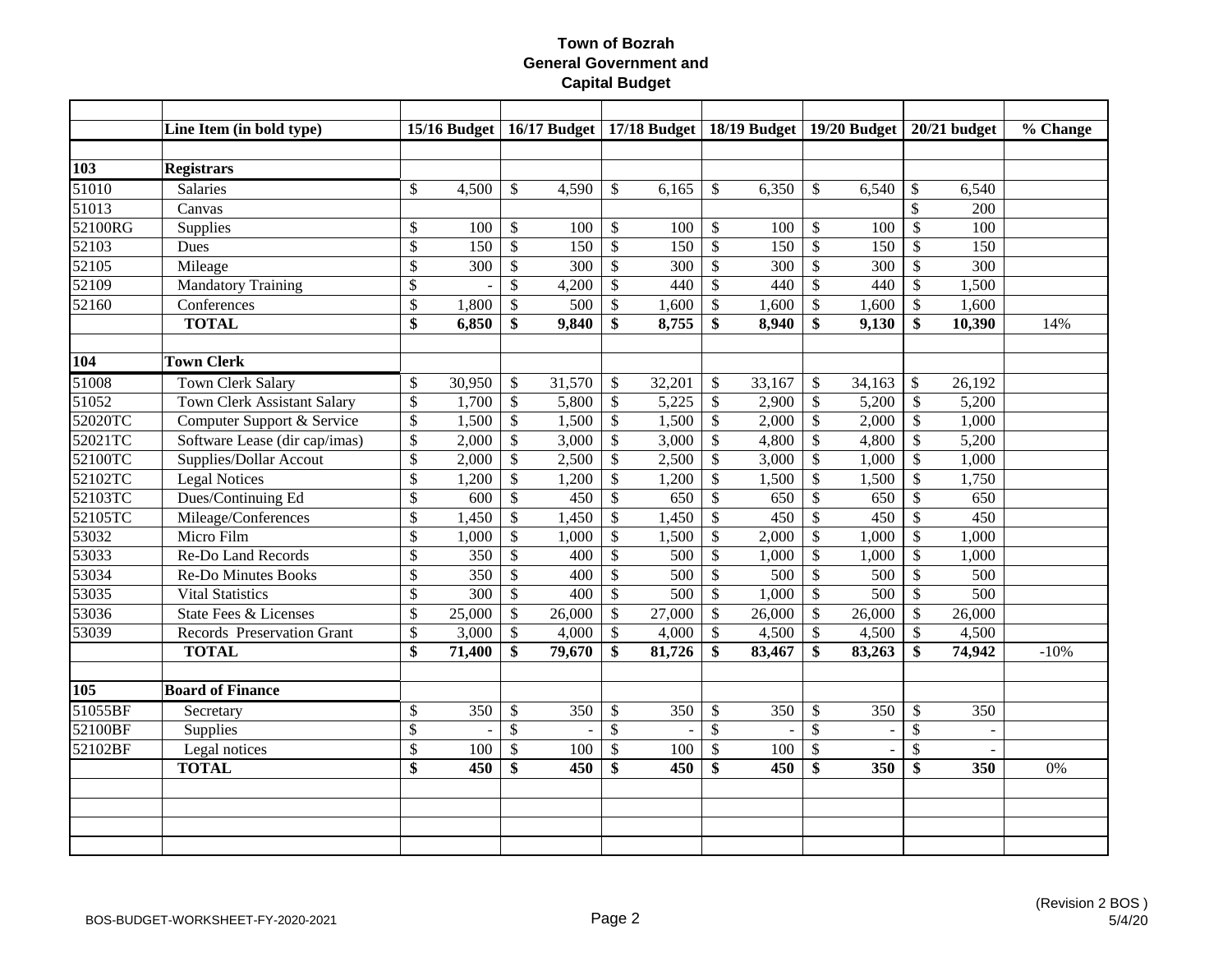|         | Line Item (in bold type)           |                          |                  |                           |        |                          |        |                           | 15/16 Budget   16/17 Budget   17/18 Budget   18/19 Budget   19/20 Budget   20/21 budget |                           |                |                           |        | % Change |
|---------|------------------------------------|--------------------------|------------------|---------------------------|--------|--------------------------|--------|---------------------------|-----------------------------------------------------------------------------------------|---------------------------|----------------|---------------------------|--------|----------|
|         |                                    |                          |                  |                           |        |                          |        |                           |                                                                                         |                           |                |                           |        |          |
| 103     | <b>Registrars</b>                  |                          |                  |                           |        |                          |        |                           |                                                                                         |                           |                |                           |        |          |
| 51010   | Salaries                           | $\$$                     | 4,500            | \$                        | 4,590  | \$                       | 6,165  | \$                        | 6,350                                                                                   | \$                        | 6,540          | \$                        | 6,540  |          |
| 51013   | Canvas                             |                          |                  |                           |        |                          |        |                           |                                                                                         |                           |                | $\mathbb{S}$              | 200    |          |
| 52100RG | Supplies                           | $\$$                     | 100              | $\$\,$                    | 100    | $\$$                     | 100    | $\boldsymbol{\mathsf{S}}$ | 100                                                                                     | $\boldsymbol{\mathsf{S}}$ | 100            | $\mathcal{S}$             | 100    |          |
| 52103   | Dues                               | $\overline{\$}$          | 150              | $\mathbb{S}$              | 150    | $\overline{\$}$          | 150    | $\mathcal{S}$             | 150                                                                                     | $\mathcal{S}$             | 150            | $\mathcal{S}$             | 150    |          |
| 52105   | Mileage                            | $\$$                     | 300              | $\mathbb{S}$              | 300    | $\mathbb{S}$             | 300    | $\mathcal{S}$             | 300                                                                                     | $\mathcal{S}$             | 300            | $\boldsymbol{\mathsf{S}}$ | 300    |          |
| 52109   | <b>Mandatory Training</b>          | \$                       |                  | \$                        | 4,200  | $\mathbb{S}$             | 440    | $\mathcal{S}$             | 440                                                                                     | $\sqrt{3}$                | 440            | \$                        | 1,500  |          |
| 52160   | Conferences                        | $\$$                     | 1,800            | \$                        | 500    | \$                       | 1,600  | \$                        | 1,600                                                                                   | $\sqrt{3}$                | 1,600          | \$                        | 1,600  |          |
|         | <b>TOTAL</b>                       | $\overline{\$}$          | 6,850            | \$                        | 9,840  | \$                       | 8,755  | \$                        | 8,940                                                                                   | \$                        | 9,130          | \$                        | 10,390 | 14%      |
|         |                                    |                          |                  |                           |        |                          |        |                           |                                                                                         |                           |                |                           |        |          |
| 104     | <b>Town Clerk</b>                  |                          |                  |                           |        |                          |        |                           |                                                                                         |                           |                |                           |        |          |
| 51008   | Town Clerk Salary                  | \$                       | 30,950           | \$                        | 31,570 | \$                       | 32,201 | \$                        | 33,167                                                                                  | $\mathcal{S}$             | 34,163         | \$                        | 26,192 |          |
| 51052   | <b>Town Clerk Assistant Salary</b> | $\overline{\mathcal{S}}$ | 1,700            | $\overline{\mathcal{L}}$  | 5,800  | $\mathbb{S}$             | 5,225  | $\boldsymbol{\mathsf{S}}$ | 2,900                                                                                   | $\mathcal{S}$             | 5,200          | $\boldsymbol{\mathsf{S}}$ | 5,200  |          |
| 52020TC | Computer Support & Service         | $\$$                     | 1,500            | $\boldsymbol{\mathsf{S}}$ | 1,500  | \$                       | 1,500  | $\mathcal{S}$             | 2,000                                                                                   | $\sqrt{3}$                | 2,000          | $\mathcal{S}$             | 1,000  |          |
| 52021TC | Software Lease (dir cap/imas)      | $\$$                     | 2,000            | \$                        | 3,000  | \$                       | 3,000  | $\mathcal{S}$             | 4,800                                                                                   | $\boldsymbol{\mathsf{S}}$ | 4,800          | $\mathcal{S}$             | 5,200  |          |
| 52100TC | <b>Supplies/Dollar Accout</b>      | \$                       | 2,000            | $\mathsf{\$}$             | 2,500  | $\mathbb{S}$             | 2,500  | $\mathcal{S}$             | 3,000                                                                                   | $\mathcal{S}$             | 1,000          | $\mathcal{S}$             | 1,000  |          |
| 52102TC | <b>Legal Notices</b>               | $\$$                     | 1,200            | $\$$                      | 1,200  | \$                       | 1,200  | $\mathcal{S}$             | 1,500                                                                                   | $\mathcal{S}$             | 1,500          | $\mathcal{S}$             | 1,750  |          |
| 52103TC | Dues/Continuing Ed                 | \$                       | 600              | $\mathcal{S}$             | 450    | \$                       | 650    | $\mathcal{S}$             | 650                                                                                     | $\sqrt{3}$                | 650            | $\mathcal{S}$             | 650    |          |
| 52105TC | Mileage/Conferences                | \$                       | 1,450            | \$                        | 1,450  | \$                       | 1,450  | $\mathcal{S}$             | 450                                                                                     | $\mathcal{S}$             | 450            | $\mathcal{S}$             | 450    |          |
| 53032   | Micro Film                         | $\$$                     | 1,000            | \$                        | 1,000  | \$                       | 1,500  | \$                        | 2,000                                                                                   | $\boldsymbol{\mathsf{S}}$ | 1,000          | \$                        | 1,000  |          |
| 53033   | Re-Do Land Records                 | $\overline{\$}$          | 350              | \$                        | 400    | \$                       | 500    | \$                        | 1,000                                                                                   | $\sqrt{3}$                | 1,000          | $\mathcal{S}$             | 1,000  |          |
| 53034   | <b>Re-Do Minutes Books</b>         | \$                       | 350              | $\$$                      | 400    | $\overline{\$}$          | 500    | $\boldsymbol{\mathsf{S}}$ | 500                                                                                     | $\sqrt{3}$                | 500            | $\mathcal{S}$             | 500    |          |
| 53035   | <b>Vital Statistics</b>            | \$                       | $\overline{300}$ | $\overline{\mathcal{S}}$  | 400    | $\overline{\mathcal{S}}$ | 500    | $\mathcal{S}$             | 1,000                                                                                   | $\sqrt[6]{\frac{1}{2}}$   | 500            | $\overline{\mathcal{S}}$  | 500    |          |
| 53036   | <b>State Fees &amp; Licenses</b>   | \$                       | 25,000           | $\$\,$                    | 26,000 | $\$$                     | 27,000 | $\mathcal{S}$             | 26,000                                                                                  | $\boldsymbol{\mathsf{S}}$ | 26,000         | $\mathcal{S}$             | 26,000 |          |
| 53039   | Records Preservation Grant         | $\overline{\$}$          | 3,000            | $\mathcal{S}$             | 4,000  | \$                       | 4,000  | $\boldsymbol{\mathsf{S}}$ | 4,500                                                                                   | $\sqrt{3}$                | 4,500          | $\mathcal{S}$             | 4,500  |          |
|         | <b>TOTAL</b>                       | \$                       | 71,400           | \$                        | 79,670 | \$                       | 81,726 | \$                        | 83,467                                                                                  | \$                        | 83,263         | $\mathbf{\$}$             | 74,942 | $-10%$   |
|         |                                    |                          |                  |                           |        |                          |        |                           |                                                                                         |                           |                |                           |        |          |
| 105     | <b>Board of Finance</b>            |                          |                  |                           |        |                          |        |                           |                                                                                         |                           |                |                           |        |          |
| 51055BF | Secretary                          | $\$$                     | 350              | $\$\,$                    | 350    | $\$$                     | 350    | $\boldsymbol{\mathsf{S}}$ | 350                                                                                     | $\boldsymbol{\mathsf{S}}$ | 350            | $\mathcal{S}$             | 350    |          |
| 52100BF | <b>Supplies</b>                    | \$                       |                  | $\mathbb{S}$              | $\sim$ | $\mathbb{S}$             |        | $\mathcal{S}$             | $\blacksquare$                                                                          | $\mathcal{S}$             | $\blacksquare$ | $\mathbb{S}$              | $\sim$ |          |
| 52102BF | Legal notices                      | \$                       | 100              | \$                        | 100    | \$                       | 100    | $\mathcal{S}$             | 100                                                                                     | \$                        |                | $\mathcal{S}$             | $\sim$ |          |
|         | <b>TOTAL</b>                       | \$                       | 450              | \$                        | 450    | \$                       | 450    | \$                        | 450                                                                                     | \$                        | 350            | \$                        | 350    | 0%       |
|         |                                    |                          |                  |                           |        |                          |        |                           |                                                                                         |                           |                |                           |        |          |
|         |                                    |                          |                  |                           |        |                          |        |                           |                                                                                         |                           |                |                           |        |          |
|         |                                    |                          |                  |                           |        |                          |        |                           |                                                                                         |                           |                |                           |        |          |
|         |                                    |                          |                  |                           |        |                          |        |                           |                                                                                         |                           |                |                           |        |          |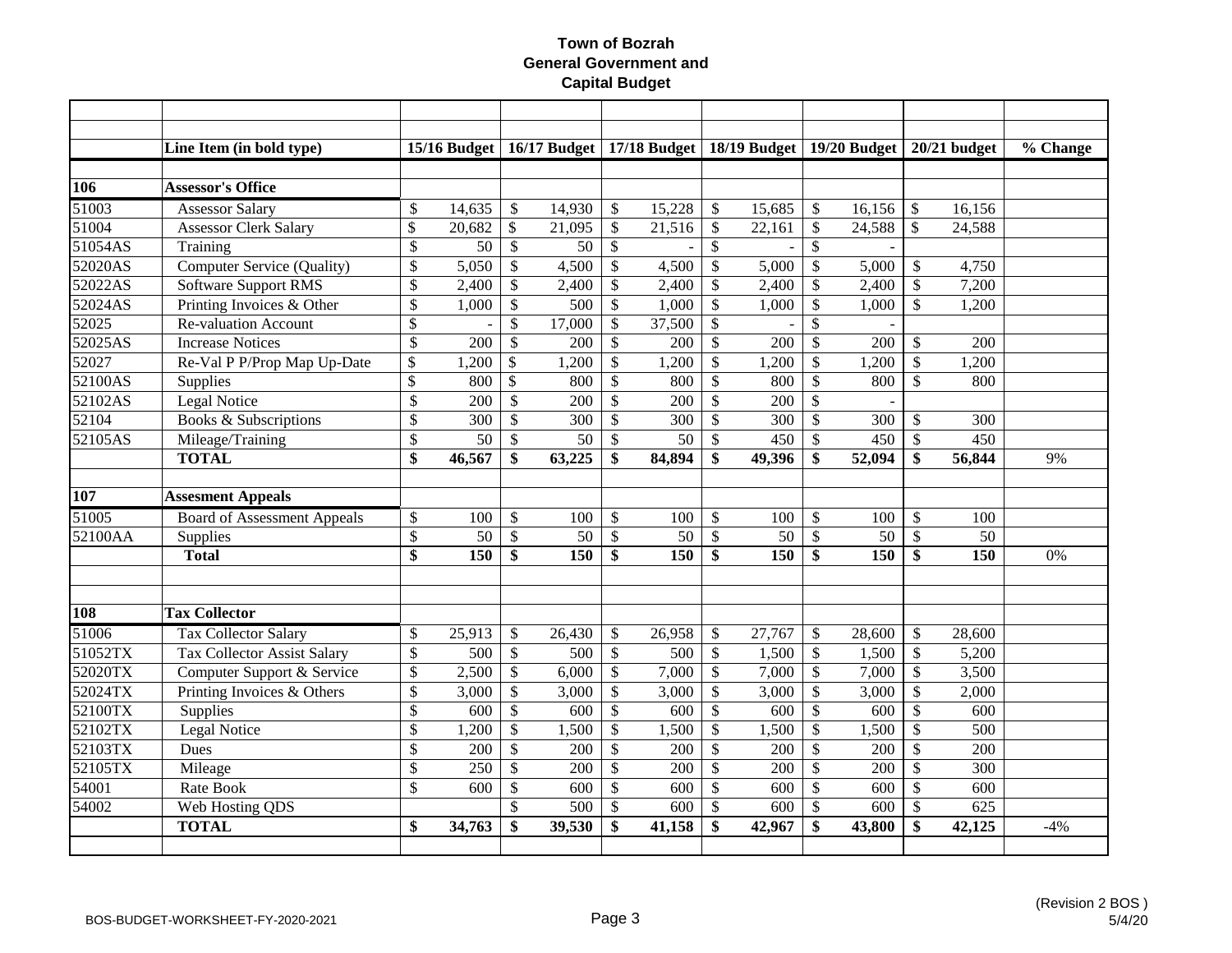|            | Line Item (in bold type)           |                           | 15/16 Budget |                          |        |                         | 16/17 Budget   17/18 Budget   18/19 Budget   19/20 Budget |                           |        |                           |        |                           | $20/21$ budget | % Change |
|------------|------------------------------------|---------------------------|--------------|--------------------------|--------|-------------------------|-----------------------------------------------------------|---------------------------|--------|---------------------------|--------|---------------------------|----------------|----------|
|            |                                    |                           |              |                          |        |                         |                                                           |                           |        |                           |        |                           |                |          |
| <b>106</b> | <b>Assessor's Office</b>           |                           |              |                          |        |                         |                                                           |                           |        |                           |        |                           |                |          |
| 51003      | <b>Assessor Salary</b>             | \$                        | 14,635       | \$                       | 14,930 | \$                      | 15,228                                                    | $\mathcal{S}$             | 15,685 | $\mathcal{S}$             | 16,156 | $\mathbb{S}$              | 16,156         |          |
| 51004      | <b>Assessor Clerk Salary</b>       | \$                        | 20,682       | $\mathbb{S}$             | 21,095 | \$                      | 21,516                                                    | $\boldsymbol{\mathsf{S}}$ | 22,161 | $\boldsymbol{\mathsf{S}}$ | 24,588 | $\mathcal{S}$             | 24,588         |          |
| 51054AS    | Training                           | \$                        | 50           | $\mathcal{S}$            | 50     | \$                      |                                                           | $\mathcal{S}$             |        | $\mathcal{S}$             |        |                           |                |          |
| 52020AS    | Computer Service (Quality)         | \$                        | 5,050        | \$                       | 4,500  | \$                      | 4,500                                                     | $\mathcal{S}$             | 5,000  | $\boldsymbol{\mathsf{S}}$ | 5,000  | $\boldsymbol{\mathsf{S}}$ | 4,750          |          |
| 52022AS    | <b>Software Support RMS</b>        | \$                        | 2,400        | \$                       | 2,400  | \$                      | 2,400                                                     | \$                        | 2,400  | $\boldsymbol{\mathsf{S}}$ | 2,400  | $\mathcal{S}$             | 7,200          |          |
| 52024AS    | Printing Invoices & Other          | \$                        | 1,000        | \$                       | 500    | \$                      | 1,000                                                     | \$                        | 1,000  | $\boldsymbol{\mathsf{S}}$ | 1,000  | $\mathcal{S}$             | 1,200          |          |
| 52025      | <b>Re-valuation Account</b>        | \$                        |              | \$                       | 17,000 | \$                      | 37,500                                                    | $\mathcal{S}$             |        | \$                        |        |                           |                |          |
| 52025AS    | <b>Increase Notices</b>            | $\overline{\$}$           | 200          | $\mathcal{S}$            | 200    | \$                      | 200                                                       | $\boldsymbol{\mathsf{S}}$ | 200    | $\mathcal{S}$             | 200    | $\mathcal{S}$             | 200            |          |
| 52027      | Re-Val P P/Prop Map Up-Date        | \$                        | 1,200        | $\mathcal{S}$            | 1,200  | \$                      | 1,200                                                     | $\boldsymbol{\mathsf{S}}$ | 1,200  | $\mathcal{S}$             | 1,200  | $\mathcal{S}$             | 1,200          |          |
| 52100AS    | Supplies                           | $\boldsymbol{\mathsf{S}}$ | 800          | $\overline{\mathcal{S}}$ | 800    | \$                      | 800                                                       | $\mathcal{S}$             | 800    | $\mathcal{S}$             | 800    | $\mathcal{S}$             | 800            |          |
| 52102AS    | Legal Notice                       | \$                        | 200          | \$                       | 200    | $\mathbb{S}$            | 200                                                       | $\mathcal{S}$             | 200    | $\boldsymbol{\mathsf{S}}$ |        |                           |                |          |
| 52104      | Books & Subscriptions              | \$                        | 300          | \$                       | 300    | \$                      | 300                                                       | $\boldsymbol{\mathsf{S}}$ | 300    | $\sqrt{3}$                | 300    | $\mathcal{S}$             | 300            |          |
| 52105AS    | Mileage/Training                   | \$                        | 50           | \$                       | 50     | \$                      | 50                                                        | $\boldsymbol{\mathsf{S}}$ | 450    | $\mathcal{S}$             | 450    | $\mathcal{S}$             | 450            |          |
|            | <b>TOTAL</b>                       | \$                        | 46,567       | \$                       | 63,225 | \$                      | 84,894                                                    | \$                        | 49,396 | \$                        | 52,094 | \$                        | 56,844         | 9%       |
|            |                                    |                           |              |                          |        |                         |                                                           |                           |        |                           |        |                           |                |          |
| 107        | <b>Assesment Appeals</b>           |                           |              |                          |        |                         |                                                           |                           |        |                           |        |                           |                |          |
| 51005      | <b>Board of Assessment Appeals</b> | \$                        | 100          | \$                       | 100    | \$                      | 100                                                       | $\boldsymbol{\mathsf{S}}$ | 100    | $\mathcal{S}$             | 100    | $\mathcal{S}$             | 100            |          |
| 52100AA    | Supplies                           | \$                        | 50           | $\mathcal{S}$            | 50     | \$                      | 50                                                        | $\boldsymbol{\mathsf{S}}$ | 50     | $\mathcal{S}$             | 50     | $\mathcal{S}$             | 50             |          |
|            | <b>Total</b>                       | $\overline{\$}$           | 150          | \$                       | 150    | $\overline{\mathbf{s}}$ | 150                                                       | \$                        | 150    | \$                        | 150    | $\mathbf{\$}$             | 150            | 0%       |
|            |                                    |                           |              |                          |        |                         |                                                           |                           |        |                           |        |                           |                |          |
|            |                                    |                           |              |                          |        |                         |                                                           |                           |        |                           |        |                           |                |          |
| 108        | <b>Tax Collector</b>               |                           |              |                          |        |                         |                                                           |                           |        |                           |        |                           |                |          |
| 51006      | <b>Tax Collector Salary</b>        | \$                        | 25,913       | $\mathcal{S}$            | 26,430 | \$                      | 26,958                                                    | \$                        | 27,767 | $\mathcal{S}$             | 28,600 | $\mathcal{S}$             | 28,600         |          |
| 51052TX    | <b>Tax Collector Assist Salary</b> | \$                        | 500          | $\mathbb{S}$             | 500    | \$                      | 500                                                       | $\mathcal{S}$             | 1,500  | $\sqrt{3}$                | 1,500  | $\mathcal{S}$             | 5,200          |          |
| 52020TX    | Computer Support & Service         | \$                        | 2,500        | \$                       | 6,000  | $\mathcal{S}$           | 7,000                                                     | $\mathcal{S}$             | 7,000  | $\sqrt{3}$                | 7,000  | $\mathcal{S}$             | 3,500          |          |
| 52024TX    | Printing Invoices & Others         | \$                        | 3,000        | \$                       | 3,000  | \$                      | 3,000                                                     | $\boldsymbol{\mathsf{S}}$ | 3,000  | $\mathcal{S}$             | 3,000  | $\boldsymbol{\mathsf{S}}$ | 2,000          |          |
| 52100TX    | Supplies                           | \$                        | 600          | \$                       | 600    | \$                      | 600                                                       | $\mathcal{S}$             | 600    | $\boldsymbol{\mathsf{S}}$ | 600    | $\mathcal{S}$             | 600            |          |
| 52102TX    | Legal Notice                       | \$                        | 1,200        | \$                       | 1,500  | \$                      | 1,500                                                     | $\boldsymbol{\mathsf{S}}$ | 1,500  | $\boldsymbol{\mathsf{S}}$ | 1,500  | $\mathcal{S}$             | 500            |          |
| 52103TX    | Dues                               | \$                        | 200          | \$                       | 200    | \$                      | 200                                                       | \$                        | 200    | $\mathcal{S}$             | 200    | $\mathcal{S}$             | 200            |          |
| 52105TX    | Mileage                            | \$                        | 250          | \$                       | 200    | \$                      | 200                                                       | $\boldsymbol{\mathsf{S}}$ | 200    | $\mathcal{S}$             | 200    | $\mathcal{S}$             | 300            |          |
| 54001      | Rate Book                          | $\mathbb{S}$              | 600          | \$                       | 600    | $\mathbb{S}$            | 600                                                       | $\mathcal{S}$             | 600    | $\sqrt{3}$                | 600    | $\mathcal{S}$             | 600            |          |
| 54002      | Web Hosting QDS                    |                           |              | \$                       | 500    | $\mathbb{S}$            | 600                                                       | $\boldsymbol{\mathsf{S}}$ | 600    | $\sqrt{3}$                | 600    | $\mathcal{S}$             | 625            |          |
|            | <b>TOTAL</b>                       | \$                        | 34,763       | \$                       | 39,530 | \$                      | 41,158                                                    | \$                        | 42,967 | \$                        | 43,800 | \$                        | 42,125         | $-4%$    |
|            |                                    |                           |              |                          |        |                         |                                                           |                           |        |                           |        |                           |                |          |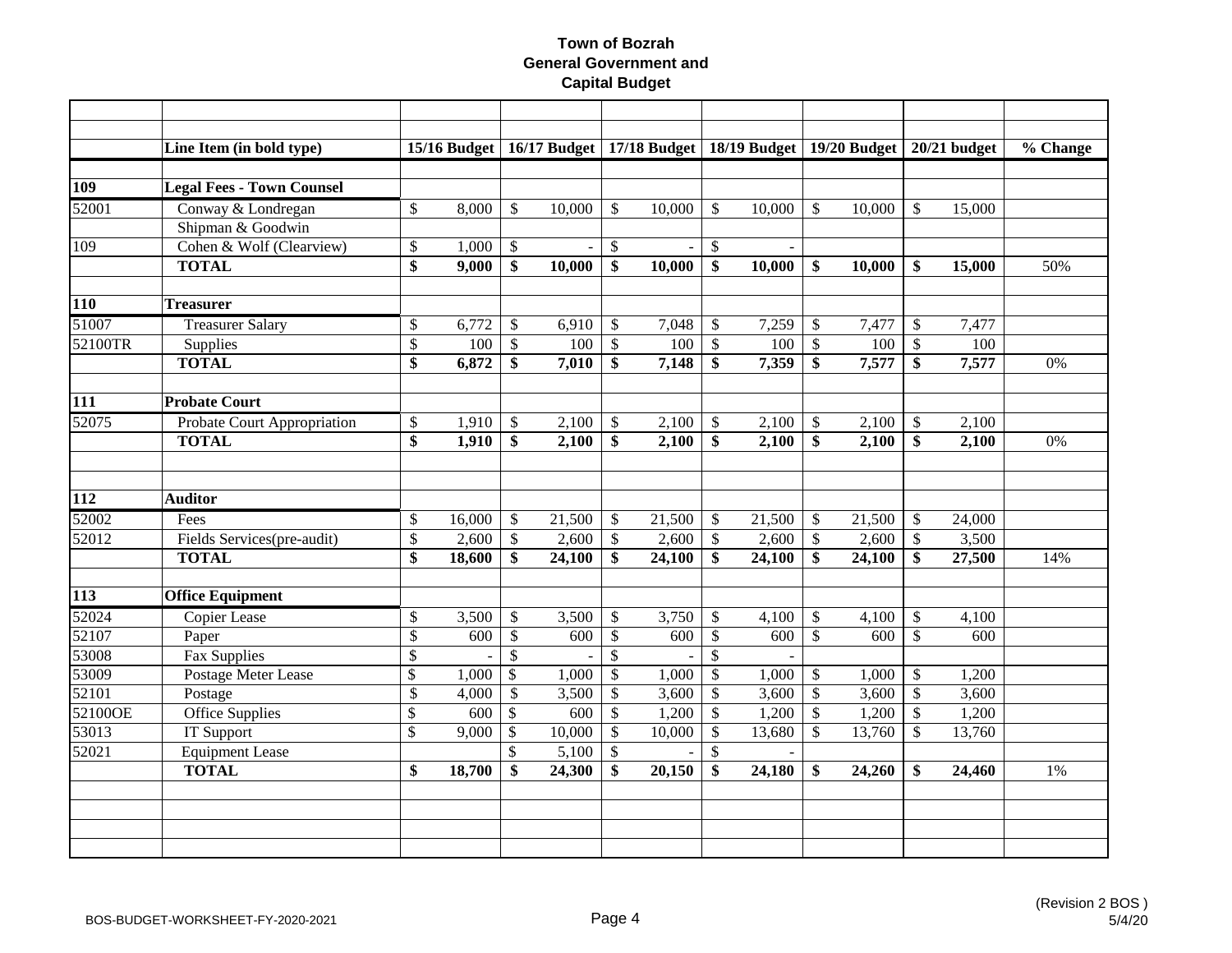|                  | Line Item (in bold type)         |                 | $15/16$ Budget     |                 |                |                           | 16/17 Budget   17/18 Budget   18/19 Budget   19/20 Budget   20/21 budget |                           |        |                           |        |                           |        | % Change |
|------------------|----------------------------------|-----------------|--------------------|-----------------|----------------|---------------------------|--------------------------------------------------------------------------|---------------------------|--------|---------------------------|--------|---------------------------|--------|----------|
| <b>109</b>       | <b>Legal Fees - Town Counsel</b> |                 |                    |                 |                |                           |                                                                          |                           |        |                           |        |                           |        |          |
| 52001            | Conway & Londregan               | \$              | 8,000              | $\mathcal{S}$   | 10,000         | $\mathbb{S}$              | 10,000                                                                   | $\mathcal{S}$             | 10,000 | $\mathcal{S}$             | 10,000 | $\mathbb{S}$              | 15,000 |          |
|                  | Shipman & Goodwin                |                 |                    |                 |                |                           |                                                                          |                           |        |                           |        |                           |        |          |
| 109              | Cohen & Wolf (Clearview)         | \$              | 1,000              | $\mathcal{S}$   | $\blacksquare$ | \$                        | $\blacksquare$                                                           | $\mathcal{S}$             |        |                           |        |                           |        |          |
|                  | <b>TOTAL</b>                     | \$              | 9,000              | \$              | 10,000         | \$                        | 10,000                                                                   | \$                        | 10,000 | -\$                       | 10,000 | -\$                       | 15,000 | 50%      |
|                  |                                  |                 |                    |                 |                |                           |                                                                          |                           |        |                           |        |                           |        |          |
| <b>110</b>       | <b>Treasurer</b>                 |                 |                    |                 |                |                           |                                                                          |                           |        |                           |        |                           |        |          |
| 51007            | <b>Treasurer Salary</b>          | \$              | 6,772              | \$              | 6,910          | \$                        | 7,048                                                                    | \$                        | 7,259  | $\boldsymbol{\mathsf{S}}$ | 7,477  | $\mathbb{S}$              | 7,477  |          |
| 52100TR          | Supplies                         | \$              | 100                | $\$$            | 100            | $\boldsymbol{\mathsf{S}}$ | 100                                                                      | $\boldsymbol{\mathsf{S}}$ | 100    | $\boldsymbol{\mathsf{S}}$ | 100    | $\mathcal{S}$             | 100    |          |
|                  | <b>TOTAL</b>                     | $\overline{\$}$ | $\overline{6,872}$ | \$              | 7,010          | \$                        | 7,148                                                                    | \$                        | 7,359  | \$                        | 7,577  | \$                        | 7,577  | 0%       |
|                  |                                  |                 |                    |                 |                |                           |                                                                          |                           |        |                           |        |                           |        |          |
| 111              | <b>Probate Court</b>             |                 |                    |                 |                |                           |                                                                          |                           |        |                           |        |                           |        |          |
| 52075            | Probate Court Appropriation      | \$              | 1,910              | $\mathbb{S}$    | 2,100          | \$                        | 2,100                                                                    | $\boldsymbol{\mathsf{S}}$ | 2,100  | $\boldsymbol{\mathsf{S}}$ | 2,100  | $\boldsymbol{\mathsf{S}}$ | 2,100  |          |
|                  | <b>TOTAL</b>                     | \$              | 1,910              | \$              | 2,100          | \$                        | 2,100                                                                    | \$                        | 2,100  | \$                        | 2,100  | $\boldsymbol{\mathsf{s}}$ | 2,100  | 0%       |
|                  |                                  |                 |                    |                 |                |                           |                                                                          |                           |        |                           |        |                           |        |          |
|                  |                                  |                 |                    |                 |                |                           |                                                                          |                           |        |                           |        |                           |        |          |
| 112              | <b>Auditor</b>                   |                 |                    |                 |                |                           |                                                                          |                           |        |                           |        |                           |        |          |
| 52002            | Fees                             | \$              | 16,000             | $\sqrt$         | 21,500         | \$                        | 21,500                                                                   | $\mathcal{S}$             | 21,500 | $\mathcal{S}$             | 21,500 | $\mathcal{S}$             | 24,000 |          |
| 52012            | Fields Services(pre-audit)       | \$              | 2,600              | $\mathcal{S}$   | 2,600          | \$                        | 2,600                                                                    | $\mathcal{S}$             | 2,600  | $\mathcal{S}$             | 2,600  | $\mathcal{S}$             | 3,500  |          |
|                  | <b>TOTAL</b>                     | \$              | 18,600             | \$              | 24,100         | \$                        | 24,100                                                                   | \$                        | 24,100 | \$                        | 24,100 | \$                        | 27,500 | 14%      |
| $\overline{113}$ | <b>Office Equipment</b>          |                 |                    |                 |                |                           |                                                                          |                           |        |                           |        |                           |        |          |
| 52024            | <b>Copier Lease</b>              | \$              | 3,500              | $\mathbb{S}$    | 3,500          | \$                        | 3,750                                                                    | $\boldsymbol{\mathsf{S}}$ | 4,100  | $\boldsymbol{\mathsf{S}}$ | 4,100  | $\mathbb{S}$              | 4,100  |          |
| 52107            | Paper                            | \$              | 600                | $\$$            | 600            | $\$$                      | 600                                                                      | $\mathcal{S}$             | 600    | $\mathcal{S}$             | 600    | $\mathcal{S}$             | 600    |          |
| 53008            | <b>Fax Supplies</b>              | $\overline{\$}$ |                    | $\overline{\$}$ |                | $\overline{\mathcal{S}}$  |                                                                          | $\mathcal{S}$             |        |                           |        |                           |        |          |
| 53009            | Postage Meter Lease              | \$              | 1,000              | $\overline{\$}$ | 1,000          | $\mathbb{S}$              | 1,000                                                                    | $\mathcal{S}$             | 1,000  | $\boldsymbol{\mathsf{S}}$ | 1,000  | $\mathcal{S}$             | 1,200  |          |
| 52101            | Postage                          | \$              | 4,000              | $\mathcal{S}$   | 3,500          | $\mathbb{S}$              | 3,600                                                                    | $\mathcal{S}$             | 3,600  | $\sqrt{3}$                | 3,600  | $\mathcal{S}$             | 3,600  |          |
| 52100OE          | <b>Office Supplies</b>           | $\$\,$          | 600                | $\mathcal{S}$   | 600            | $\mathsf{\$}$             | 1,200                                                                    | $\mathcal{S}$             | 1,200  | $\boldsymbol{\mathsf{S}}$ | 1,200  | $\mathcal{S}$             | 1,200  |          |
| 53013            | <b>IT Support</b>                | \$              | 9,000              | $\mathcal{S}$   | 10,000         | $\mathbb{S}$              | 10,000                                                                   | $\mathcal{S}$             | 13,680 | $\sqrt{3}$                | 13,760 | $\mathcal{S}$             | 13,760 |          |
| 52021            | <b>Equipment Lease</b>           |                 |                    | $\mathbb{S}$    | 5,100          | \$                        |                                                                          | $\mathcal{S}$             |        |                           |        |                           |        |          |
|                  | <b>TOTAL</b>                     | \$              | 18,700             | \$              | 24,300         | \$                        | 20,150                                                                   | \$                        | 24,180 | -\$                       | 24,260 | \$                        | 24,460 | 1%       |
|                  |                                  |                 |                    |                 |                |                           |                                                                          |                           |        |                           |        |                           |        |          |
|                  |                                  |                 |                    |                 |                |                           |                                                                          |                           |        |                           |        |                           |        |          |
|                  |                                  |                 |                    |                 |                |                           |                                                                          |                           |        |                           |        |                           |        |          |
|                  |                                  |                 |                    |                 |                |                           |                                                                          |                           |        |                           |        |                           |        |          |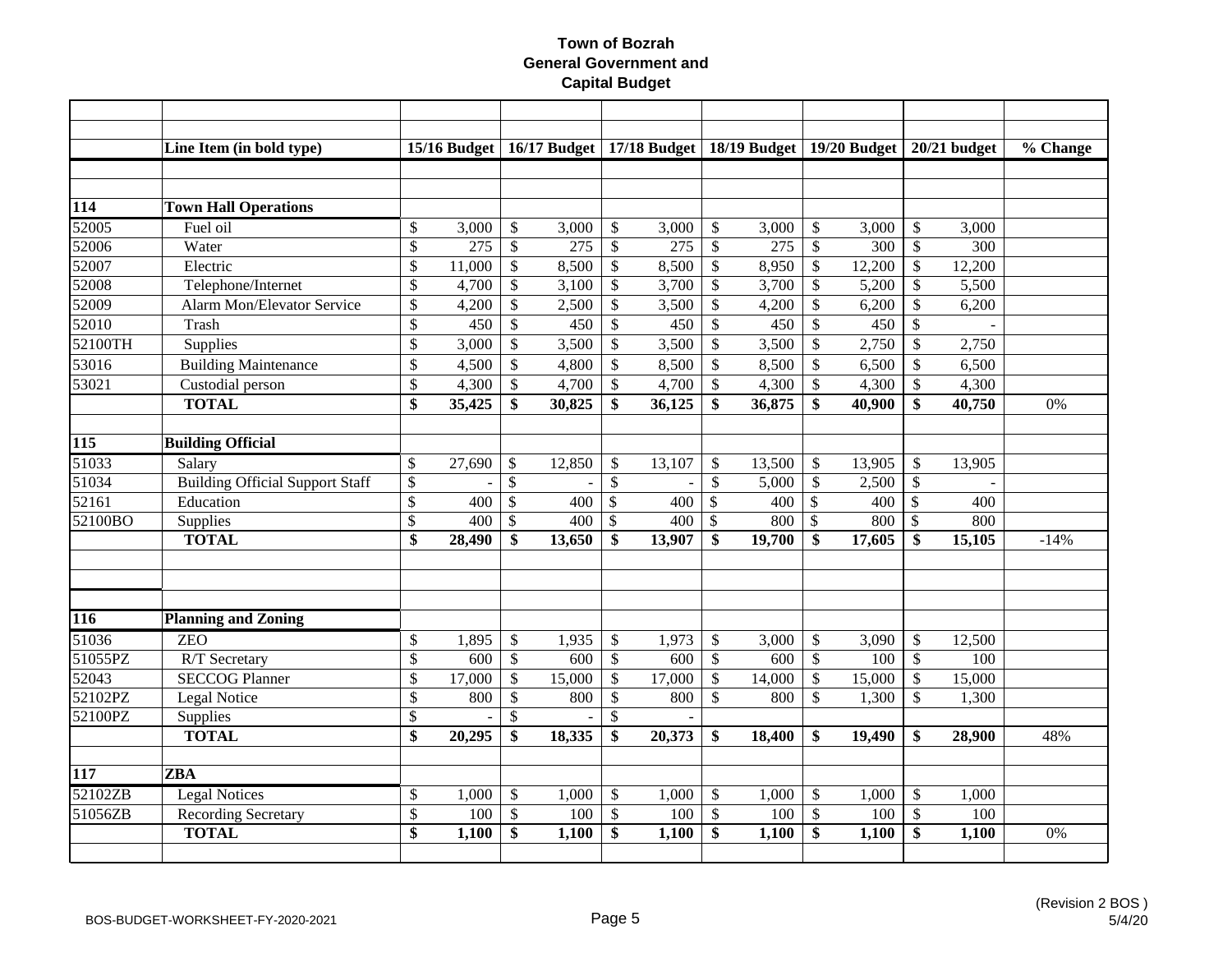|                  | Line Item (in bold type)               |                 | $15/16$ Budget |                 |        |                           | 16/17 Budget   17/18 Budget   18/19 Budget   19/20 Budget   20/21 budget |                           |        |                           |        |                           |        | $\overline{\%}$ Change |
|------------------|----------------------------------------|-----------------|----------------|-----------------|--------|---------------------------|--------------------------------------------------------------------------|---------------------------|--------|---------------------------|--------|---------------------------|--------|------------------------|
|                  |                                        |                 |                |                 |        |                           |                                                                          |                           |        |                           |        |                           |        |                        |
| 114              | <b>Town Hall Operations</b>            |                 |                |                 |        |                           |                                                                          |                           |        |                           |        |                           |        |                        |
| 52005            | Fuel oil                               | \$              | 3,000          | \$              | 3,000  | \$                        | 3,000                                                                    | \$                        | 3,000  | \$                        | 3,000  | $\mathcal{S}$             | 3,000  |                        |
| 52006            | Water                                  | \$              | 275            | \$              | 275    | \$                        | 275                                                                      | $\mathcal{S}$             | 275    | $\boldsymbol{\mathsf{S}}$ | 300    | $\mathcal{S}$             | 300    |                        |
| 52007            | Electric                               | \$              | 11,000         | \$              | 8,500  | \$                        | 8,500                                                                    | \$                        | 8,950  | $\mathcal{S}$             | 12,200 | $\mathcal{S}$             | 12,200 |                        |
| 52008            | Telephone/Internet                     | \$              | 4,700          | \$              | 3,100  | \$                        | 3,700                                                                    | $\mathcal{S}$             | 3,700  | $\boldsymbol{\mathsf{S}}$ | 5,200  | $\mathcal{S}$             | 5,500  |                        |
| 52009            | <b>Alarm Mon/Elevator Service</b>      | $\overline{\$}$ | 4,200          | $\overline{\$}$ | 2,500  | \$                        | 3,500                                                                    | $\mathcal{S}$             | 4,200  | $\mathcal{S}$             | 6,200  | $\mathcal{S}$             | 6,200  |                        |
| 52010            | Trash                                  | \$              | 450            | $\mathcal{S}$   | 450    | \$                        | 450                                                                      | $\mathcal{S}$             | 450    | $\mathcal{S}$             | 450    | $\mathcal{S}$             |        |                        |
| 52100TH          | Supplies                               | \$              | 3,000          | $\mathbb{S}$    | 3,500  | $\mathbb{S}$              | 3,500                                                                    | $\mathcal{S}$             | 3,500  | $\mathcal{S}$             | 2,750  | $\mathcal{S}$             | 2,750  |                        |
| 53016            | <b>Building Maintenance</b>            | \$              | 4,500          | $\mathbb{S}$    | 4,800  | \$                        | 8,500                                                                    | \$                        | 8,500  | $\mathcal{S}$             | 6,500  | $\mathcal{S}$             | 6,500  |                        |
| 53021            | Custodial person                       | \$              | 4,300          | $\mathbb{S}$    | 4,700  | \$                        | 4,700                                                                    | $\mathcal{S}$             | 4,300  | $\mathcal{S}$             | 4,300  | $\mathcal{S}$             | 4,300  |                        |
|                  | <b>TOTAL</b>                           | \$              | 35,425         | \$              | 30,825 | \$                        | 36,125                                                                   | \$                        | 36,875 | \$                        | 40,900 | $\mathbf{\$}$             | 40,750 | 0%                     |
|                  |                                        |                 |                |                 |        |                           |                                                                          |                           |        |                           |        |                           |        |                        |
| $\overline{115}$ | <b>Building Official</b>               |                 |                |                 |        |                           |                                                                          |                           |        |                           |        |                           |        |                        |
| 51033            | Salary                                 | \$              | 27,690         | $\mathcal{S}$   | 12,850 | \$                        | 13,107                                                                   | $\mathcal{S}$             | 13,500 | <sup>\$</sup>             | 13,905 | $\mathcal{S}$             | 13,905 |                        |
| 51034            | <b>Building Official Support Staff</b> | $\mathcal{S}$   |                | $\mathcal{S}$   |        | \$                        |                                                                          | $\mathcal{S}$             | 5,000  | $\boldsymbol{\mathsf{S}}$ | 2,500  | $\mathcal{S}$             |        |                        |
| 52161            | Education                              | $\mathcal{S}$   | 400            | $\mathcal{S}$   | 400    | $\mathcal{S}$             | 400                                                                      | $\mathbb{S}$              | 400    | $\boldsymbol{\mathsf{S}}$ | 400    | $\mathbb{S}$              | 400    |                        |
| 52100BO          | Supplies                               | \$              | 400            | $\mathcal{S}$   | 400    | \$                        | 400                                                                      | $\mathcal{S}$             | 800    | $\mathcal{S}$             | 800    | $\mathcal{S}$             | 800    |                        |
|                  | <b>TOTAL</b>                           | \$              | 28,490         | \$              | 13,650 | \$                        | 13,907                                                                   | \$                        | 19,700 | \$                        | 17,605 | \$                        | 15,105 | $-14%$                 |
|                  |                                        |                 |                |                 |        |                           |                                                                          |                           |        |                           |        |                           |        |                        |
|                  |                                        |                 |                |                 |        |                           |                                                                          |                           |        |                           |        |                           |        |                        |
|                  |                                        |                 |                |                 |        |                           |                                                                          |                           |        |                           |        |                           |        |                        |
| 116              | <b>Planning and Zoning</b>             |                 |                |                 |        |                           |                                                                          |                           |        |                           |        |                           |        |                        |
| 51036            | <b>ZEO</b>                             | \$              | 1,895          | \$              | 1,935  | \$                        | 1,973                                                                    | \$                        | 3,000  | $\mathcal{S}$             | 3,090  | $\mathcal{S}$             | 12,500 |                        |
| 51055PZ          | R/T Secretary                          | \$              | 600            | $\mathbb{S}$    | 600    | $\mathcal{S}$             | 600                                                                      | $\mathcal{S}$             | 600    | $\mathcal{S}$             | 100    | $\mathcal{S}$             | 100    |                        |
| 52043            | <b>SECCOG Planner</b>                  | \$              | 17,000         | $\mathbb{S}$    | 15,000 | \$                        | 17,000                                                                   | $\mathcal{S}$             | 14,000 | $\mathcal{S}$             | 15,000 | $\boldsymbol{\mathsf{S}}$ | 15,000 |                        |
| 52102PZ          | Legal Notice                           | \$              | 800            | \$              | 800    | \$                        | 800                                                                      | $\mathcal{S}$             | 800    | $\mathcal{S}$             | 1,300  | $\mathcal{S}$             | 1,300  |                        |
| 52100PZ          | Supplies                               | \$              |                | \$              |        | \$                        |                                                                          |                           |        |                           |        |                           |        |                        |
|                  | <b>TOTAL</b>                           | $\overline{\$}$ | 20,295         | \$              | 18,335 | \$                        | 20,373                                                                   | \$                        | 18,400 | -\$                       | 19,490 | \$                        | 28,900 | 48%                    |
|                  |                                        |                 |                |                 |        |                           |                                                                          |                           |        |                           |        |                           |        |                        |
| 117              | <b>ZBA</b>                             |                 |                |                 |        |                           |                                                                          |                           |        |                           |        |                           |        |                        |
| 52102ZB          | <b>Legal Notices</b>                   | \$              | 1,000          | \$              | 1,000  | \$                        | 1,000                                                                    | $\mathcal{S}$             | 1,000  | $\mathcal{S}$             | 1,000  | $\mathcal{S}$             | 1,000  |                        |
| 51056ZB          | <b>Recording Secretary</b>             | \$              | 100            | $\$\,$          | 100    | $\boldsymbol{\mathsf{S}}$ | 100                                                                      | $\boldsymbol{\mathsf{S}}$ | 100    | $\sqrt[6]{\frac{1}{2}}$   | 100    | $\mathcal{S}$             | 100    |                        |
|                  | <b>TOTAL</b>                           | \$              | 1,100          | \$              | 1,100  | \$                        | 1,100                                                                    | \$                        | 1,100  | $\mathbf{s}$              | 1,100  | $\mathbf{\$}$             | 1,100  | 0%                     |
|                  |                                        |                 |                |                 |        |                           |                                                                          |                           |        |                           |        |                           |        |                        |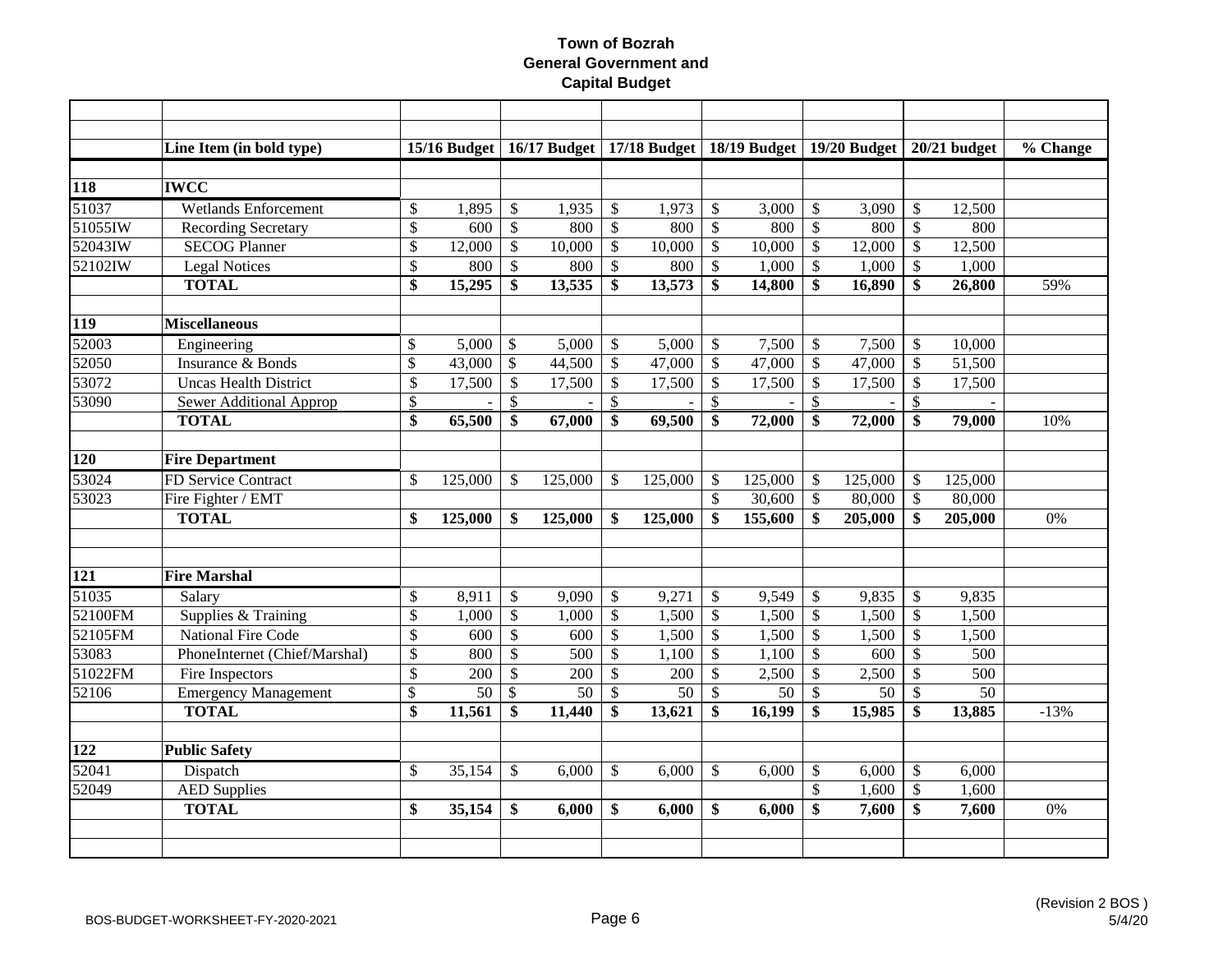|                       | Line Item (in bold type)       |                          |                 |                           | 15/16 Budget   $16/17$ Budget |              |         |                           | 17/18 Budget   18/19 Budget   19/20 Budget |                           |         |                           | $20/21$ budget | % Change |
|-----------------------|--------------------------------|--------------------------|-----------------|---------------------------|-------------------------------|--------------|---------|---------------------------|--------------------------------------------|---------------------------|---------|---------------------------|----------------|----------|
|                       |                                |                          |                 |                           |                               |              |         |                           |                                            |                           |         |                           |                |          |
| 118                   | <b>IWCC</b>                    |                          |                 |                           |                               |              |         |                           |                                            |                           |         |                           |                |          |
| 51037                 | <b>Wetlands Enforcement</b>    | \$                       | 1,895           | \$                        | 1,935                         | \$           | 1,973   | $\mathsf{\$}$             | 3,000                                      | $\boldsymbol{\mathsf{S}}$ | 3,090   | $\mathcal{S}$             | 12,500         |          |
| 51055                 | <b>Recording Secretary</b>     | $\$$                     | 600             | $\mathbb{S}$              | 800                           | $\mathbb{S}$ | 800     | $\mathcal{S}$             | 800                                        | $\boldsymbol{\mathsf{S}}$ | 800     | $\mathcal{S}$             | 800            |          |
| 52043IW               | <b>SECOG Planner</b>           | \$                       | 12,000          | \$                        | 10,000                        | $\mathbb{S}$ | 10,000  | $\mathcal{S}$             | 10,000                                     | \$                        | 12,000  | $\mathcal{S}$             | 12,500         |          |
| 52102IW               | <b>Legal Notices</b>           | \$                       | 800             | \$                        | 800                           | \$           | 800     | $\boldsymbol{\mathsf{S}}$ | 1,000                                      | $\boldsymbol{\mathsf{S}}$ | 1,000   | $\boldsymbol{\mathsf{S}}$ | 1,000          |          |
|                       | <b>TOTAL</b>                   | $\overline{\$}$          | 15,295          | \$                        | 13,535                        | \$           | 13,573  | \$                        | 14,800                                     | \$                        | 16,890  | \$                        | 26,800         | 59%      |
| <b>119</b>            | <b>Miscellaneous</b>           |                          |                 |                           |                               |              |         |                           |                                            |                           |         |                           |                |          |
| 52003                 | Engineering                    | \$                       | 5,000           | $\mathcal{S}$             | 5,000                         | \$           | 5,000   | $\mathcal{S}$             | 7,500                                      | $\boldsymbol{\mathsf{S}}$ | 7,500   | $\mathcal{S}$             | 10,000         |          |
| 52050                 | Insurance & Bonds              | \$                       | 43,000          | $\boldsymbol{\mathsf{S}}$ | 44,500                        | $\$$         | 47,000  | $\mathcal{S}$             | 47,000                                     | $\boldsymbol{\mathsf{S}}$ | 47,000  | $\mathcal{S}$             | 51,500         |          |
| 53072                 | <b>Uncas Health District</b>   | $\overline{\mathcal{S}}$ | 17,500          | $\boldsymbol{\mathsf{S}}$ | 17,500                        | \$           | 17,500  | $\mathcal{S}$             | 17,500                                     | $\mathcal{S}$             | 17,500  | $\mathcal{S}$             | 17,500         |          |
| 53090                 | <b>Sewer Additional Approp</b> | \$                       |                 | \$                        |                               | \$           |         | \$                        |                                            | $\frac{1}{2}$             |         | $\mathsf{\$}$             |                |          |
|                       | <b>TOTAL</b>                   | \$                       | 65,500          | \$                        | 67,000                        | \$           | 69,500  | \$                        | 72,000                                     | \$                        | 72,000  | -\$                       | 79,000         | 10%      |
|                       |                                |                          |                 |                           |                               |              |         |                           |                                            |                           |         |                           |                |          |
| 120                   | <b>Fire Department</b>         |                          |                 |                           |                               |              |         |                           |                                            |                           |         |                           |                |          |
| 53024                 | FD Service Contract            | \$                       | 125,000         | $\mathbb{S}$              | 125,000                       | \$           | 125,000 | -S                        | 125,000                                    | $\mathcal{S}$             | 125,000 | <sup>\$</sup>             | 125,000        |          |
| 53023                 | Fire Fighter / EMT             |                          |                 |                           |                               |              |         | $\mathcal{S}$             | 30,600                                     | $\mathcal{S}$             | 80,000  | $\mathcal{S}$             | 80,000         |          |
|                       | <b>TOTAL</b>                   | \$                       | 125,000         | \$                        | 125,000                       | \$           | 125,000 | \$                        | 155,600                                    | -\$                       | 205,000 | \$                        | 205,000        | 0%       |
|                       |                                |                          |                 |                           |                               |              |         |                           |                                            |                           |         |                           |                |          |
| $\overline{121}$      | <b>Fire Marshal</b>            |                          |                 |                           |                               |              |         |                           |                                            |                           |         |                           |                |          |
| 51035                 | Salary                         | \$                       | 8,911           | $\boldsymbol{\mathsf{S}}$ | 9,090                         | \$           | 9,271   | $\mathcal{S}$             | 9,549                                      | $\mathcal{S}$             | 9,835   | $\mathcal{S}$             | 9,835          |          |
| 52100FM               | Supplies & Training            | \$                       | 1,000           | \$                        | 1,000                         | \$           | 1,500   | $\mathcal{S}$             | 1,500                                      | $\boldsymbol{\mathsf{S}}$ | 1,500   | $\mathcal{S}$             | 1,500          |          |
| 52105FM               | <b>National Fire Code</b>      | $\mathcal{S}$            | 600             | $\mathbb{S}$              | 600                           | \$           | 1,500   | $\mathcal{S}$             | 1,500                                      | $\mathcal{S}$             | 1,500   | $\mathcal{S}$             | 1,500          |          |
| 53083                 | PhoneInternet (Chief/Marshal)  | \$                       | 800             | \$                        | 500                           | $\mathbb{S}$ | 1,100   | $\mathcal{S}$             | 1,100                                      | $\boldsymbol{\mathsf{S}}$ | 600     | $\mathcal{S}$             | 500            |          |
| $\overline{51022}$ FM | Fire Inspectors                | \$                       | 200             | $\mathbb{S}$              | 200                           | \$           | 200     | $\mathcal{S}$             | 2,500                                      | $\boldsymbol{\mathsf{S}}$ | 2,500   | $\mathcal{S}$             | 500            |          |
| 52106                 | <b>Emergency Management</b>    | \$                       | $\overline{50}$ | \$                        | 50                            | \$           | 50      | $\mathcal{S}$             | 50                                         | \$                        | 50      | $\mathcal{S}$             | 50             |          |
|                       | <b>TOTAL</b>                   | \$                       | 11,561          | \$                        | 11,440                        | \$           | 13,621  | \$                        | 16,199                                     | \$                        | 15,985  | \$                        | 13,885         | $-13%$   |
|                       |                                |                          |                 |                           |                               |              |         |                           |                                            |                           |         |                           |                |          |
| 122                   | <b>Public Safety</b>           |                          |                 |                           |                               |              |         |                           |                                            |                           |         |                           |                |          |
| 52041                 | Dispatch                       | \$                       | 35,154          | \$                        | 6,000                         | \$           | 6,000   | \$                        | 6,000                                      | \$                        | 6,000   | $\mathcal{S}$             | 6,000          |          |
| 52049                 | <b>AED Supplies</b>            |                          |                 |                           |                               |              |         |                           |                                            | \$                        | 1,600   | $\mathcal{S}$             | 1,600          |          |
|                       | <b>TOTAL</b>                   | \$                       | 35,154          | \$                        | 6,000                         | \$           | 6,000   | \$                        | 6,000                                      | \$                        | 7,600   | \$                        | 7,600          | 0%       |
|                       |                                |                          |                 |                           |                               |              |         |                           |                                            |                           |         |                           |                |          |
|                       |                                |                          |                 |                           |                               |              |         |                           |                                            |                           |         |                           |                |          |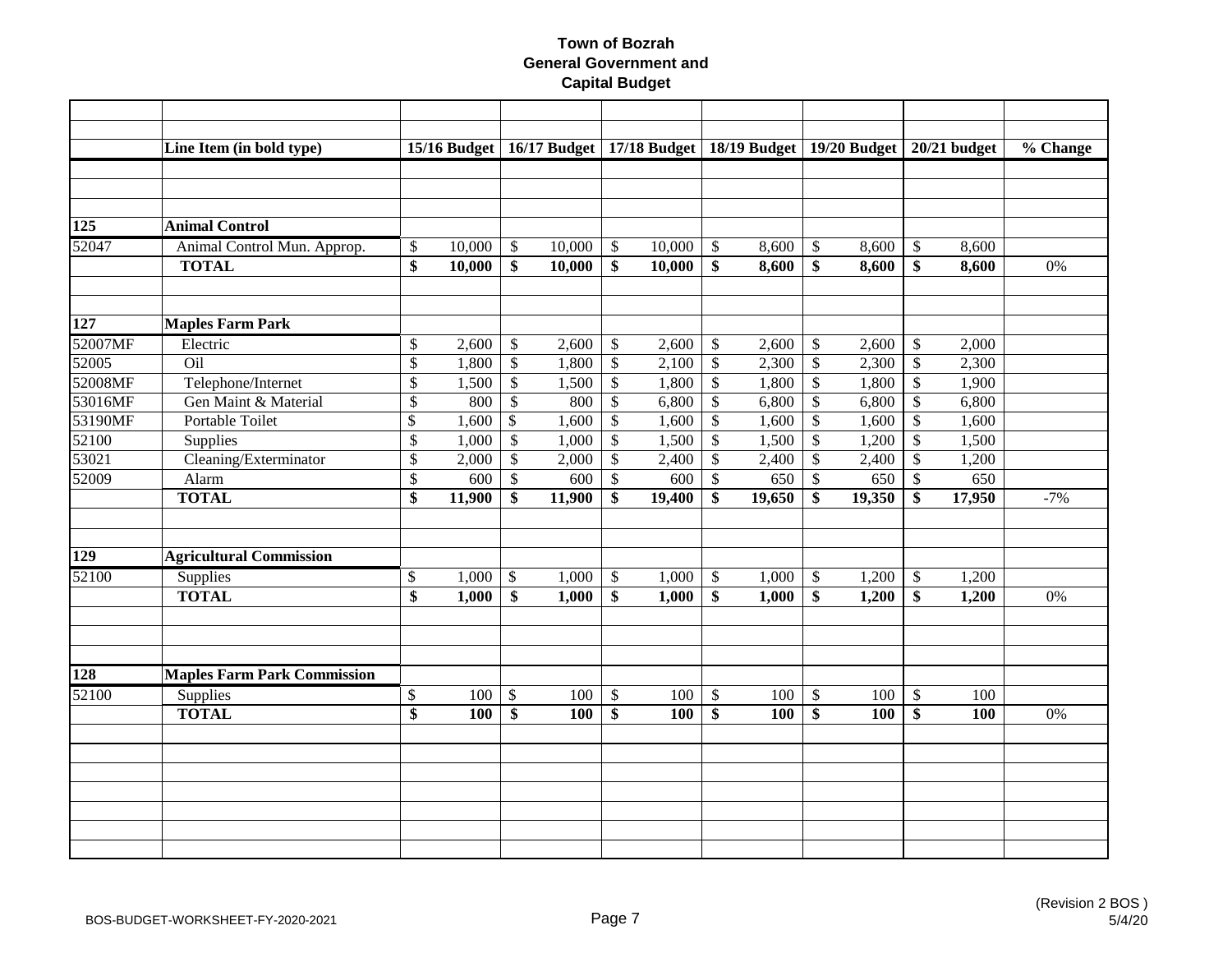|                  | Line Item (in bold type)           |                          | 15/16 Budget |                           |        |                         | 16/17 Budget   17/18 Budget   18/19 Budget   19/20 Budget |                           |        |                           |        |                           | $20/21$ budget | % Change |
|------------------|------------------------------------|--------------------------|--------------|---------------------------|--------|-------------------------|-----------------------------------------------------------|---------------------------|--------|---------------------------|--------|---------------------------|----------------|----------|
|                  |                                    |                          |              |                           |        |                         |                                                           |                           |        |                           |        |                           |                |          |
|                  |                                    |                          |              |                           |        |                         |                                                           |                           |        |                           |        |                           |                |          |
|                  |                                    |                          |              |                           |        |                         |                                                           |                           |        |                           |        |                           |                |          |
| 125              | <b>Animal Control</b>              |                          |              |                           |        |                         |                                                           |                           |        |                           |        |                           |                |          |
| 52047            | Animal Control Mun. Approp.        | \$                       | 10,000       | $\mathbb{S}$              | 10,000 | \$                      | 10,000                                                    | $\mathcal{S}$             | 8,600  | $\boldsymbol{\mathsf{S}}$ | 8,600  | $\mathcal{S}$             | 8,600          |          |
|                  | <b>TOTAL</b>                       | \$                       | 10,000       | \$                        | 10,000 | \$                      | 10,000                                                    | \$                        | 8,600  | \$                        | 8,600  | \$                        | 8,600          | 0%       |
|                  |                                    |                          |              |                           |        |                         |                                                           |                           |        |                           |        |                           |                |          |
|                  |                                    |                          |              |                           |        |                         |                                                           |                           |        |                           |        |                           |                |          |
| 127              | <b>Maples Farm Park</b>            |                          |              |                           |        |                         |                                                           |                           |        |                           |        |                           |                |          |
| 52007MF          | Electric                           | \$                       | 2,600        | \$                        | 2,600  | \$                      | 2,600                                                     | $\mathcal{S}$             | 2,600  | $\boldsymbol{\mathsf{S}}$ | 2,600  | $\mathcal{S}$             | 2,000          |          |
| 52005            | Oil                                | \$                       | 1,800        | $\overline{\mathcal{S}}$  | 1,800  | $\overline{\$}$         | 2,100                                                     | $\mathcal{S}$             | 2,300  | $\sqrt[6]{\frac{1}{2}}$   | 2,300  | $\boldsymbol{\mathsf{S}}$ | 2,300          |          |
| 52008MF          | Telephone/Internet                 | $\overline{\mathcal{S}}$ | 1,500        | $\overline{\mathcal{S}}$  | 1,500  | $\sqrt{\frac{2}{3}}$    | 1,800                                                     | $\overline{\mathcal{S}}$  | 1,800  | $\boldsymbol{\mathsf{S}}$ | 1,800  | $\mathcal{S}$             | 1,900          |          |
| 53016MF          | Gen Maint & Material               | \$                       | 800          | $\overline{\mathcal{S}}$  | 800    | $\$$                    | 6,800                                                     | $\mathcal{S}$             | 6,800  | $\boldsymbol{\mathsf{S}}$ | 6,800  | $\boldsymbol{\mathsf{S}}$ | 6,800          |          |
| 53190MF          | Portable Toilet                    | \$                       | 1,600        | $\mathcal{S}$             | 1,600  | $\mathbb{S}$            | 1,600                                                     | $\mathbb{S}$              | 1,600  | $\boldsymbol{\mathsf{S}}$ | 1,600  | $\mathcal{S}$             | 1,600          |          |
| 52100            | Supplies                           | \$                       | 1,000        | $\mathbb{S}$              | 1,000  | $\mathsf{\$}$           | 1,500                                                     | $\mathcal{S}$             | 1,500  | $\boldsymbol{\mathsf{S}}$ | 1,200  | $\mathcal{S}$             | 1,500          |          |
| 53021            | Cleaning/Exterminator              | \$                       | 2,000        | $\mathcal{S}$             | 2,000  | \$                      | 2,400                                                     | $\mathcal{S}$             | 2,400  | $\boldsymbol{\mathsf{S}}$ | 2,400  | $\mathcal{S}$             | 1,200          |          |
| 52009            | Alarm                              | \$                       | 600          | $\mathbb{S}$              | 600    | \$                      | 600                                                       | $\mathcal{S}$             | 650    | $\boldsymbol{\mathsf{S}}$ | 650    | $\mathcal{S}$             | 650            |          |
|                  | <b>TOTAL</b>                       | \$                       | 11,900       | \$                        | 11,900 | \$                      | 19,400                                                    | \$                        | 19,650 | \$                        | 19,350 | \$                        | 17,950         | $-7%$    |
|                  |                                    |                          |              |                           |        |                         |                                                           |                           |        |                           |        |                           |                |          |
| $\overline{129}$ | <b>Agricultural Commission</b>     |                          |              |                           |        |                         |                                                           |                           |        |                           |        |                           |                |          |
| 52100            | Supplies                           | \$                       | 1,000        | $\boldsymbol{\mathsf{S}}$ | 1,000  | $\mathcal{S}$           | 1,000                                                     | $\boldsymbol{\mathsf{S}}$ | 1,000  | $\boldsymbol{\mathsf{S}}$ | 1,200  | $\boldsymbol{\mathsf{S}}$ | 1,200          |          |
|                  | <b>TOTAL</b>                       | $\overline{\$}$          | 1,000        | \$                        | 1,000  | $\overline{\mathbf{s}}$ | 1,000                                                     | \$                        | 1,000  | \$                        | 1,200  | \$                        | 1,200          | 0%       |
|                  |                                    |                          |              |                           |        |                         |                                                           |                           |        |                           |        |                           |                |          |
|                  |                                    |                          |              |                           |        |                         |                                                           |                           |        |                           |        |                           |                |          |
| 128              | <b>Maples Farm Park Commission</b> |                          |              |                           |        |                         |                                                           |                           |        |                           |        |                           |                |          |
| 52100            | Supplies                           | \$                       | 100          | $\$\,$                    | 100    | $\$\,$                  | 100                                                       | $\mathbb{S}$              | 100    | $\boldsymbol{\mathsf{S}}$ | 100    | $\mathcal{S}$             | 100            |          |
|                  | <b>TOTAL</b>                       | $\overline{\mathbf{s}}$  | 100          | \$                        | 100    | \$                      | 100                                                       | \$                        | 100    | \$                        | 100    | $\mathbf{\hat{S}}$        | 100            | 0%       |
|                  |                                    |                          |              |                           |        |                         |                                                           |                           |        |                           |        |                           |                |          |
|                  |                                    |                          |              |                           |        |                         |                                                           |                           |        |                           |        |                           |                |          |
|                  |                                    |                          |              |                           |        |                         |                                                           |                           |        |                           |        |                           |                |          |
|                  |                                    |                          |              |                           |        |                         |                                                           |                           |        |                           |        |                           |                |          |
|                  |                                    |                          |              |                           |        |                         |                                                           |                           |        |                           |        |                           |                |          |
|                  |                                    |                          |              |                           |        |                         |                                                           |                           |        |                           |        |                           |                |          |
|                  |                                    |                          |              |                           |        |                         |                                                           |                           |        |                           |        |                           |                |          |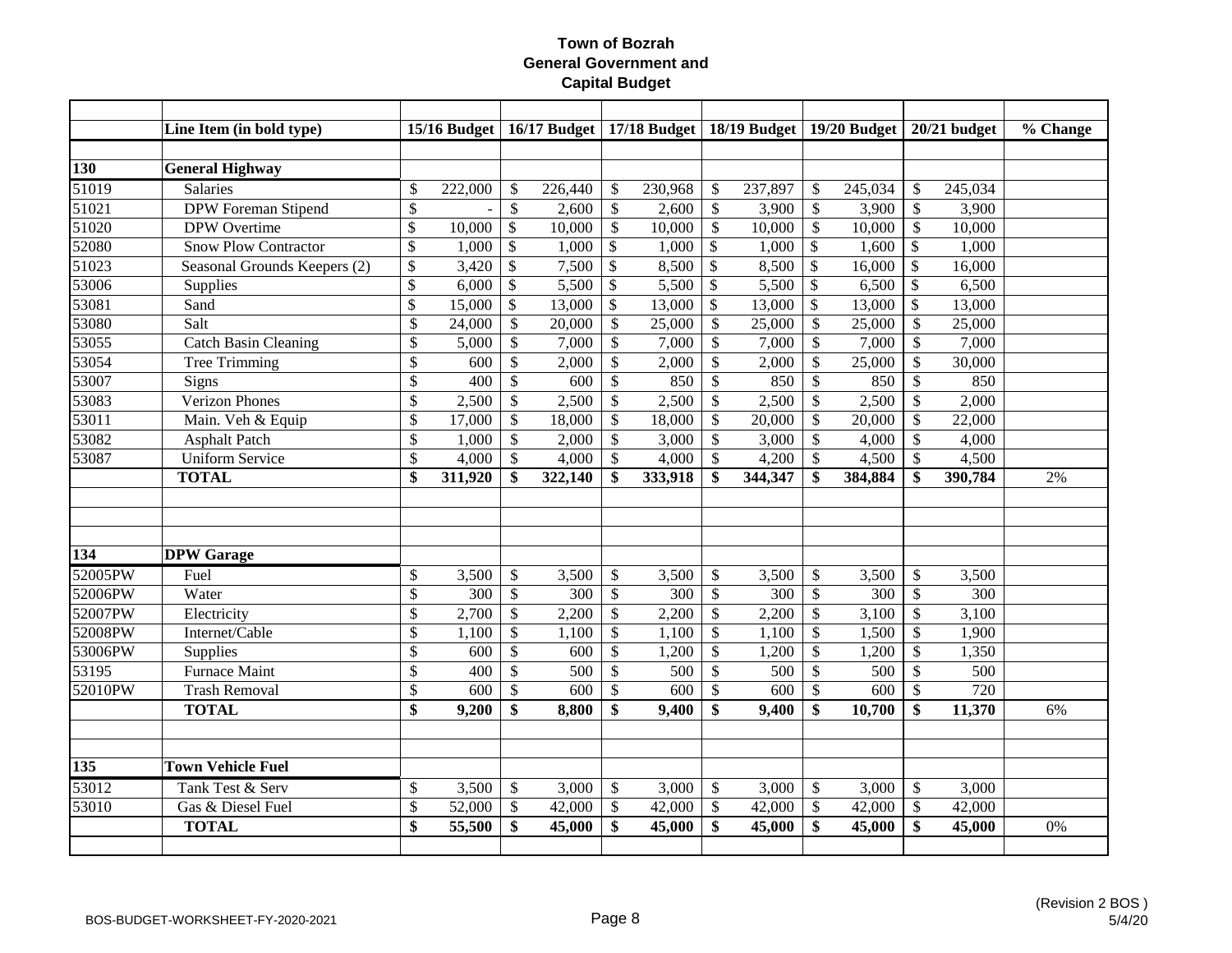|         | Line Item (in bold type)     |                           | $15/16$ Budget |                           |         |              |         |               | 16/17 Budget   17/18 Budget   18/19 Budget   19/20 Budget   20/21 budget |                           |         |                           |         | % Change |
|---------|------------------------------|---------------------------|----------------|---------------------------|---------|--------------|---------|---------------|--------------------------------------------------------------------------|---------------------------|---------|---------------------------|---------|----------|
|         |                              |                           |                |                           |         |              |         |               |                                                                          |                           |         |                           |         |          |
| 130     | <b>General Highway</b>       |                           |                |                           |         |              |         |               |                                                                          |                           |         |                           |         |          |
| 51019   | Salaries                     | $\boldsymbol{\mathsf{S}}$ | 222,000        | \$                        | 226,440 | \$           | 230,968 | \$            | 237,897                                                                  | \$                        | 245,034 | $\mathcal{S}$             | 245,034 |          |
| 51021   | <b>DPW</b> Foreman Stipend   | \$                        |                | $\mathbb{S}$              | 2,600   | $\mathbb{S}$ | 2,600   | $\mathbb{S}$  | 3,900                                                                    | $\mathcal{S}$             | 3,900   | $\mathcal{S}$             | 3,900   |          |
| 51020   | DPW Overtime                 | \$                        | 10,000         | $\mathcal{S}$             | 10,000  | \$           | 10,000  | $\mathcal{S}$ | 10,000                                                                   | $\mathcal{S}$             | 10,000  | $\mathcal{S}$             | 10,000  |          |
| 52080   | <b>Snow Plow Contractor</b>  | \$                        | 1,000          | $\boldsymbol{\mathsf{S}}$ | 1,000   | \$           | 1,000   | $\mathcal{S}$ | 1,000                                                                    | $\mathcal{S}$             | 1,600   | $\boldsymbol{\mathsf{S}}$ | 1,000   |          |
| 51023   | Seasonal Grounds Keepers (2) | \$                        | 3,420          | $\mathcal{S}$             | 7,500   | \$           | 8,500   | $\mathcal{S}$ | 8,500                                                                    | $\mathcal{S}$             | 16,000  | $\mathcal{S}$             | 16,000  |          |
| 53006   | Supplies                     | \$                        | 6,000          | $\mathcal{S}$             | 5,500   | \$           | 5,500   | \$            | 5,500                                                                    | \$                        | 6,500   | $\mathcal{S}$             | 6,500   |          |
| 53081   | Sand                         | \$                        | 15,000         | $\mathcal{S}$             | 13,000  | \$           | 13,000  | \$            | 13,000                                                                   | $\mathcal{S}$             | 13,000  | \$                        | 13,000  |          |
| 53080   | Salt                         | $\overline{\mathcal{S}}$  | 24,000         | \$                        | 20,000  | \$           | 25,000  | \$            | 25,000                                                                   | $\boldsymbol{\mathsf{S}}$ | 25,000  | $\mathcal{S}$             | 25,000  |          |
| 53055   | <b>Catch Basin Cleaning</b>  | $\boldsymbol{\mathsf{S}}$ | 5,000          | \$                        | 7,000   | \$           | 7,000   | $\mathcal{S}$ | 7,000                                                                    | $\boldsymbol{\mathsf{S}}$ | 7,000   | $\mathcal{S}$             | 7,000   |          |
| 53054   | Tree Trimming                | $\boldsymbol{\mathsf{S}}$ | 600            | $\mathbb{S}$              | 2,000   | \$           | 2,000   | \$            | 2,000                                                                    | $\mathcal{S}$             | 25,000  | $\mathcal{S}$             | 30,000  |          |
| 53007   | Signs                        | $\boldsymbol{\mathsf{S}}$ | 400            | \$                        | 600     | $\mathbb{S}$ | 850     | $\mathbb{S}$  | 850                                                                      | $\mathcal{S}$             | 850     | $\mathcal{S}$             | 850     |          |
| 53083   | <b>Verizon Phones</b>        | \$                        | 2,500          | \$                        | 2,500   | \$           | 2,500   | $\mathbb{S}$  | 2,500                                                                    | $\boldsymbol{\mathsf{S}}$ | 2,500   | $\mathcal{S}$             | 2,000   |          |
| 53011   | Main. Veh & Equip            | $\boldsymbol{\mathsf{S}}$ | 17,000         | \$                        | 18,000  | \$           | 18,000  | $\mathbb{S}$  | 20,000                                                                   | $\mathcal{S}$             | 20,000  | $\mathcal{S}$             | 22,000  |          |
| 53082   | <b>Asphalt Patch</b>         | $\boldsymbol{\mathsf{S}}$ | 1,000          | \$                        | 2,000   | \$           | 3,000   | $\mathbb{S}$  | 3,000                                                                    | $\boldsymbol{\mathsf{S}}$ | 4,000   | $\mathcal{S}$             | 4,000   |          |
| 53087   | <b>Uniform Service</b>       | \$                        | 4,000          | \$                        | 4,000   | \$           | 4,000   | <sup>\$</sup> | 4,200                                                                    | $\mathcal{S}$             | 4,500   | $\mathcal{S}$             | 4,500   |          |
|         | <b>TOTAL</b>                 | $\mathbf{\$}$             | 311,920        | \$                        | 322,140 | \$           | 333,918 | \$            | 344,347                                                                  | \$                        | 384,884 | \$                        | 390,784 | 2%       |
|         |                              |                           |                |                           |         |              |         |               |                                                                          |                           |         |                           |         |          |
|         |                              |                           |                |                           |         |              |         |               |                                                                          |                           |         |                           |         |          |
| 134     | <b>DPW</b> Garage            |                           |                |                           |         |              |         |               |                                                                          |                           |         |                           |         |          |
| 52005PW | Fuel                         | \$                        | 3,500          | \$                        | 3,500   | \$           | 3,500   | \$            | 3,500                                                                    | $\mathcal{S}$             | 3,500   | $\mathcal{S}$             | 3,500   |          |
| 52006PW | Water                        | $\mathcal{S}$             | 300            | \$                        | 300     | \$           | 300     | $\mathbb{S}$  | 300                                                                      | $\mathcal{S}$             | 300     | $\mathcal{S}$             | 300     |          |
| 52007PW | Electricity                  | $\boldsymbol{\mathsf{S}}$ | 2,700          | $\$$                      | 2,200   | \$           | 2,200   | \$            | 2,200                                                                    | $\mathcal{S}$             | 3,100   | $\mathcal{S}$             | 3,100   |          |
| 52008PW | Internet/Cable               | \$                        | 1,100          | $\mathbb{S}$              | 1,100   | \$           | 1,100   | $\mathbb{S}$  | 1,100                                                                    | $\mathcal{S}$             | 1,500   | $\mathcal{S}$             | 1,900   |          |
| 53006PW | Supplies                     | \$                        | 600            | \$                        | 600     | \$           | 1,200   | $\mathbb{S}$  | 1,200                                                                    | $\boldsymbol{\mathsf{S}}$ | 1,200   | $\mathcal{S}$             | 1,350   |          |
| 53195   | <b>Furnace Maint</b>         | \$                        | 400            | \$                        | 500     | \$           | 500     | \$            | 500                                                                      | \$                        | 500     | $\mathcal{S}$             | 500     |          |
| 52010PW | <b>Trash Removal</b>         | $\boldsymbol{\mathsf{S}}$ | 600            | \$                        | 600     | \$           | 600     | $\mathbb{S}$  | 600                                                                      | $\mathcal{S}$             | 600     | $\mathcal{S}$             | 720     |          |
|         | <b>TOTAL</b>                 | \$                        | 9,200          | \$                        | 8,800   | \$           | 9,400   | \$            | 9,400                                                                    | \$                        | 10,700  | \$                        | 11,370  | 6%       |
|         |                              |                           |                |                           |         |              |         |               |                                                                          |                           |         |                           |         |          |
| 135     | <b>Town Vehicle Fuel</b>     |                           |                |                           |         |              |         |               |                                                                          |                           |         |                           |         |          |
| 53012   | Tank Test & Serv             | \$                        | 3,500          | \$                        | 3,000   | \$           | 3,000   | \$            | 3,000                                                                    | $\boldsymbol{\mathsf{S}}$ | 3,000   | $\mathcal{S}$             | 3,000   |          |
| 53010   | Gas & Diesel Fuel            | $\mathcal{S}$             | 52,000         | \$                        | 42,000  | \$           | 42,000  | $\mathbb{S}$  | 42,000                                                                   | $\mathcal{S}$             | 42,000  | $\mathcal{S}$             | 42,000  |          |
|         | <b>TOTAL</b>                 | \$                        | 55,500         | \$                        | 45,000  | \$           | 45,000  | \$            | 45,000                                                                   | \$                        | 45,000  | \$                        | 45,000  | 0%       |
|         |                              |                           |                |                           |         |              |         |               |                                                                          |                           |         |                           |         |          |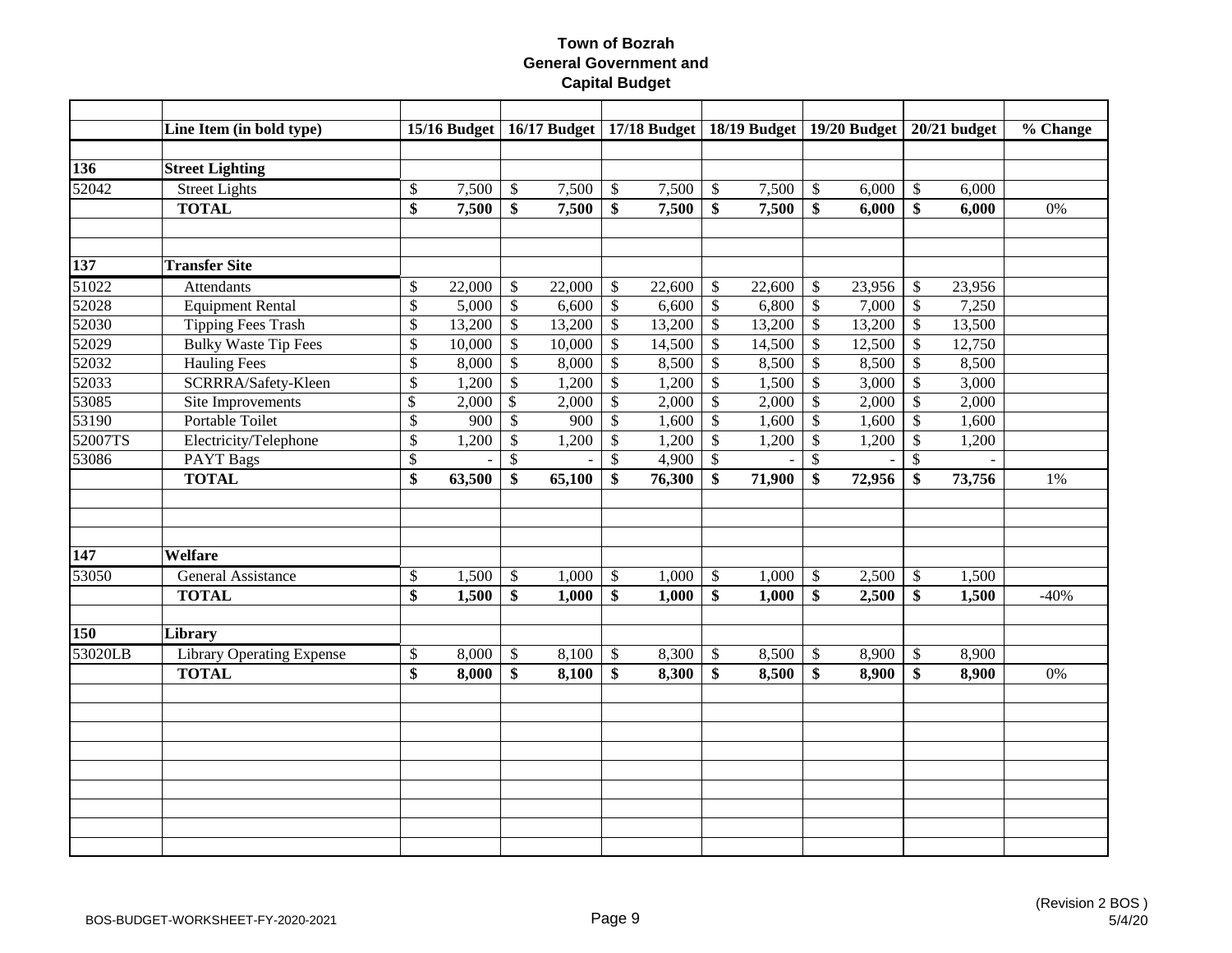|         | Line Item (in bold type)         |                           |        |               |        |                         |        |                           | 15/16 Budget   16/17 Budget   17/18 Budget   18/19 Budget   19/20 Budget   20/21 budget |                           |        |                           |        | % Change |
|---------|----------------------------------|---------------------------|--------|---------------|--------|-------------------------|--------|---------------------------|-----------------------------------------------------------------------------------------|---------------------------|--------|---------------------------|--------|----------|
|         |                                  |                           |        |               |        |                         |        |                           |                                                                                         |                           |        |                           |        |          |
| 136     | <b>Street Lighting</b>           |                           |        |               |        |                         |        |                           |                                                                                         |                           |        |                           |        |          |
| 52042   | <b>Street Lights</b>             | \$                        | 7,500  | $\$\,$        | 7,500  | \$                      | 7,500  | $\sqrt$                   | 7,500                                                                                   | $\mathcal{S}$             | 6,000  | $\mathcal{S}$             | 6,000  |          |
|         | <b>TOTAL</b>                     | $\overline{\$}$           | 7,500  | \$            | 7,500  | $\overline{\mathbf{s}}$ | 7,500  | $\overline{\$}$           | 7,500                                                                                   | \$                        | 6,000  | \$                        | 6,000  | 0%       |
|         |                                  |                           |        |               |        |                         |        |                           |                                                                                         |                           |        |                           |        |          |
| 137     | <b>Transfer Site</b>             |                           |        |               |        |                         |        |                           |                                                                                         |                           |        |                           |        |          |
| 51022   | <b>Attendants</b>                | \$                        | 22,000 | \$            | 22,000 | \$                      | 22,600 | $\mathbb{S}$              | 22,600                                                                                  | \$                        | 23,956 | $\mathcal{S}$             | 23,956 |          |
| 52028   | <b>Equipment Rental</b>          | $\boldsymbol{\mathsf{S}}$ | 5,000  | \$            | 6,600  | $\$$                    | 6,600  | $\mathcal{S}$             | 6,800                                                                                   | $\sqrt{3}$                | 7,000  | $\sqrt$                   | 7,250  |          |
| 52030   | <b>Tipping Fees Trash</b>        | \$                        | 13,200 | \$            | 13,200 | \$                      | 13,200 | $\boldsymbol{\mathsf{S}}$ | 13,200                                                                                  | $\boldsymbol{\mathsf{S}}$ | 13,200 | $\sqrt$                   | 13,500 |          |
| 52029   | <b>Bulky Waste Tip Fees</b>      | \$                        | 10,000 | \$            | 10,000 | \$                      | 14,500 | \$                        | 14,500                                                                                  | $\boldsymbol{\mathsf{S}}$ | 12,500 | $\boldsymbol{\mathsf{S}}$ | 12,750 |          |
| 52032   | <b>Hauling Fees</b>              | $\mathcal{S}$             | 8,000  | \$            | 8,000  | \$                      | 8,500  | \$                        | 8,500                                                                                   | $\boldsymbol{\mathsf{S}}$ | 8,500  | $\mathcal{S}$             | 8,500  |          |
| 52033   | SCRRRA/Safety-Kleen              | $\boldsymbol{\mathsf{S}}$ | 1,200  | $\$\,$        | 1,200  | $\mathbb{S}$            | 1,200  | $\mathcal{S}$             | 1,500                                                                                   | $\mathcal{S}$             | 3,000  | $\mathcal{S}$             | 3,000  |          |
| 53085   | Site Improvements                | \$                        | 2,000  | $\$\,$        | 2,000  | \$                      | 2,000  | $\mathcal{S}$             | 2,000                                                                                   | $\sqrt[6]{\frac{1}{2}}$   | 2,000  | $\boldsymbol{\mathsf{S}}$ | 2,000  |          |
| 53190   | Portable Toilet                  | $\boldsymbol{\mathsf{S}}$ | 900    | $\mathcal{S}$ | 900    | $\mathbb{S}$            | 1,600  | $\mathcal{S}$             | 1,600                                                                                   | $\boldsymbol{\mathsf{S}}$ | 1,600  | $\mathcal{S}$             | 1,600  |          |
| 52007TS | Electricity/Telephone            | $\boldsymbol{\mathsf{S}}$ | 1,200  | \$            | 1,200  | \$                      | 1,200  | \$                        | 1,200                                                                                   | $\boldsymbol{\mathsf{S}}$ | 1,200  | $\boldsymbol{\mathsf{S}}$ | 1,200  |          |
| 53086   | <b>PAYT Bags</b>                 | $\mathcal{S}$             |        | $\mathbb{S}$  |        | $\mathbb{S}$            | 4,900  | $\mathcal{S}$             |                                                                                         | $\mathcal{S}$             |        | $\mathcal{S}$             |        |          |
|         | <b>TOTAL</b>                     | \$                        | 63,500 | \$            | 65,100 | $\mathbf{\$}$           | 76,300 | \$                        | 71,900                                                                                  | \$                        | 72,956 | $\mathbf{\$}$             | 73,756 | $1\%$    |
|         |                                  |                           |        |               |        |                         |        |                           |                                                                                         |                           |        |                           |        |          |
| 147     | Welfare                          |                           |        |               |        |                         |        |                           |                                                                                         |                           |        |                           |        |          |
| 53050   | <b>General Assistance</b>        | $\$$                      | 1,500  | $\$\,$        | 1,000  | \$                      | 1,000  | $\boldsymbol{\mathsf{S}}$ | 1,000                                                                                   | $\boldsymbol{\mathsf{S}}$ | 2,500  | $\boldsymbol{\mathsf{S}}$ | 1,500  |          |
|         | <b>TOTAL</b>                     | $\overline{\mathbf{s}}$   | 1,500  | \$            | 1,000  | $\mathbf{\$}$           | 1,000  | $\boldsymbol{\$}$         | 1,000                                                                                   | \$                        | 2,500  | $\mathbf{\$}$             | 1,500  | $-40%$   |
| 150     | <b>Library</b>                   |                           |        |               |        |                         |        |                           |                                                                                         |                           |        |                           |        |          |
| 53020LB | <b>Library Operating Expense</b> | $\$$                      | 8,000  | \$            | 8,100  | \$                      | 8,300  | $\sqrt[6]{\frac{1}{2}}$   | 8,500                                                                                   | $\boldsymbol{\mathsf{S}}$ | 8,900  | $\boldsymbol{\mathsf{S}}$ | 8,900  |          |
|         | <b>TOTAL</b>                     | \$                        | 8,000  | \$            | 8,100  | \$                      | 8,300  | \$                        | 8,500                                                                                   | \$                        | 8,900  | \$                        | 8,900  | 0%       |
|         |                                  |                           |        |               |        |                         |        |                           |                                                                                         |                           |        |                           |        |          |
|         |                                  |                           |        |               |        |                         |        |                           |                                                                                         |                           |        |                           |        |          |
|         |                                  |                           |        |               |        |                         |        |                           |                                                                                         |                           |        |                           |        |          |
|         |                                  |                           |        |               |        |                         |        |                           |                                                                                         |                           |        |                           |        |          |
|         |                                  |                           |        |               |        |                         |        |                           |                                                                                         |                           |        |                           |        |          |
|         |                                  |                           |        |               |        |                         |        |                           |                                                                                         |                           |        |                           |        |          |
|         |                                  |                           |        |               |        |                         |        |                           |                                                                                         |                           |        |                           |        |          |
|         |                                  |                           |        |               |        |                         |        |                           |                                                                                         |                           |        |                           |        |          |
|         |                                  |                           |        |               |        |                         |        |                           |                                                                                         |                           |        |                           |        |          |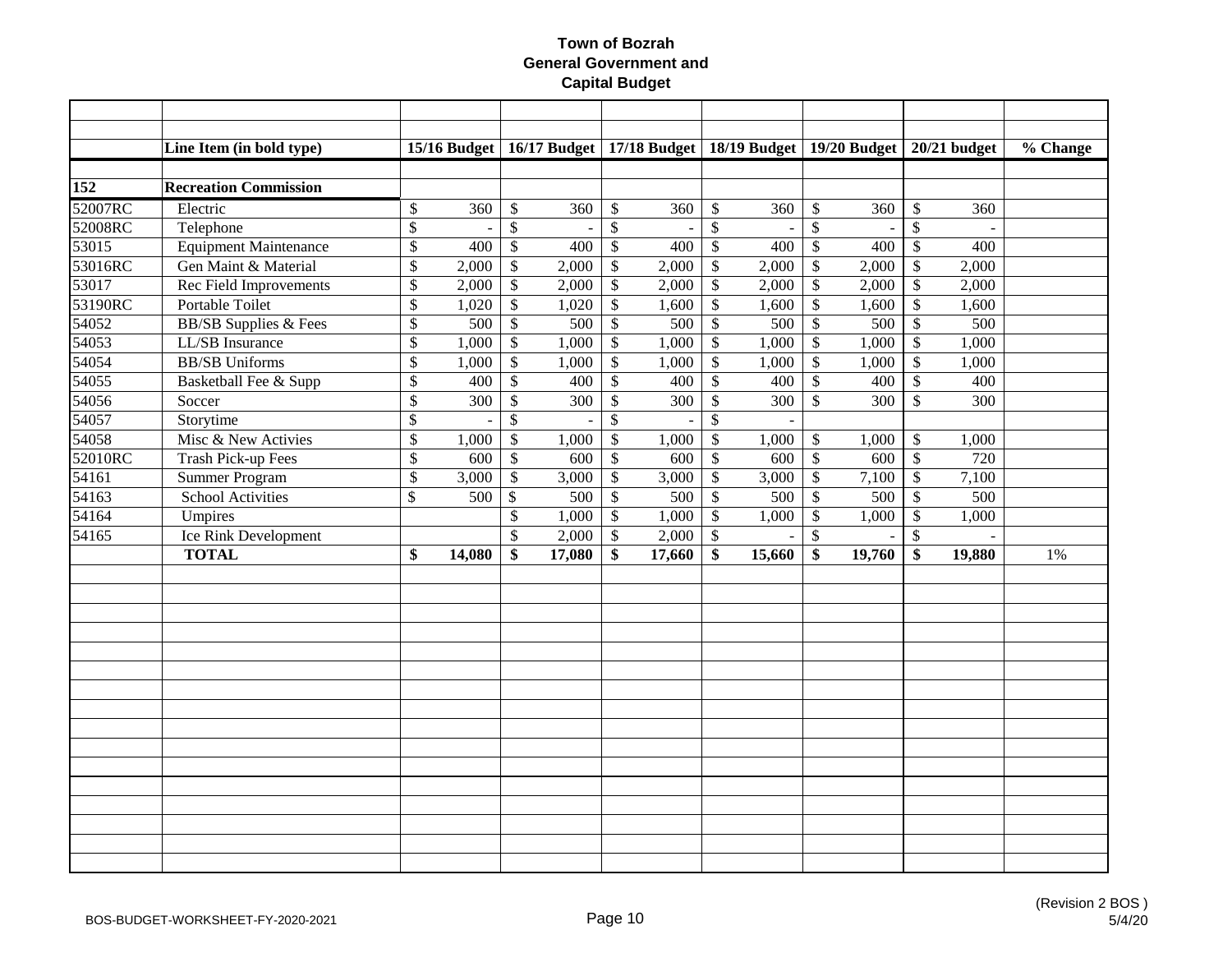|         | Line Item (in bold type)         |                          |                |                           |        |                   | 15/16 Budget   16/17 Budget   17/18 Budget   18/19 Budget   19/20 Budget |                           |        |                           |          |                           | $20/21$ budget | % Change |
|---------|----------------------------------|--------------------------|----------------|---------------------------|--------|-------------------|--------------------------------------------------------------------------|---------------------------|--------|---------------------------|----------|---------------------------|----------------|----------|
|         |                                  |                          |                |                           |        |                   |                                                                          |                           |        |                           |          |                           |                |          |
| 152     | <b>Recreation Commission</b>     |                          |                |                           |        |                   |                                                                          |                           |        |                           |          |                           |                |          |
| 52007RC | Electric                         | \$                       | 360            | \$                        | 360    | \$                | 360                                                                      | $\mathbb{S}$              | 360    | \$                        | 360      | $\mathbb{S}$              | 360            |          |
| 52008RC | Telephone                        | $\overline{\mathcal{S}}$ | $\overline{a}$ | $\overline{\mathcal{S}}$  |        | $\overline{\$}$   |                                                                          | $\mathcal{S}$             |        | $\mathbb{S}$              | $\sim$   | $\mathcal{S}$             |                |          |
| 53015   | <b>Equipment Maintenance</b>     | \$                       | 400            | $\$$                      | 400    | $\$$              | 400                                                                      | $\$\,$                    | 400    | $\boldsymbol{\mathsf{S}}$ | 400      | $\boldsymbol{\mathsf{S}}$ | 400            |          |
| 53016RC | Gen Maint & Material             | \$                       | 2,000          | $\$$                      | 2,000  | $\$$              | 2,000                                                                    | $\$\,$                    | 2,000  | $\boldsymbol{\mathsf{S}}$ | 2,000    | $\boldsymbol{\mathsf{S}}$ | 2,000          |          |
| 53017   | <b>Rec Field Improvements</b>    | \$                       | 2,000          | $\overline{\$}$           | 2,000  | $\,$              | 2,000                                                                    | $\$$                      | 2,000  | $\overline{\$}$           | 2,000    | $\boldsymbol{\mathsf{S}}$ | 2,000          |          |
| 53190RC | Portable Toilet                  | $\overline{\$}$          | 1,020          | $\overline{\$}$           | 1,020  | $\overline{\$}$   | 1,600                                                                    | $\overline{\$}$           | 1,600  | $\overline{\$}$           | 1,600    | $\boldsymbol{\mathsf{S}}$ | 1,600          |          |
| 54052   | <b>BB/SB Supplies &amp; Fees</b> | \$                       | 500            | $\$$                      | 500    | $\overline{\$}$   | 500                                                                      | $\$$                      | 500    | $\overline{\$}$           | 500      | $\overline{\$}$           | 500            |          |
| 54053   | LL/SB Insurance                  | $\overline{\$}$          | 1,000          | $\overline{\$}$           | 1,000  | $\overline{\$}$   | 1,000                                                                    | $\$$                      | 1,000  | $\overline{\$}$           | 1,000    | $\overline{\mathcal{S}}$  | 1,000          |          |
| 54054   | <b>BB/SB</b> Uniforms            | \$                       | 1,000          | $\mathbb{S}$              | 1,000  | \$                | 1,000                                                                    | $\mathbb{S}$              | 1,000  | $\boldsymbol{\mathsf{S}}$ | 1,000    | $\mathcal{S}$             | 1,000          |          |
| 54055   | Basketball Fee & Supp            | $\overline{\$}$          | 400            | $\$$                      | 400    | $\$$              | 400                                                                      | $\mathbb{S}$              | 400    | $\boldsymbol{\mathsf{S}}$ | 400      | $\boldsymbol{\mathsf{S}}$ | 400            |          |
| 54056   | Soccer                           | \$                       | 300            | $\$$                      | 300    | \$                | 300                                                                      | $\mathcal{S}$             | 300    | $\mathcal{S}$             | 300      | $\mathcal{S}$             | 300            |          |
| 54057   | Storytime                        | $\overline{\$}$          |                | $\overline{\mathcal{L}}$  |        | $\overline{\$}$   |                                                                          | $\boldsymbol{\mathsf{S}}$ |        |                           |          |                           |                |          |
| 54058   | Misc & New Activies              | $\overline{\$}$          | 1,000          | $\overline{\mathcal{L}}$  | 1,000  | $\$$              | 1,000                                                                    | $\$\,$                    | 1,000  | $\mathbb{S}$              | 1,000    | $\$\,$                    | 1,000          |          |
| 52010RC | <b>Trash Pick-up Fees</b>        | $\overline{\mathcal{S}}$ | 600            | $\mathbb{S}$              | 600    | $\boldsymbol{\$}$ | 600                                                                      | $\$\,$                    | 600    | $\sqrt[6]{3}$             | 600      | $\sqrt$                   | 720            |          |
| 54161   | <b>Summer Program</b>            | \$                       | 3,000          | $\$$                      | 3,000  | \$                | 3,000                                                                    | $\$$                      | 3,000  | $\boldsymbol{\mathsf{S}}$ | 7,100    | $\boldsymbol{\mathsf{S}}$ | 7,100          |          |
| 54163   | School Activities                | $\mathbb{S}$             | 500            | $\boldsymbol{\mathsf{S}}$ | 500    | $\$$              | 500                                                                      | $\$$                      | 500    | $\boldsymbol{\mathsf{S}}$ | 500      | $\boldsymbol{\mathsf{S}}$ | 500            |          |
| 54164   | Umpires                          |                          |                | $\mathbb{S}$              | 1,000  | $\$$              | 1,000                                                                    | $\mathbb{S}$              | 1,000  | $\boldsymbol{\mathsf{S}}$ | 1,000    | $\$\,$                    | 1,000          |          |
| 54165   | Ice Rink Development             |                          |                | $\mathbb{S}$              | 2,000  | \$                | 2,000                                                                    | $\mathcal{S}$             |        | $\overline{\$}$           | $\equiv$ | $\mathcal{S}$             |                |          |
|         | <b>TOTAL</b>                     | \$                       | 14,080         | \$                        | 17,080 | \$                | 17,660                                                                   | \$                        | 15,660 | \$                        | 19,760   | \$                        | 19,880         | 1%       |
|         |                                  |                          |                |                           |        |                   |                                                                          |                           |        |                           |          |                           |                |          |
|         |                                  |                          |                |                           |        |                   |                                                                          |                           |        |                           |          |                           |                |          |
|         |                                  |                          |                |                           |        |                   |                                                                          |                           |        |                           |          |                           |                |          |
|         |                                  |                          |                |                           |        |                   |                                                                          |                           |        |                           |          |                           |                |          |
|         |                                  |                          |                |                           |        |                   |                                                                          |                           |        |                           |          |                           |                |          |
|         |                                  |                          |                |                           |        |                   |                                                                          |                           |        |                           |          |                           |                |          |
|         |                                  |                          |                |                           |        |                   |                                                                          |                           |        |                           |          |                           |                |          |
|         |                                  |                          |                |                           |        |                   |                                                                          |                           |        |                           |          |                           |                |          |
|         |                                  |                          |                |                           |        |                   |                                                                          |                           |        |                           |          |                           |                |          |
|         |                                  |                          |                |                           |        |                   |                                                                          |                           |        |                           |          |                           |                |          |
|         |                                  |                          |                |                           |        |                   |                                                                          |                           |        |                           |          |                           |                |          |
|         |                                  |                          |                |                           |        |                   |                                                                          |                           |        |                           |          |                           |                |          |
|         |                                  |                          |                |                           |        |                   |                                                                          |                           |        |                           |          |                           |                |          |
|         |                                  |                          |                |                           |        |                   |                                                                          |                           |        |                           |          |                           |                |          |
|         |                                  |                          |                |                           |        |                   |                                                                          |                           |        |                           |          |                           |                |          |
|         |                                  |                          |                |                           |        |                   |                                                                          |                           |        |                           |          |                           |                |          |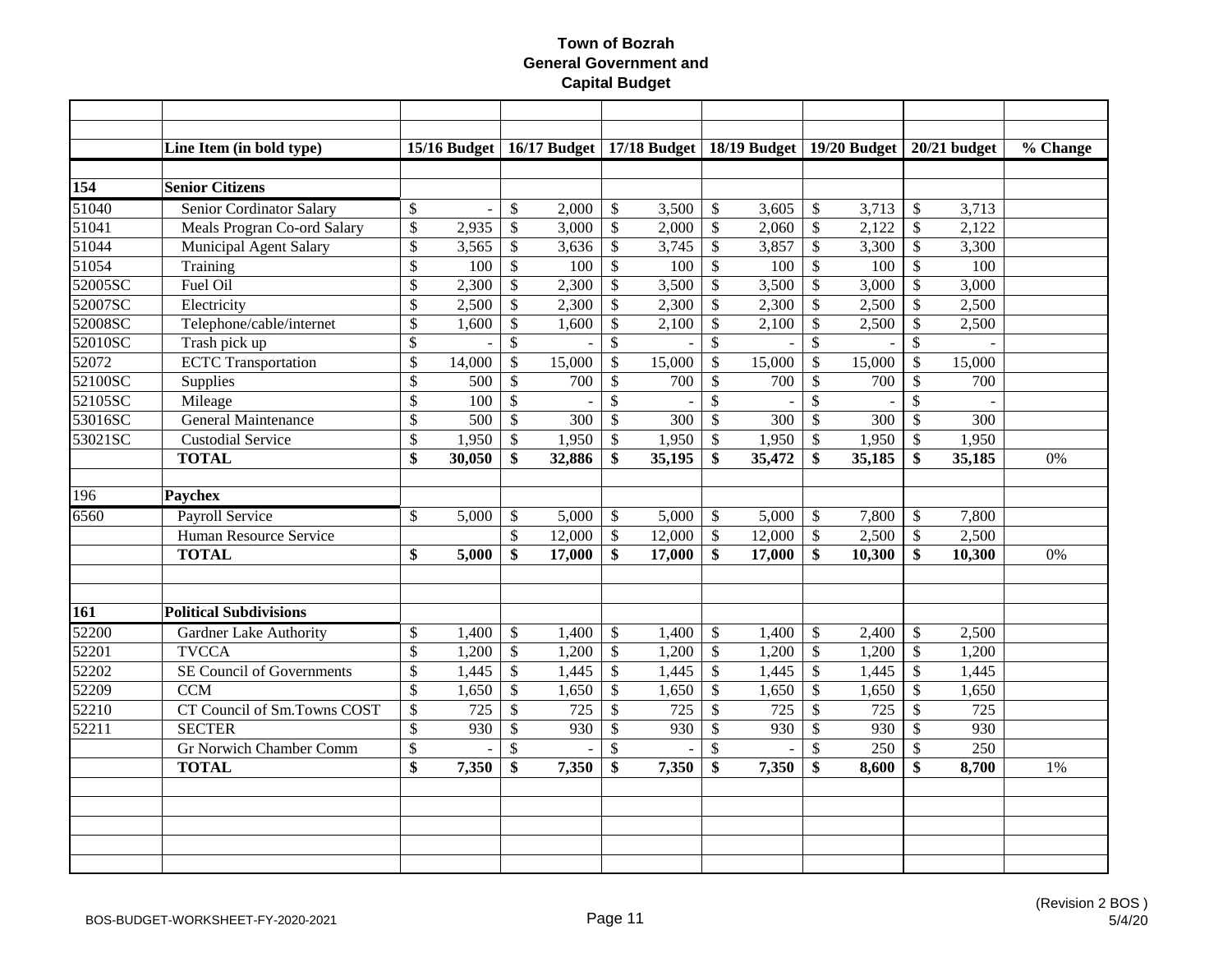|                  | Line Item (in bold type)       |                          | $15/16$ Budget |                          |        |                          | 16/17 Budget   17/18 Budget   18/19 Budget   19/20 Budget   20/21 budget |                           |        |                           |        |                           |                  | $\sqrt[6]{6}$ Change |
|------------------|--------------------------------|--------------------------|----------------|--------------------------|--------|--------------------------|--------------------------------------------------------------------------|---------------------------|--------|---------------------------|--------|---------------------------|------------------|----------------------|
|                  |                                |                          |                |                          |        |                          |                                                                          |                           |        |                           |        |                           |                  |                      |
| 154              | <b>Senior Citizens</b>         |                          |                |                          |        |                          |                                                                          |                           |        |                           |        |                           |                  |                      |
| 51040            | Senior Cordinator Salary       | \$                       | $\sim$         | \$                       | 2,000  | \$                       | 3,500                                                                    | $\mathcal{S}$             | 3,605  | $\mathcal{S}$             | 3,713  | $\mathcal{S}$             | 3,713            |                      |
| 51041            | Meals Progran Co-ord Salary    | \$                       | 2,935          | \$                       | 3,000  | \$                       | 2,000                                                                    | $\boldsymbol{\mathsf{S}}$ | 2,060  | $\boldsymbol{\mathsf{S}}$ | 2,122  | $\boldsymbol{\mathsf{S}}$ | 2,122            |                      |
| 51044            | Municipal Agent Salary         | \$                       | 3,565          | \$                       | 3,636  | \$                       | 3,745                                                                    | \$                        | 3,857  | $\boldsymbol{\mathsf{S}}$ | 3,300  | $\mathcal{S}$             | 3,300            |                      |
| 51054            | Training                       | \$                       | 100            | $\$$                     | 100    | $\$$                     | 100                                                                      | $\mathcal{S}$             | 100    | $\sqrt{3}$                | 100    | $\mathcal{S}$             | 100              |                      |
| 52005SC          | Fuel Oil                       | \$                       | 2,300          | $\$$                     | 2,300  | $\$$                     | 3,500                                                                    | $\mathcal{S}$             | 3,500  | $\sqrt{3}$                | 3,000  | $\mathcal{S}$             | 3,000            |                      |
| 52007SC          | Electricity                    | \$                       | 2,500          | \$                       | 2,300  | $\$$                     | 2,300                                                                    | \$                        | 2,300  | $\boldsymbol{\mathsf{S}}$ | 2,500  | $\boldsymbol{\mathsf{S}}$ | 2,500            |                      |
| 52008SC          | Telephone/cable/internet       | \$                       | 1,600          | \$                       | 1,600  | $\mathbb{S}$             | 2,100                                                                    | $\mathcal{S}$             | 2,100  | $\boldsymbol{\mathsf{S}}$ | 2,500  | $\mathcal{S}$             | 2,500            |                      |
| 52010SC          | Trash pick up                  | \$                       |                | $\mathcal{S}$            |        | \$                       |                                                                          | $\mathcal{S}$             |        | $\boldsymbol{\mathsf{S}}$ |        | $\mathcal{S}$             |                  |                      |
| 52072            | <b>ECTC</b> Transportation     | $\overline{\$}$          | 14,000         | \$                       | 15,000 | $\mathbb{S}$             | 15,000                                                                   | $\boldsymbol{\mathsf{S}}$ | 15,000 | $\boldsymbol{\mathsf{S}}$ | 15,000 | $\mathcal{S}$             | 15,000           |                      |
| 52100SC          | Supplies                       | \$                       | 500            | \$                       | 700    | \$                       | 700                                                                      | $\boldsymbol{\mathsf{S}}$ | 700    | $\boldsymbol{\mathsf{S}}$ | 700    | $\mathcal{S}$             | 700              |                      |
| 52105SC          | Mileage                        | \$                       | 100            | \$                       |        | \$                       |                                                                          | $\mathcal{S}$             |        | $\mathcal{S}$             |        | $\mathcal{S}$             |                  |                      |
| 53016SC          | <b>General Maintenance</b>     | \$                       | 500            | $\overline{\mathcal{S}}$ | 300    | $\overline{\mathcal{S}}$ | 300                                                                      | $\mathcal{S}$             | 300    | $\sqrt{3}$                | 300    | $\mathcal{S}$             | 300              |                      |
| 53021SC          | <b>Custodial Service</b>       | $\overline{\mathcal{S}}$ | 1,950          | $\overline{\mathcal{S}}$ | 1,950  | $\mathbb{S}$             | 1,950                                                                    | $\boldsymbol{\mathsf{S}}$ | 1,950  | $\mathcal{S}$             | 1,950  | $\mathcal{S}$             | 1,950            |                      |
|                  | <b>TOTAL</b>                   | \$                       | 30,050         | \$                       | 32,886 | \$                       | 35,195                                                                   | \$                        | 35,472 | \$                        | 35,185 | \$                        | 35,185           | 0%                   |
|                  |                                |                          |                |                          |        |                          |                                                                          |                           |        |                           |        |                           |                  |                      |
| $\overline{196}$ | <b>Paychex</b>                 |                          |                |                          |        |                          |                                                                          |                           |        |                           |        |                           |                  |                      |
| 6560             | <b>Payroll Service</b>         | \$                       | 5,000          | $\mathcal{S}$            | 5,000  | \$                       | 5,000                                                                    | $\mathcal{S}$             | 5,000  | $\boldsymbol{\mathsf{S}}$ | 7,800  | $\mathcal{S}$             | 7,800            |                      |
|                  | Human Resource Service         |                          |                | \$                       | 12,000 | \$                       | 12,000                                                                   | $\mathcal{S}$             | 12,000 | $\mathcal{S}$             | 2,500  | $\mathcal{S}$             | 2,500            |                      |
|                  | <b>TOTAL</b>                   | \$                       | 5,000          | \$                       | 17,000 | \$                       | 17,000                                                                   | \$                        | 17,000 | \$                        | 10,300 | \$                        | 10,300           | 0%                   |
|                  |                                |                          |                |                          |        |                          |                                                                          |                           |        |                           |        |                           |                  |                      |
|                  |                                |                          |                |                          |        |                          |                                                                          |                           |        |                           |        |                           |                  |                      |
| 161              | <b>Political Subdivisions</b>  |                          |                |                          |        |                          |                                                                          |                           |        |                           |        |                           |                  |                      |
| 52200            | <b>Gardner Lake Authority</b>  | \$                       | 1,400          | $\mathcal{S}$            | 1,400  | \$                       | 1,400                                                                    | $\mathcal{S}$             | 1,400  | $\mathcal{S}$             | 2,400  | $\mathcal{S}$             | 2,500            |                      |
| 52201            | <b>TVCCA</b>                   | \$                       | 1,200          | $\mathbb{S}$             | 1,200  | $\$$                     | 1,200                                                                    | $\mathcal{S}$             | 1,200  | $\boldsymbol{\mathsf{S}}$ | 1,200  | $\mathcal{S}$             | 1,200            |                      |
| 52202            | SE Council of Governments      | \$                       | 1,445          | $\mathbb{S}$             | 1,445  | $\$$                     | 1,445                                                                    | $\mathcal{S}$             | 1,445  | $\boldsymbol{\mathsf{S}}$ | 1,445  | $\boldsymbol{\mathsf{S}}$ | 1,445            |                      |
| 52209            | <b>CCM</b>                     | \$                       | 1,650          | \$                       | 1,650  | \$                       | 1,650                                                                    | \$                        | 1,650  | $\boldsymbol{\mathsf{S}}$ | 1,650  | $\boldsymbol{\mathsf{S}}$ | 1,650            |                      |
| 52210            | CT Council of Sm.Towns COST    | \$                       | 725            | \$                       | 725    | \$                       | 725                                                                      | \$                        | 725    | $\boldsymbol{\mathsf{S}}$ | 725    | $\mathcal{S}$             | 725              |                      |
| 52211            | <b>SECTER</b>                  | \$                       | 930            | \$                       | 930    | \$                       | 930                                                                      | $\boldsymbol{\mathsf{S}}$ | 930    | $\mathcal{S}$             | 930    | $\mathcal{S}$             | 930              |                      |
|                  | <b>Gr Norwich Chamber Comm</b> | $\overline{\$}$          |                | $\overline{\mathcal{S}}$ |        | $\overline{\mathcal{S}}$ |                                                                          | $\mathcal{S}$             |        | $\mathcal{S}$             | 250    | $\mathcal{S}$             | $\overline{250}$ |                      |
|                  | <b>TOTAL</b>                   | \$                       | 7,350          | \$                       | 7,350  | \$                       | 7,350                                                                    | \$                        | 7,350  | \$                        | 8,600  | \$                        | 8,700            | 1%                   |
|                  |                                |                          |                |                          |        |                          |                                                                          |                           |        |                           |        |                           |                  |                      |
|                  |                                |                          |                |                          |        |                          |                                                                          |                           |        |                           |        |                           |                  |                      |
|                  |                                |                          |                |                          |        |                          |                                                                          |                           |        |                           |        |                           |                  |                      |
|                  |                                |                          |                |                          |        |                          |                                                                          |                           |        |                           |        |                           |                  |                      |
|                  |                                |                          |                |                          |        |                          |                                                                          |                           |        |                           |        |                           |                  |                      |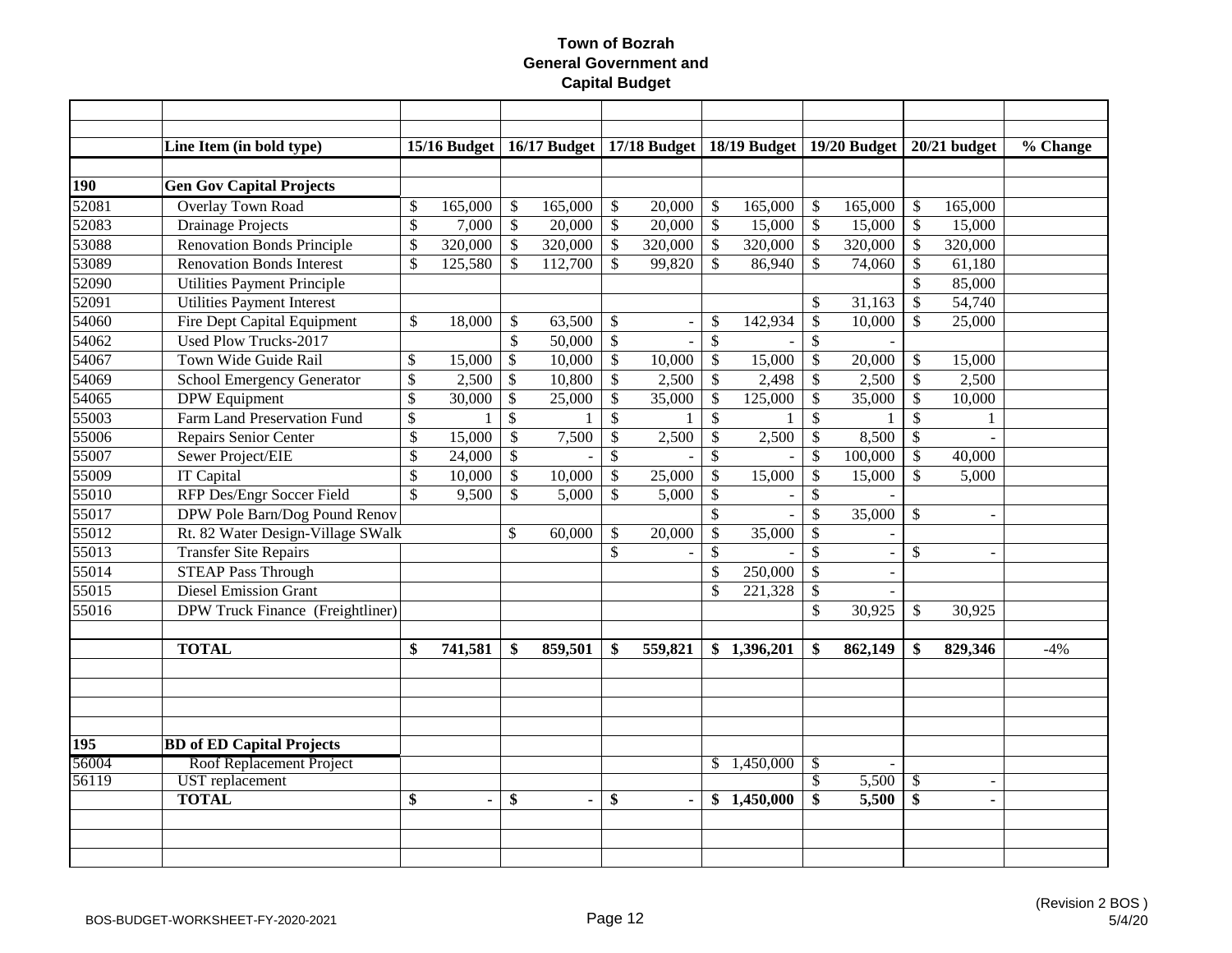|       | Line Item (in bold type)                |               | $15/16$ Budget |                           |                |                           |                          |                           | 16/17 Budget   17/18 Budget   18/19 Budget   19/20 Budget |                           |         |                 | $20/21$ budget | % Change |
|-------|-----------------------------------------|---------------|----------------|---------------------------|----------------|---------------------------|--------------------------|---------------------------|-----------------------------------------------------------|---------------------------|---------|-----------------|----------------|----------|
|       |                                         |               |                |                           |                |                           |                          |                           |                                                           |                           |         |                 |                |          |
| 190   | <b>Gen Gov Capital Projects</b>         |               |                |                           |                |                           |                          |                           |                                                           |                           |         |                 |                |          |
| 52081 | <b>Overlay Town Road</b>                | \$            | 165,000        | $\boldsymbol{\mathsf{S}}$ | 165,000        | $\mathcal{S}$             | 20,000                   | $\mathcal{S}$             | 165,000                                                   | $\mathcal{S}$             | 165,000 | \$              | 165,000        |          |
| 52083 | <b>Drainage Projects</b>                | \$            | 7,000          | $\mathbb{S}$              | 20,000         | $\boldsymbol{\mathsf{S}}$ | 20,000                   | $\mathcal{S}$             | 15,000                                                    | \$                        | 15,000  | \$              | 15,000         |          |
| 53088 | <b>Renovation Bonds Principle</b>       | \$            | 320,000        | $\mathcal{S}$             | 320,000        | $\sqrt[6]{\frac{1}{2}}$   | 320,000                  | $\mathcal{S}$             | 320,000                                                   | \$                        | 320,000 | $\mathcal{S}$   | 320,000        |          |
| 53089 | <b>Renovation Bonds Interest</b>        | \$            | 125,580        | $\mathcal{S}$             | 112,700        | $\boldsymbol{\mathsf{S}}$ | 99,820                   | $\mathcal{S}$             | 86,940                                                    | \$                        | 74,060  | $\mathcal{S}$   | 61,180         |          |
| 52090 | <b>Utilities Payment Principle</b>      |               |                |                           |                |                           |                          |                           |                                                           |                           |         | \$              | 85,000         |          |
| 52091 | <b>Utilities Payment Interest</b>       |               |                |                           |                |                           |                          |                           |                                                           | \$                        | 31,163  | $\mathcal{S}$   | 54,740         |          |
| 54060 | Fire Dept Capital Equipment             | \$            | 18,000         | \$                        | 63,500         | \$                        | ÷,                       | $\mathcal{S}$             | 142,934                                                   | \$                        | 10,000  | $\mathcal{S}$   | 25,000         |          |
| 54062 | <b>Used Plow Trucks-2017</b>            |               |                | \$                        | 50,000         | $\sqrt{\ }$               | $\sim$                   | $\mathcal{S}$             |                                                           | \$                        |         |                 |                |          |
| 54067 | Town Wide Guide Rail                    | \$            | 15,000         | \$                        | 10,000         | \$                        | 10,000                   | $\mathcal{S}$             | 15,000                                                    | \$                        | 20,000  | \$              | 15,000         |          |
| 54069 | <b>School Emergency Generator</b>       | \$            | 2,500          | $\$$                      | 10,800         | $\boldsymbol{\mathsf{S}}$ | 2,500                    | $\boldsymbol{\mathsf{S}}$ | 2,498                                                     | \$                        | 2,500   | \$              | 2,500          |          |
| 54065 | <b>DPW</b> Equipment                    | $\$\,$        | 30,000         | $\boldsymbol{\mathsf{S}}$ | 25,000         | \$                        | 35,000                   | $\mathcal{S}$             | 125,000                                                   | \$                        | 35,000  | $\mathcal{S}$   | 10,000         |          |
| 55003 | Farm Land Preservation Fund             | $\mathcal{S}$ | 1              | $\mathbb{S}$              | 1              | $\mathcal{S}$             |                          | $\mathcal{S}$             |                                                           | $\mathcal{S}$             |         | $\mathcal{S}$   | 1              |          |
| 55006 | Repairs Senior Center                   | \$            | 15,000         | $\mathcal{S}$             | 7,500          | $\mathcal{S}$             | 2,500                    | $\mathcal{S}$             | 2,500                                                     | $\boldsymbol{\mathsf{S}}$ | 8,500   | $\mathcal{S}$   |                |          |
| 55007 | Sewer Project/EIE                       | \$            | 24,000         | $\mathcal{S}$             |                | $\mathcal{S}$             |                          | $\mathcal{S}$             |                                                           | \$                        | 100,000 | $\mathcal{S}$   | 40,000         |          |
| 55009 | <b>IT Capital</b>                       | $\mathcal{S}$ | 10,000         | $\mathcal{S}$             | 10,000         | $\mathcal{S}$             | 25,000                   | $\mathcal{S}$             | 15,000                                                    | $\boldsymbol{\mathsf{S}}$ | 15,000  | $\mathcal{S}$   | 5,000          |          |
| 55010 | RFP Des/Engr Soccer Field               | \$            | 9,500          | $\mathcal{S}$             | 5,000          | $\mathcal{S}$             | 5,000                    | $\mathcal{S}$             |                                                           | $\mathcal{S}$             |         |                 |                |          |
| 55017 | DPW Pole Barn/Dog Pound Renov           |               |                |                           |                |                           |                          | $\mathcal{S}$             |                                                           | $\mathcal{S}$             | 35,000  | $\mathcal{S}$   | $\overline{a}$ |          |
| 55012 | Rt. 82 Water Design-Village SWalk       |               |                | \$                        | 60,000         | \$                        | 20,000                   | $\mathcal{S}$             | 35,000                                                    | \$                        |         |                 |                |          |
| 55013 | <b>Transfer Site Repairs</b>            |               |                |                           |                | \$                        | $\overline{\phantom{a}}$ | $\mathcal{S}$             |                                                           | \$                        |         | \$              | $\overline{a}$ |          |
| 55014 | <b>STEAP Pass Through</b>               |               |                |                           |                |                           |                          | $\mathcal{S}$             | 250,000                                                   | $\mathcal{S}$             |         |                 |                |          |
| 55015 | <b>Diesel Emission Grant</b>            |               |                |                           |                |                           |                          | $\mathcal{S}$             | 221,328                                                   | \$                        |         |                 |                |          |
| 55016 | DPW Truck Finance (Freightliner)        |               |                |                           |                |                           |                          |                           |                                                           | \$                        | 30,925  | \$              | 30,925         |          |
|       |                                         |               |                |                           |                |                           |                          |                           |                                                           |                           |         |                 |                |          |
|       | <b>TOTAL</b>                            | \$            | 741,581        | \$                        | 859,501        | \$                        | 559,821                  |                           | \$1,396,201                                               | \$                        | 862,149 | \$              | 829,346        | $-4%$    |
|       |                                         |               |                |                           |                |                           |                          |                           |                                                           |                           |         |                 |                |          |
|       |                                         |               |                |                           |                |                           |                          |                           |                                                           |                           |         |                 |                |          |
|       |                                         |               |                |                           |                |                           |                          |                           |                                                           |                           |         |                 |                |          |
|       |                                         |               |                |                           |                |                           |                          |                           |                                                           |                           |         |                 |                |          |
| 195   | <b>BD</b> of <b>ED</b> Capital Projects |               |                |                           |                |                           |                          |                           |                                                           |                           |         |                 |                |          |
| 56004 | Roof Replacement Project                |               |                |                           |                |                           |                          | \$.                       | 1,450,000                                                 | $\mathbb{S}$              |         |                 |                |          |
| 56119 | <b>UST</b> replacement                  |               |                |                           |                |                           |                          |                           |                                                           | $\overline{\$}$           | 5,500   | $\overline{\$}$ | $\blacksquare$ |          |
|       | <b>TOTAL</b>                            | \$            |                | \$                        | $\blacksquare$ | \$                        | $\blacksquare$           |                           | \$1,450,000                                               | \$                        | 5,500   | \$              | $\blacksquare$ |          |
|       |                                         |               |                |                           |                |                           |                          |                           |                                                           |                           |         |                 |                |          |
|       |                                         |               |                |                           |                |                           |                          |                           |                                                           |                           |         |                 |                |          |
|       |                                         |               |                |                           |                |                           |                          |                           |                                                           |                           |         |                 |                |          |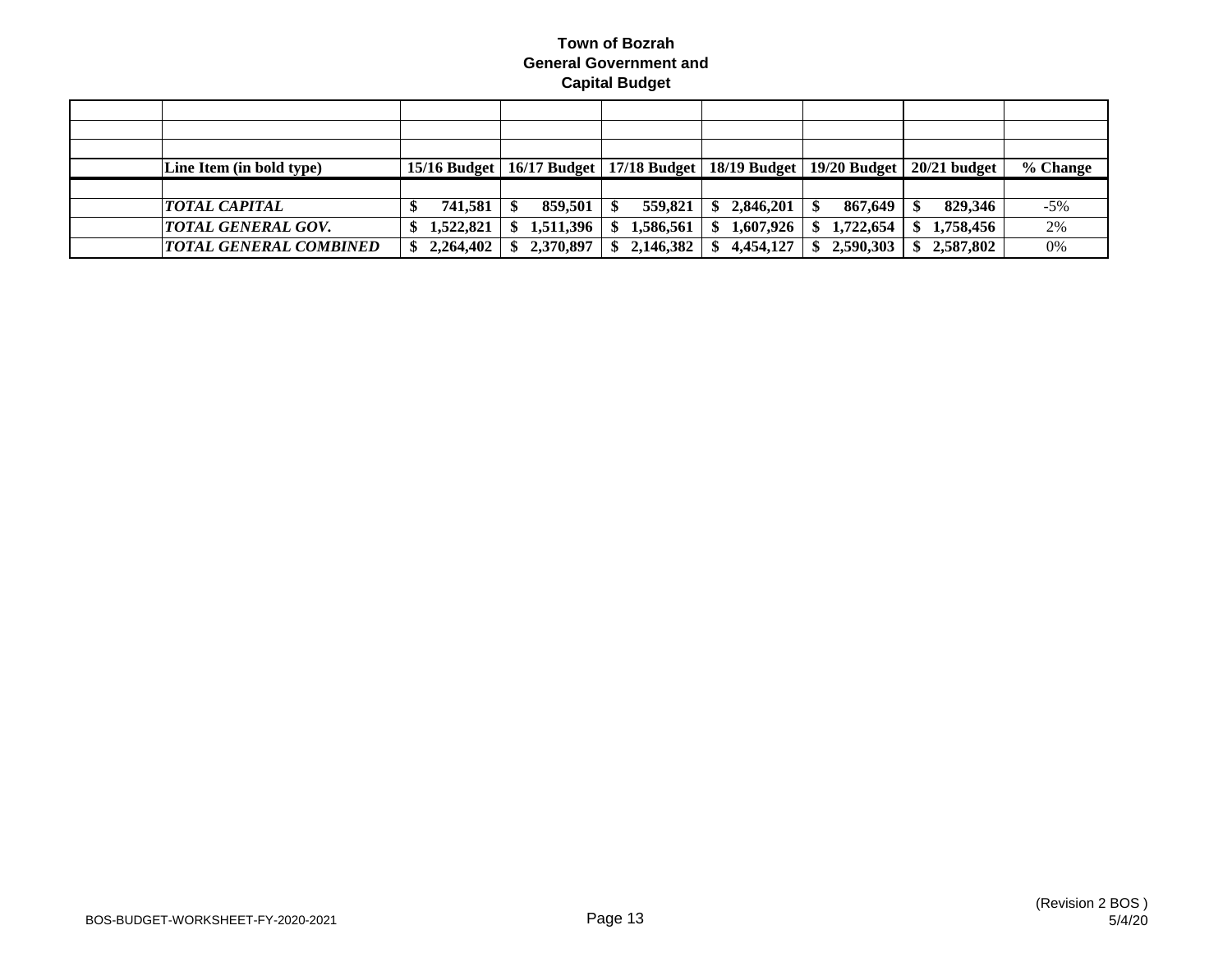| Line Item (in bold type)      |           | 15/16 Budget   16/17 Budget   17/18 Budget   18/19 Budget   19/20 Budget |           |                  |           | $20/21$ budget | % Change |
|-------------------------------|-----------|--------------------------------------------------------------------------|-----------|------------------|-----------|----------------|----------|
|                               |           |                                                                          |           |                  |           |                |          |
| <i>TOTAL CAPITAL</i>          | 741,581   | 859,501                                                                  | 559,821   | 2,846,201<br>-SS | 867,649   | 829,346        | $-5\%$   |
| <b>TOTAL GENERAL GOV.</b>     | 1,522,821 | 1,511,396                                                                | 1.586.561 | 1,607,926<br>SS. | 1,722,654 | 1,758,456      | 2%       |
| <b>TOTAL GENERAL COMBINED</b> | 2,264,402 | 2,370,897                                                                | 2,146,382 | 4.454.127        | 2,590,303 | 2.587.802      | 0%       |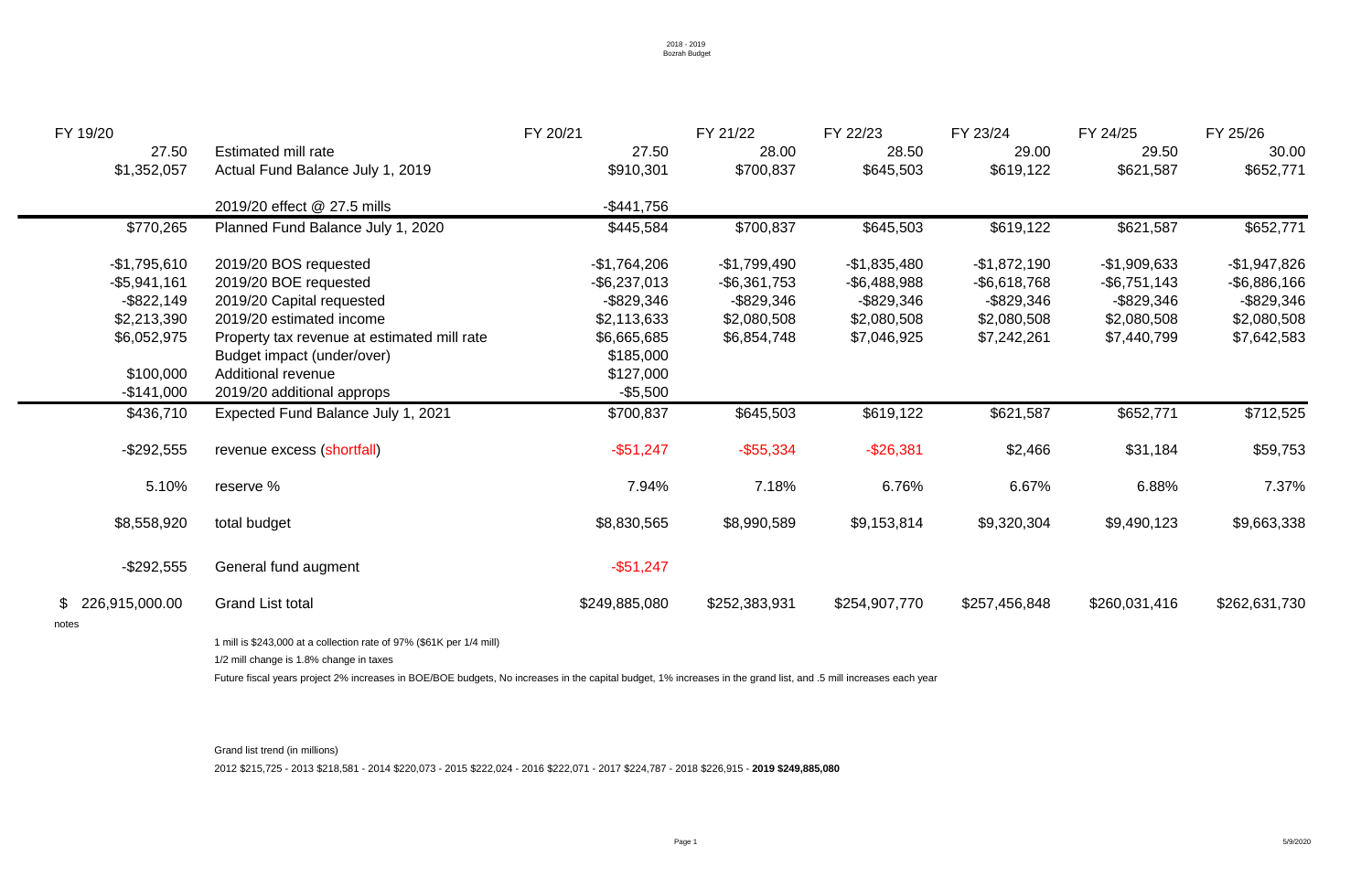| FY 19/20                                  |                                                                                                                                                                  | FY 20/21        | FY 21/22        | FY 22/23        | FY 23/24        | FY 24/25        | FY 25/26        |
|-------------------------------------------|------------------------------------------------------------------------------------------------------------------------------------------------------------------|-----------------|-----------------|-----------------|-----------------|-----------------|-----------------|
| 27.50                                     | Estimated mill rate                                                                                                                                              | 27.50           | 28.00           | 28.50           | 29.00           | 29.50           | 30.00           |
| \$1,352,057                               | Actual Fund Balance July 1, 2019                                                                                                                                 | \$910,301       | \$700,837       | \$645,503       | \$619,122       | \$621,587       | \$652,771       |
|                                           | 2019/20 effect @ 27.5 mills                                                                                                                                      | $-$ \$441,756   |                 |                 |                 |                 |                 |
| \$770,265                                 | Planned Fund Balance July 1, 2020                                                                                                                                | \$445,584       | \$700,837       | \$645,503       | \$619,122       | \$621,587       | \$652,771       |
| $-$1,795,610$                             | 2019/20 BOS requested                                                                                                                                            | $-$1,764,206$   | $-$1,799,490$   | $-$1,835,480$   | $-$ \$1,872,190 | $-$1,909,633$   | $-$1,947,826$   |
| $-$ \$5,941,161                           | 2019/20 BOE requested                                                                                                                                            | $-$ \$6,237,013 | $-$ \$6,361,753 | $-$ \$6,488,988 | $-$ \$6,618,768 | $-$ \$6,751,143 | $-$ \$6,886,166 |
| $-$ \$822,149                             | 2019/20 Capital requested                                                                                                                                        | $-$ \$829,346   | $-$ \$829,346   | $-$ \$829,346   | $-$ \$829,346   | -\$829,346      | $-$ \$829,346   |
| \$2,213,390                               | 2019/20 estimated income                                                                                                                                         | \$2,113,633     | \$2,080,508     | \$2,080,508     | \$2,080,508     | \$2,080,508     | \$2,080,508     |
| \$6,052,975                               | Property tax revenue at estimated mill rate                                                                                                                      | \$6,665,685     | \$6,854,748     | \$7,046,925     | \$7,242,261     | \$7,440,799     | \$7,642,583     |
|                                           | Budget impact (under/over)                                                                                                                                       | \$185,000       |                 |                 |                 |                 |                 |
| \$100,000                                 | <b>Additional revenue</b>                                                                                                                                        | \$127,000       |                 |                 |                 |                 |                 |
| $-$ \$141,000                             | 2019/20 additional approps                                                                                                                                       | $-$ \$5,500     |                 |                 |                 |                 |                 |
| \$436,710                                 | <b>Expected Fund Balance July 1, 2021</b>                                                                                                                        | \$700,837       | \$645,503       | \$619,122       | \$621,587       | \$652,771       | \$712,525       |
| $-$ \$292,555                             | revenue excess (shortfall)                                                                                                                                       | $-$ \$51,247    | $-$ \$55,334    | $-$ \$26,381    | \$2,466         | \$31,184        | \$59,753        |
| 5.10%                                     | reserve %                                                                                                                                                        | 7.94%           | 7.18%           | 6.76%           | 6.67%           | 6.88%           | 7.37%           |
| \$8,558,920                               | total budget                                                                                                                                                     | \$8,830,565     | \$8,990,589     | \$9,153,814     | \$9,320,304     | \$9,490,123     | \$9,663,338     |
| $-$ \$292,555                             | General fund augment                                                                                                                                             | $-$ \$51,247    |                 |                 |                 |                 |                 |
| $\mathbb{S}^-$<br>226,915,000.00<br>notes | <b>Grand List total</b>                                                                                                                                          | \$249,885,080   | \$252,383,931   | \$254,907,770   | \$257,456,848   | \$260,031,416   | \$262,631,730   |
|                                           | 1 mill is \$243,000 at a collection rate of 97% (\$61K per 1/4 mill)<br>1/2 mill change is 1.8% change in taxes                                                  |                 |                 |                 |                 |                 |                 |
|                                           | Future fiscal years project 2% increases in BOE/BOE budgets, No increases in the capital budget, 1% increases in the grand list, and .5 mill increases each year |                 |                 |                 |                 |                 |                 |

Grand list trend (in millions) 2012 \$215,725 - 2013 \$218,581 - 2014 \$220,073 - 2015 \$222,024 - 2016 \$222,071 - 2017 \$224,787 - 2018 \$226,915 - **2019 \$249,885,080**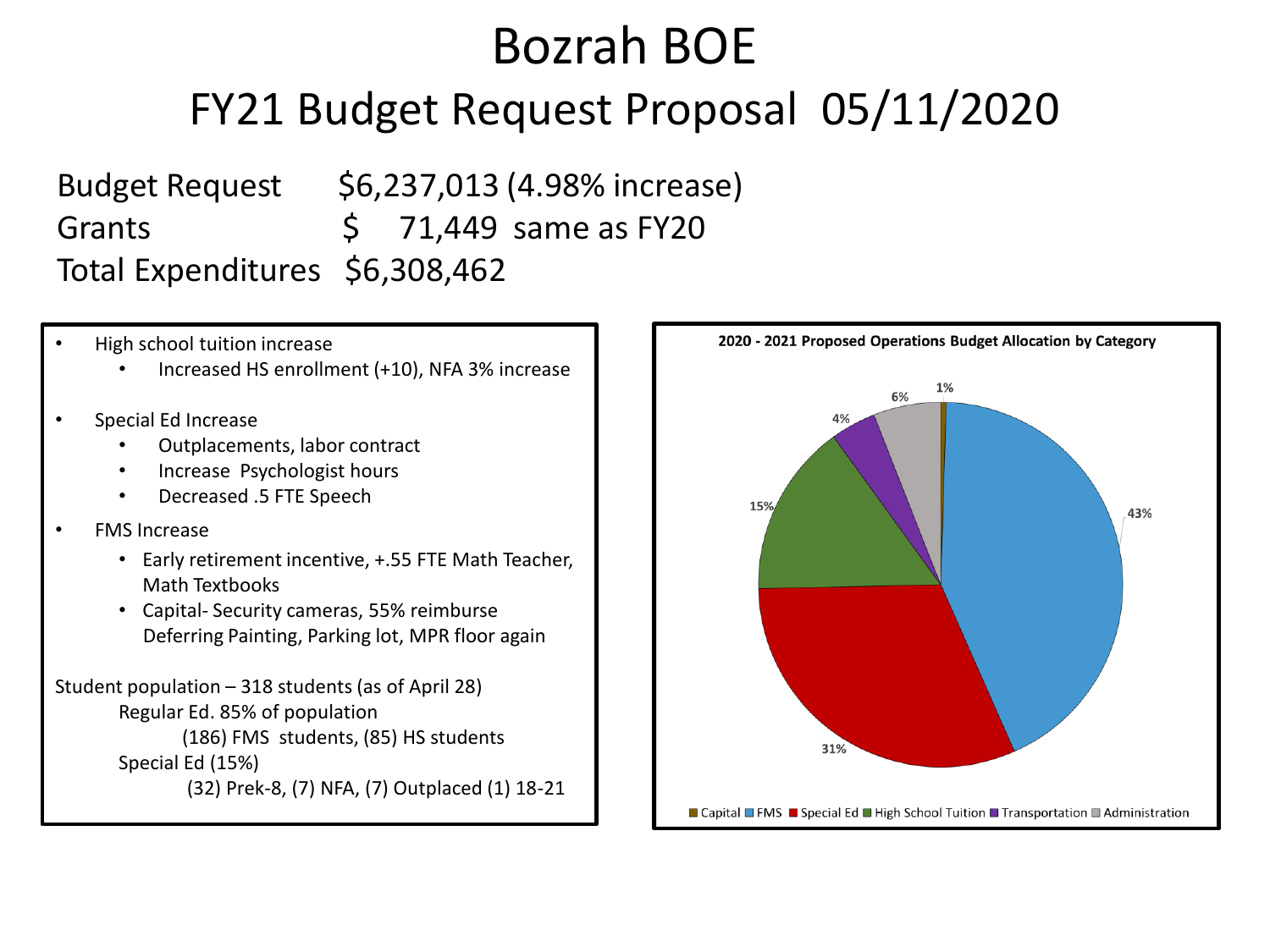# Bozrah BOE FY21 Budget Request Proposal 05/11/2020

Budget Request \$6,237,013 (4.98% increase) Grants  $\begin{array}{cc} \text{Grants} \\ \text{S} \end{array}$  71,449 same as FY20 Total Expenditures \$6,308,462

- High school tuition increase
	- Increased HS enrollment (+10), NFA 3% increase
- Special Ed Increase
	- Outplacements, labor contract
	- Increase Psychologist hours
	- Decreased .5 FTE Speech
- FMS Increase
	- Early retirement incentive, +.55 FTE Math Teacher, Math Textbooks
	- Capital- Security cameras, 55% reimburse Deferring Painting, Parking lot, MPR floor again

```
Student population – 318 students (as of April 28)
Regular Ed. 85% of population
       (186) FMS students, (85) HS students
Special Ed (15%)
        (32) Prek-8, (7) NFA, (7) Outplaced (1) 18-21
```
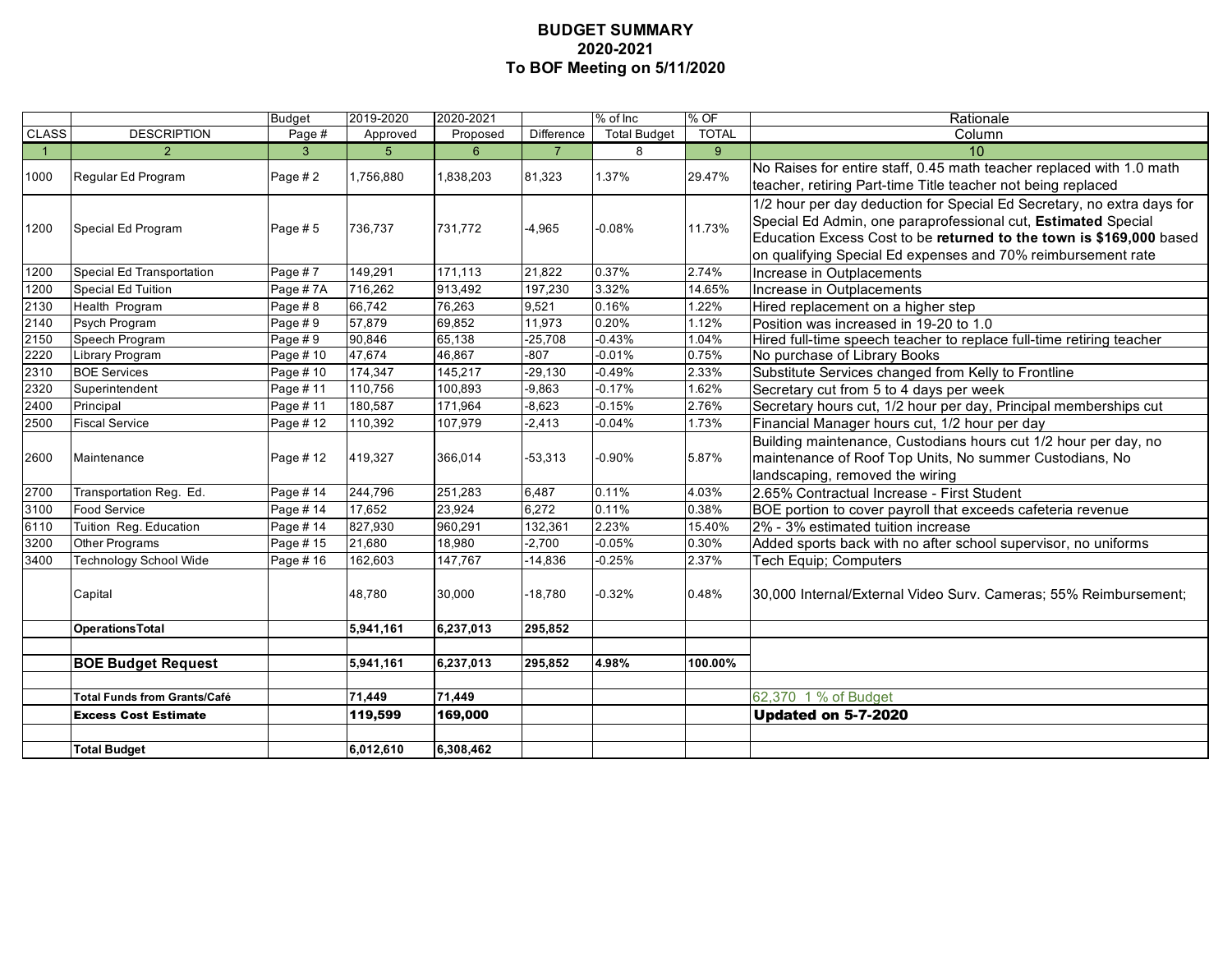#### **BUDGET SUMMARY 2020-2021 To BOF Meeting on 5/11/2020**

|                |                                     | <b>Budget</b> | 2019-2020 | 2020-2021       |                | $%$ of Inc          | % OF         | Rationale                                                                                                                                                                                                                                                                      |
|----------------|-------------------------------------|---------------|-----------|-----------------|----------------|---------------------|--------------|--------------------------------------------------------------------------------------------------------------------------------------------------------------------------------------------------------------------------------------------------------------------------------|
| <b>CLASS</b>   | <b>DESCRIPTION</b>                  | Page #        | Approved  | Proposed        | Difference     | <b>Total Budget</b> | <b>TOTAL</b> | Column                                                                                                                                                                                                                                                                         |
| $\overline{1}$ | $\overline{2}$                      | 3             | 5         | $6\overline{6}$ | $\overline{7}$ | 8                   | 9            | 10 <sup>1</sup>                                                                                                                                                                                                                                                                |
| 1000           | Regular Ed Program                  | Page #2       | 1,756,880 | 1,838,203       | 81,323         | 1.37%               | 29.47%       | No Raises for entire staff, 0.45 math teacher replaced with 1.0 math<br>teacher, retiring Part-time Title teacher not being replaced                                                                                                                                           |
| 1200           | Special Ed Program                  | Page #5       | 736,737   | 731,772         | $-4,965$       | $-0.08%$            | 11.73%       | 1/2 hour per day deduction for Special Ed Secretary, no extra days for<br>Special Ed Admin, one paraprofessional cut, Estimated Special<br>Education Excess Cost to be returned to the town is \$169,000 based<br>on qualifying Special Ed expenses and 70% reimbursement rate |
| 1200           | Special Ed Transportation           | Page #7       | 149,291   | 171,113         | 21,822         | 0.37%               | 2.74%        | Increase in Outplacements                                                                                                                                                                                                                                                      |
| 1200           | Special Ed Tuition                  | Page #7A      | 716,262   | 913,492         | 197,230        | 3.32%               | 14.65%       | Increase in Outplacements                                                                                                                                                                                                                                                      |
| 2130           | Health Program                      | Page #8       | 66,742    | 76,263          | 9,521          | 0.16%               | 1.22%        | Hired replacement on a higher step                                                                                                                                                                                                                                             |
| 2140           | Psych Program                       | Page $# 9$    | 57,879    | 69,852          | 11,973         | 0.20%               | 1.12%        | Position was increased in 19-20 to 1.0                                                                                                                                                                                                                                         |
| 2150           | Speech Program                      | Page #9       | 90,846    | 65,138          | $-25,708$      | $-0.43%$            | 1.04%        | Hired full-time speech teacher to replace full-time retiring teacher                                                                                                                                                                                                           |
| 2220           | Library Program                     | Page #10      | 47,674    | 46,867          | $-807$         | $-0.01%$            | 0.75%        | No purchase of Library Books                                                                                                                                                                                                                                                   |
| 2310           | <b>BOE Services</b>                 | Page #10      | 174,347   | 145,217         | $-29,130$      | $-0.49%$            | 2.33%        | Substitute Services changed from Kelly to Frontline                                                                                                                                                                                                                            |
| 2320           | Superintendent                      | Page #11      | 110,756   | 100,893         | $-9,863$       | $-0.17%$            | 1.62%        | Secretary cut from 5 to 4 days per week                                                                                                                                                                                                                                        |
| 2400           | Principal                           | Page #11      | 180,587   | 171,964         | $-8,623$       | $-0.15%$            | 2.76%        | Secretary hours cut, 1/2 hour per day, Principal memberships cut                                                                                                                                                                                                               |
| 2500           | <b>Fiscal Service</b>               | Page #12      | 110,392   | 107,979         | $-2,413$       | $-0.04%$            | 1.73%        | Financial Manager hours cut, 1/2 hour per day                                                                                                                                                                                                                                  |
| 2600           | Maintenance                         | Page #12      | 419,327   | 366,014         | $-53,313$      | $-0.90%$            | 5.87%        | Building maintenance, Custodians hours cut 1/2 hour per day, no<br>maintenance of Roof Top Units, No summer Custodians, No<br>landscaping, removed the wiring                                                                                                                  |
| 2700           | Transportation Reg. Ed.             | Page #14      | 244,796   | 251,283         | 6,487          | 0.11%               | 4.03%        | 2.65% Contractual Increase - First Student                                                                                                                                                                                                                                     |
| 3100           | <b>Food Service</b>                 | Page # 14     | 17,652    | 23,924          | 6,272          | 0.11%               | 0.38%        | BOE portion to cover payroll that exceeds cafeteria revenue                                                                                                                                                                                                                    |
| 6110           | Tuition Reg. Education              | Page # 14     | 827,930   | 960,291         | 132,361        | 2.23%               | 15.40%       | 2% - 3% estimated tuition increase                                                                                                                                                                                                                                             |
| 3200           | Other Programs                      | Page #15      | 21,680    | 18,980          | $-2,700$       | $-0.05%$            | 0.30%        | Added sports back with no after school supervisor, no uniforms                                                                                                                                                                                                                 |
| 3400           | Technology School Wide              | Page #16      | 162,603   | 147,767         | $-14,836$      | $-0.25%$            | 2.37%        | Tech Equip; Computers                                                                                                                                                                                                                                                          |
|                | Capital                             |               | 48,780    | 30,000          | $-18,780$      | $-0.32%$            | 0.48%        | 30,000 Internal/External Video Surv. Cameras; 55% Reimbursement;                                                                                                                                                                                                               |
|                | <b>Operations Total</b>             |               | 5,941,161 | 6,237,013       | 295,852        |                     |              |                                                                                                                                                                                                                                                                                |
|                |                                     |               |           |                 |                |                     |              |                                                                                                                                                                                                                                                                                |
|                | <b>BOE Budget Request</b>           |               | 5,941,161 | 6,237,013       | 295,852        | 4.98%               | 100.00%      |                                                                                                                                                                                                                                                                                |
|                | <b>Total Funds from Grants/Café</b> |               | 71,449    | 71,449          |                |                     |              |                                                                                                                                                                                                                                                                                |
|                |                                     |               |           |                 |                |                     |              | 62,370 1 % of Budget                                                                                                                                                                                                                                                           |
|                | <b>Excess Cost Estimate</b>         |               | 119,599   | 169,000         |                |                     |              | <b>Updated on 5-7-2020</b>                                                                                                                                                                                                                                                     |
|                | <b>Total Budget</b>                 |               | 6,012,610 | 6,308,462       |                |                     |              |                                                                                                                                                                                                                                                                                |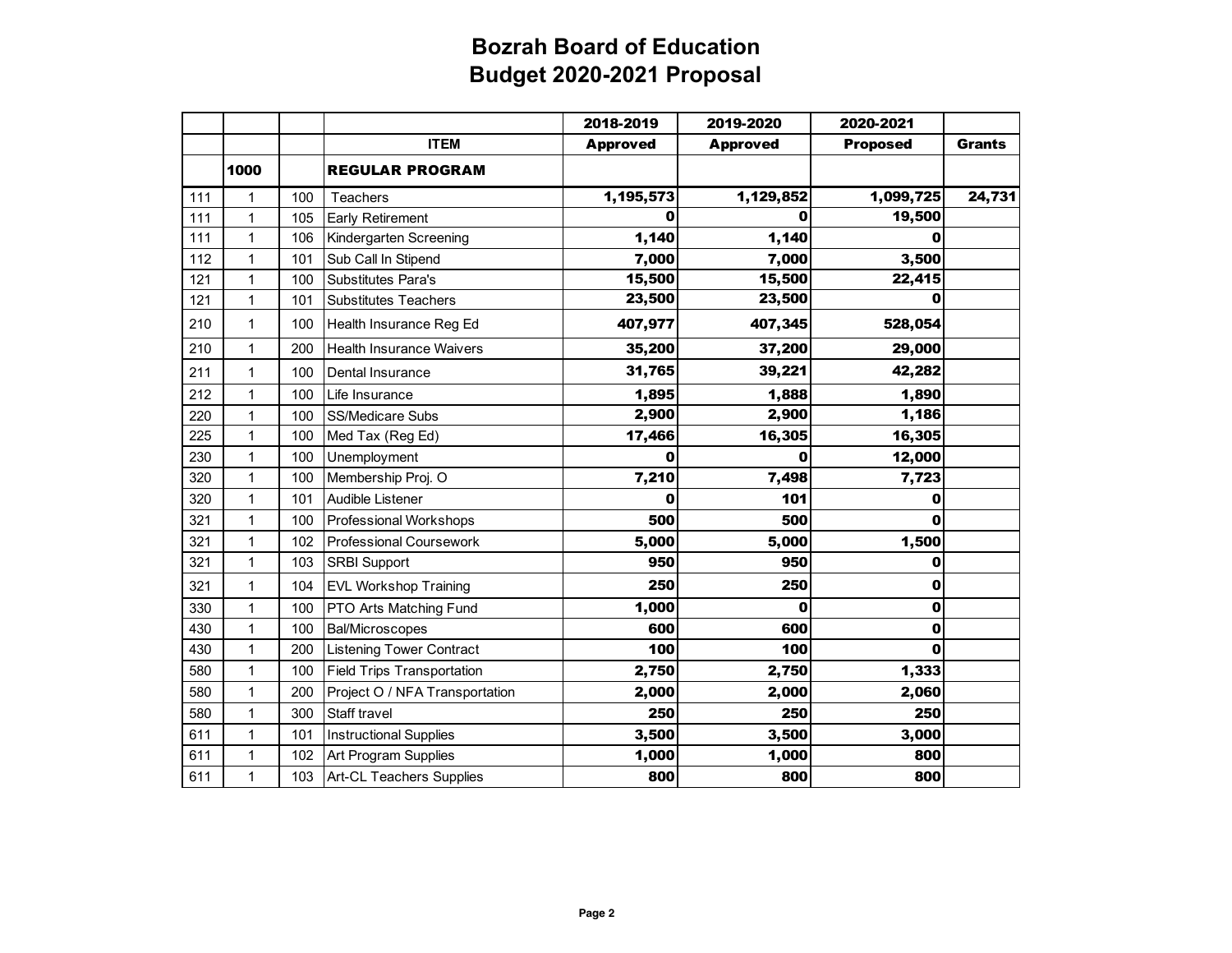|     |              |     |                                   | 2018-2019       | 2019-2020       | 2020-2021       |               |
|-----|--------------|-----|-----------------------------------|-----------------|-----------------|-----------------|---------------|
|     |              |     | <b>ITEM</b>                       | <b>Approved</b> | <b>Approved</b> | <b>Proposed</b> | <b>Grants</b> |
|     | 1000         |     | <b>REGULAR PROGRAM</b>            |                 |                 |                 |               |
| 111 | $\mathbf{1}$ | 100 | Teachers                          | 1,195,573       | 1,129,852       | 1,099,725       | 24,731        |
| 111 | $\mathbf{1}$ | 105 | <b>Early Retirement</b>           | O               | O               | 19,500          |               |
| 111 | $\mathbf{1}$ | 106 | Kindergarten Screening            | 1,140           | 1,140           | 0               |               |
| 112 | $\mathbf 1$  | 101 | Sub Call In Stipend               | 7,000           | 7,000           | 3,500           |               |
| 121 | $\mathbf{1}$ | 100 | <b>Substitutes Para's</b>         | 15,500          | 15,500          | 22,415          |               |
| 121 | $\mathbf{1}$ | 101 | <b>Substitutes Teachers</b>       | 23,500          | 23,500          | 0               |               |
| 210 | $\mathbf{1}$ | 100 | Health Insurance Reg Ed           | 407,977         | 407,345         | 528,054         |               |
| 210 | $\mathbf{1}$ | 200 | <b>Health Insurance Waivers</b>   | 35,200          | 37,200          | 29,000          |               |
| 211 | $\mathbf{1}$ | 100 | Dental Insurance                  | 31,765          | 39,221          | 42,282          |               |
| 212 | $\mathbf{1}$ | 100 | Life Insurance                    | 1,895           | 1,888           | 1,890           |               |
| 220 | $\mathbf{1}$ | 100 | <b>SS/Medicare Subs</b>           | 2,900           | 2,900           | 1,186           |               |
| 225 | $\mathbf{1}$ | 100 | Med Tax (Reg Ed)                  | 17,466          | 16,305          | 16,305          |               |
| 230 | $\mathbf{1}$ | 100 | Unemployment                      | 0               | $\mathbf 0$     | 12,000          |               |
| 320 | $\mathbf{1}$ | 100 | Membership Proj. O                | 7,210           | 7,498           | 7,723           |               |
| 320 | $\mathbf{1}$ | 101 | Audible Listener                  | 0               | 101             | 0               |               |
| 321 | $\mathbf{1}$ | 100 | Professional Workshops            | 500             | 500             | Ω               |               |
| 321 | $\mathbf{1}$ | 102 | <b>Professional Coursework</b>    | 5,000           | 5,000           | 1,500           |               |
| 321 | $\mathbf{1}$ | 103 | <b>SRBI Support</b>               | 950             | 950             | 0               |               |
| 321 | $\mathbf{1}$ | 104 | <b>EVL Workshop Training</b>      | 250             | 250             | 0               |               |
| 330 | $\mathbf{1}$ | 100 | PTO Arts Matching Fund            | 1,000           | O               | 0               |               |
| 430 | $\mathbf{1}$ | 100 | <b>Bal/Microscopes</b>            | 600             | 600             | 0               |               |
| 430 | $\mathbf{1}$ | 200 | <b>Listening Tower Contract</b>   | 100             | 100             | 0               |               |
| 580 | $\mathbf 1$  | 100 | <b>Field Trips Transportation</b> | 2,750           | 2,750           | 1,333           |               |
| 580 | $\mathbf{1}$ | 200 | Project O / NFA Transportation    | 2,000           | 2,000           | 2,060           |               |
| 580 | $\mathbf 1$  | 300 | Staff travel                      | 250             | 250             | 250             |               |
| 611 | $\mathbf{1}$ | 101 | <b>Instructional Supplies</b>     | 3,500           | 3,500           | 3,000           |               |
| 611 | $\mathbf{1}$ | 102 | Art Program Supplies              | 1,000           | 1,000           | 800             |               |
| 611 | $\mathbf{1}$ | 103 | Art-CL Teachers Supplies          | 800             | 800             | 800             |               |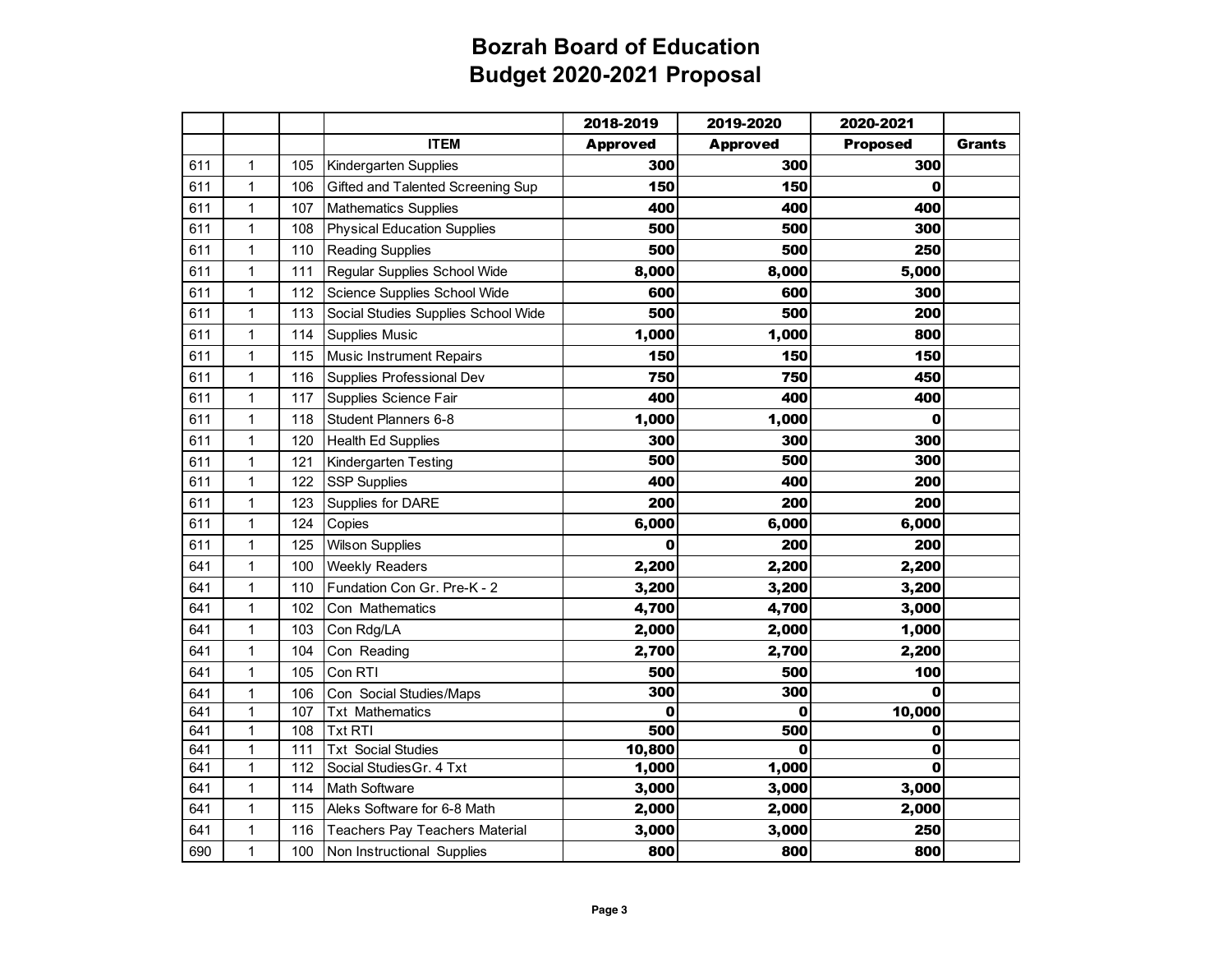|     |              |     |                                     | 2018-2019       | 2019-2020       | 2020-2021       |               |
|-----|--------------|-----|-------------------------------------|-----------------|-----------------|-----------------|---------------|
|     |              |     | <b>ITEM</b>                         | <b>Approved</b> | <b>Approved</b> | <b>Proposed</b> | <b>Grants</b> |
| 611 | 1            | 105 | Kindergarten Supplies               | 300             | 300             | 300             |               |
| 611 | 1            | 106 | Gifted and Talented Screening Sup   | 150             | 150             | 0               |               |
| 611 | 1            | 107 | <b>Mathematics Supplies</b>         | 400             | 400             | 400             |               |
| 611 | $\mathbf{1}$ | 108 | <b>Physical Education Supplies</b>  | 500             | 500             | 300             |               |
| 611 | 1            | 110 | <b>Reading Supplies</b>             | 500             | 500             | 250             |               |
| 611 | $\mathbf{1}$ | 111 | Regular Supplies School Wide        | 8,000           | 8,000           | 5,000           |               |
| 611 | 1            | 112 | Science Supplies School Wide        | 600             | 600             | 300             |               |
| 611 | 1            | 113 | Social Studies Supplies School Wide | 500             | 500             | 200             |               |
| 611 | $\mathbf{1}$ | 114 | Supplies Music                      | 1,000           | 1,000           | 800             |               |
| 611 | 1            | 115 | <b>Music Instrument Repairs</b>     | 150             | 150             | 150             |               |
| 611 | 1            | 116 | Supplies Professional Dev           | 750             | 750             | 450             |               |
| 611 | 1            | 117 | Supplies Science Fair               | 400             | 400             | 400             |               |
| 611 | 1            | 118 | Student Planners 6-8                | 1,000           | 1,000           | 0               |               |
| 611 | 1            | 120 | <b>Health Ed Supplies</b>           | 300             | 300             | 300             |               |
| 611 | 1            | 121 | <b>Kindergarten Testing</b>         | 500             | 500             | 300             |               |
| 611 | $\mathbf{1}$ | 122 | <b>SSP Supplies</b>                 | 400             | 400             | 200             |               |
| 611 | 1            | 123 | Supplies for DARE                   | 200             | 200             | 200             |               |
| 611 | 1            | 124 | Copies                              | 6,000           | 6,000           | 6,000           |               |
| 611 | $\mathbf{1}$ | 125 | <b>Wilson Supplies</b>              | 0               | 200             | 200             |               |
| 641 | 1            | 100 | <b>Weekly Readers</b>               | 2,200           | 2,200           | 2,200           |               |
| 641 | $\mathbf{1}$ | 110 | Fundation Con Gr. Pre-K - 2         | 3,200           | 3,200           | 3,200           |               |
| 641 | 1            | 102 | Con Mathematics                     | 4,700           | 4,700           | 3,000           |               |
| 641 | 1            | 103 | Con Rdg/LA                          | 2,000           | 2,000           | 1,000           |               |
| 641 | 1            | 104 | Con Reading                         | 2,700           | 2,700           | 2,200           |               |
| 641 | 1            | 105 | Con RTI                             | 500             | 500             | 100             |               |
| 641 | 1            | 106 | Con Social Studies/Maps             | 300             | 300             | O               |               |
| 641 | 1            | 107 | <b>Txt Mathematics</b>              | 0               | O               | 10,000          |               |
| 641 | 1            | 108 | <b>Txt RTI</b>                      | 500             | 500             | 0               |               |
| 641 | 1            | 111 | <b>Txt Social Studies</b>           | 10,800          | 0               | $\bf{0}$        |               |
| 641 | 1            | 112 | Social Studies Gr. 4 Txt            | 1,000           | 1,000           | 0               |               |
| 641 | $\mathbf 1$  | 114 | Math Software                       | 3,000           | 3,000           | 3,000           |               |
| 641 | 1            | 115 | Aleks Software for 6-8 Math         | 2,000           | 2,000           | 2,000           |               |
| 641 | 1            | 116 | Teachers Pay Teachers Material      | 3,000           | 3,000           | 250             |               |
| 690 | 1            | 100 | Non Instructional Supplies          | 800             | 800             | 800             |               |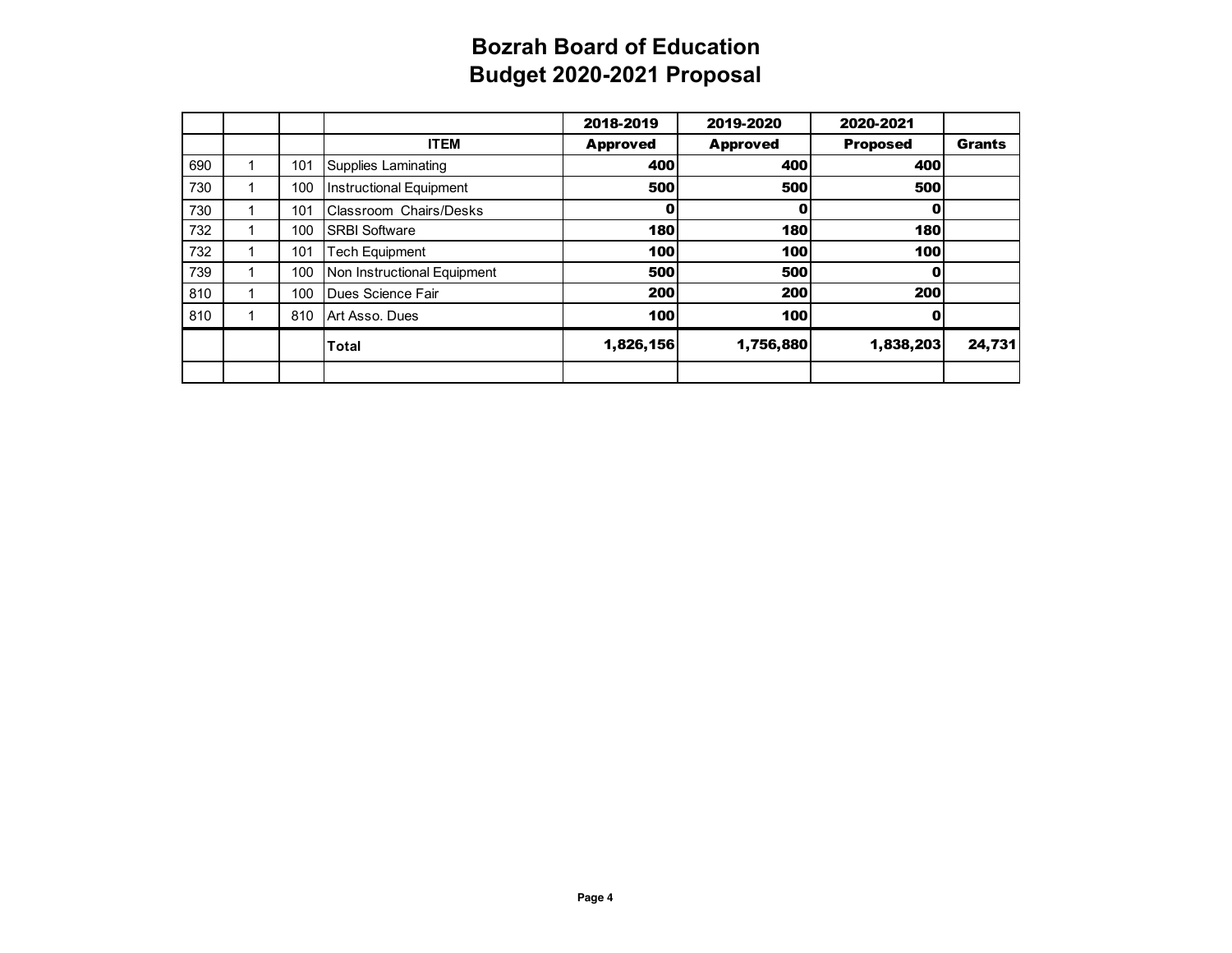|     |     |                             | 2018-2019       | 2019-2020       | 2020-2021       |               |
|-----|-----|-----------------------------|-----------------|-----------------|-----------------|---------------|
|     |     | <b>ITEM</b>                 | <b>Approved</b> | <b>Approved</b> | <b>Proposed</b> | <b>Grants</b> |
| 690 | 101 | Supplies Laminating         | 400             | 400             | 400             |               |
| 730 | 100 | Instructional Equipment     | 500             | 500             | 500             |               |
| 730 | 101 | Classroom Chairs/Desks      | Ω               |                 |                 |               |
| 732 | 100 | <b>SRBI Software</b>        | 180             | 180             | 180             |               |
| 732 | 101 | Tech Equipment              | 100             | 100             | 100             |               |
| 739 | 100 | Non Instructional Equipment | 500             | 500             | O               |               |
| 810 | 100 | Dues Science Fair           | 200             | 200             | 200             |               |
| 810 | 810 | Art Asso, Dues              | 100             | 100             |                 |               |
|     |     | <b>Total</b>                | 1,826,156       | 1,756,880       | 1,838,203       | 24,731        |
|     |     |                             |                 |                 |                 |               |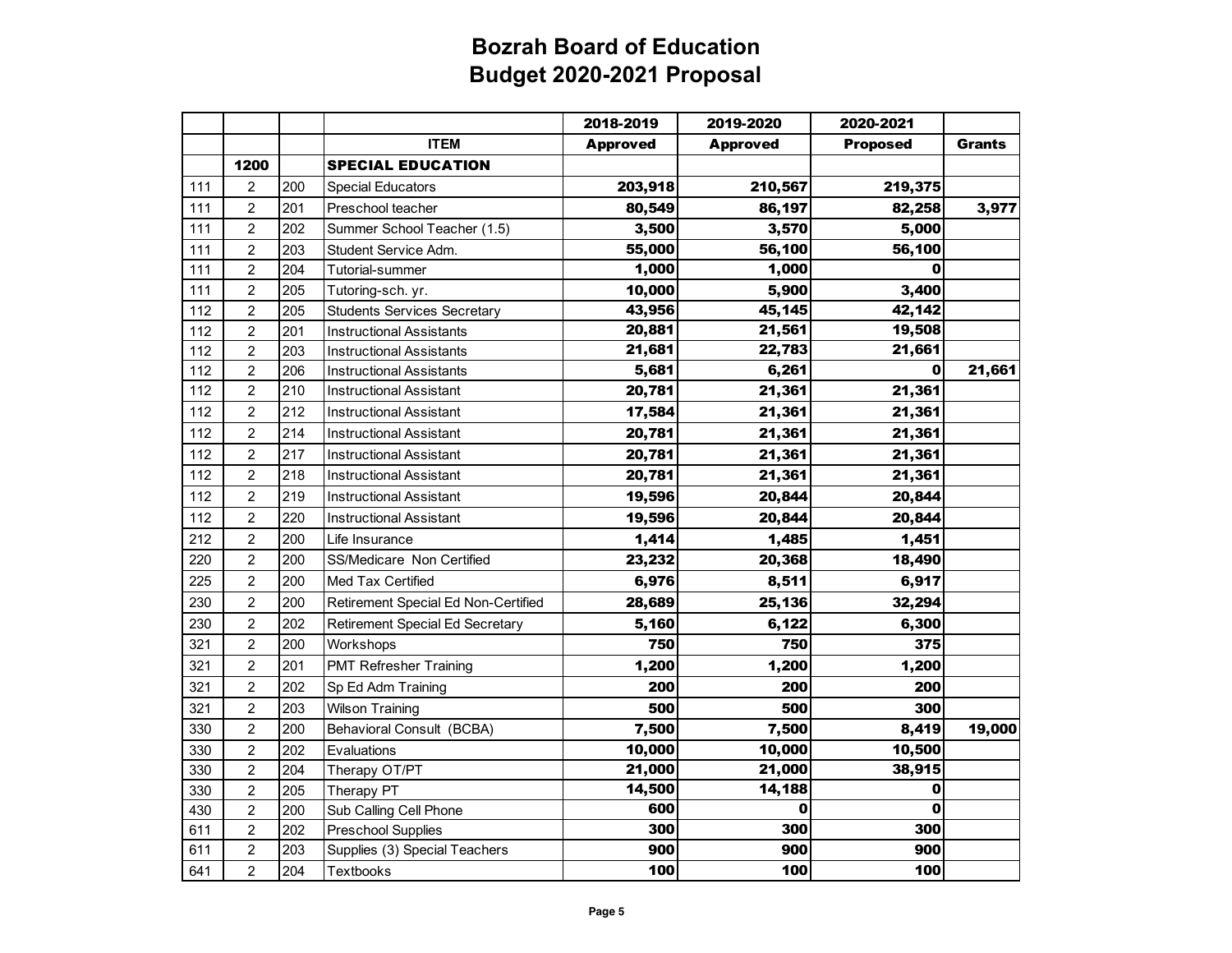|     |                         |     |                                     | 2018-2019       | 2019-2020       | 2020-2021       |               |
|-----|-------------------------|-----|-------------------------------------|-----------------|-----------------|-----------------|---------------|
|     |                         |     | <b>ITEM</b>                         | <b>Approved</b> | <b>Approved</b> | <b>Proposed</b> | <b>Grants</b> |
|     | 1200                    |     | <b>SPECIAL EDUCATION</b>            |                 |                 |                 |               |
| 111 | $\overline{c}$          | 200 | <b>Special Educators</b>            | 203,918         | 210,567         | 219,375         |               |
| 111 | $\overline{c}$          | 201 | Preschool teacher                   | 80,549          | 86,197          | 82,258          | 3,977         |
| 111 | $\overline{\mathbf{c}}$ | 202 | Summer School Teacher (1.5)         | 3,500           | 3,570           | 5,000           |               |
| 111 | $\overline{c}$          | 203 | Student Service Adm.                | 55,000          | 56,100          | 56,100          |               |
| 111 | $\boldsymbol{2}$        | 204 | Tutorial-summer                     | 1,000           | 1,000           | 0               |               |
| 111 | $\overline{c}$          | 205 | Tutoring-sch. yr.                   | 10,000          | 5,900           | 3,400           |               |
| 112 | $\boldsymbol{2}$        | 205 | <b>Students Services Secretary</b>  | 43,956          | 45,145          | 42,142          |               |
| 112 | $\overline{c}$          | 201 | Instructional Assistants            | 20,881          | 21,561          | 19,508          |               |
| 112 | $\overline{c}$          | 203 | <b>Instructional Assistants</b>     | 21,681          | 22,783          | 21,661          |               |
| 112 | $\overline{2}$          | 206 | <b>Instructional Assistants</b>     | 5,681           | 6,261           | 0               | 21,661        |
| 112 | $\overline{2}$          | 210 | <b>Instructional Assistant</b>      | 20,781          | 21,361          | 21,361          |               |
| 112 | $\overline{c}$          | 212 | <b>Instructional Assistant</b>      | 17,584          | 21,361          | 21,361          |               |
| 112 | $\overline{c}$          | 214 | <b>Instructional Assistant</b>      | 20,781          | 21,361          | 21,361          |               |
| 112 | $\overline{c}$          | 217 | Instructional Assistant             | 20,781          | 21,361          | 21,361          |               |
| 112 | $\overline{c}$          | 218 | <b>Instructional Assistant</b>      | 20,781          | 21,361          | 21,361          |               |
| 112 | $\overline{c}$          | 219 | <b>Instructional Assistant</b>      | 19,596          | 20,844          | 20,844          |               |
| 112 | $\overline{c}$          | 220 | <b>Instructional Assistant</b>      | 19,596          | 20,844          | 20,844          |               |
| 212 | $\overline{c}$          | 200 | Life Insurance                      | 1,414           | 1,485           | 1,451           |               |
| 220 | $\overline{c}$          | 200 | SS/Medicare Non Certified           | 23,232          | 20,368          | 18,490          |               |
| 225 | $\overline{c}$          | 200 | Med Tax Certified                   | 6,976           | 8,511           | 6,917           |               |
| 230 | $\overline{c}$          | 200 | Retirement Special Ed Non-Certified | 28,689          | 25,136          | 32,294          |               |
| 230 | $\overline{c}$          | 202 | Retirement Special Ed Secretary     | 5,160           | 6,122           | 6,300           |               |
| 321 | $\overline{c}$          | 200 | Workshops                           | 750             | 750             | 375             |               |
| 321 | $\overline{c}$          | 201 | <b>PMT Refresher Training</b>       | 1,200           | 1,200           | 1,200           |               |
| 321 | $\overline{2}$          | 202 | Sp Ed Adm Training                  | 200             | 200             | 200             |               |
| 321 | $\overline{c}$          | 203 | <b>Wilson Training</b>              | 500             | 500             | 300             |               |
| 330 | $\overline{c}$          | 200 | <b>Behavioral Consult (BCBA)</b>    | 7,500           | 7,500           | 8,419           | 19,000        |
| 330 | $\overline{c}$          | 202 | Evaluations                         | 10,000          | 10,000          | 10,500          |               |
| 330 | $\overline{c}$          | 204 | Therapy OT/PT                       | 21,000          | 21,000          | 38,915          |               |
| 330 | $\overline{2}$          | 205 | Therapy PT                          | 14,500          | 14,188          | 0               |               |
| 430 | $\overline{c}$          | 200 | Sub Calling Cell Phone              | 600             | 0               | O               |               |
| 611 | $\overline{c}$          | 202 | <b>Preschool Supplies</b>           | 300             | 300             | 300             |               |
| 611 | $\boldsymbol{2}$        | 203 | Supplies (3) Special Teachers       | 900             | 900             | 900             |               |
| 641 | $\overline{c}$          | 204 | Textbooks                           | 100             | 100             | 100             |               |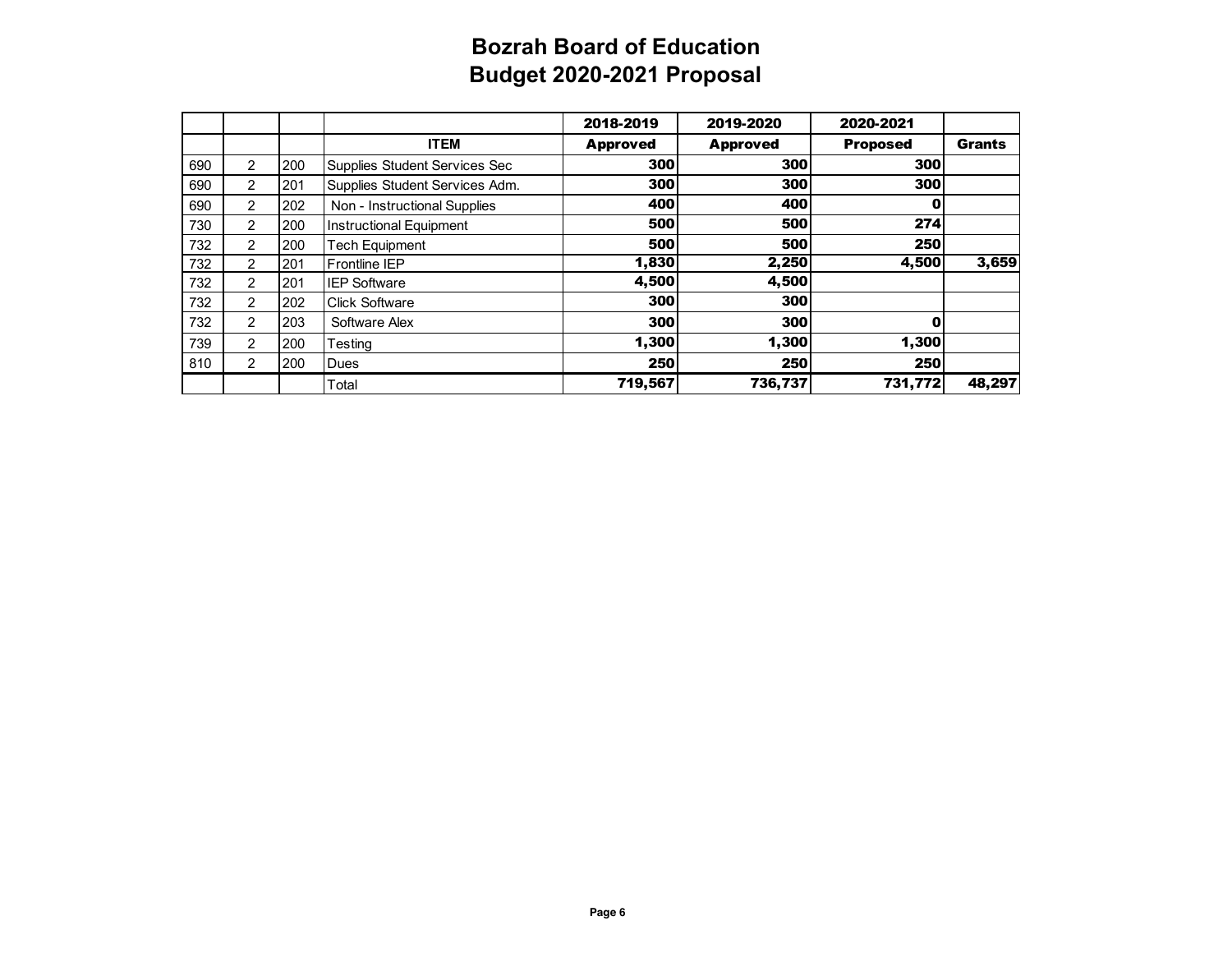|     |                |     |                                | 2018-2019       | 2019-2020       | 2020-2021       |               |
|-----|----------------|-----|--------------------------------|-----------------|-----------------|-----------------|---------------|
|     |                |     | <b>ITEM</b>                    | <b>Approved</b> | <b>Approved</b> | <b>Proposed</b> | <b>Grants</b> |
| 690 | $\overline{2}$ | 200 | Supplies Student Services Sec  | 300             | 300             | 300             |               |
| 690 | 2              | 201 | Supplies Student Services Adm. | 300             | 300             | 300             |               |
| 690 | 2              | 202 | Non - Instructional Supplies   | 400             | 400             | о               |               |
| 730 | $\overline{2}$ | 200 | Instructional Equipment        | 500             | 500             | 274             |               |
| 732 | 2              | 200 | <b>Tech Equipment</b>          | 500             | 500             | 250             |               |
| 732 | 2              | 201 | <b>Frontline IEP</b>           | 1,830           | 2,250           | 4,500           | 3,659         |
| 732 | 2              | 201 | <b>IEP Software</b>            | 4,500           | 4,500           |                 |               |
| 732 | $\overline{2}$ | 202 | <b>Click Software</b>          | 300             | 300             |                 |               |
| 732 | $\overline{2}$ | 203 | Software Alex                  | 300             | 300             | 0               |               |
| 739 | $\overline{2}$ | 200 | Testing                        | 1,300           | 1,300           | 1,300           |               |
| 810 | $\overline{2}$ | 200 | <b>Dues</b>                    | 250             | 250             | 250             |               |
|     |                |     | Total                          | 719,567         | 736,737         | 731,772         | 48,297        |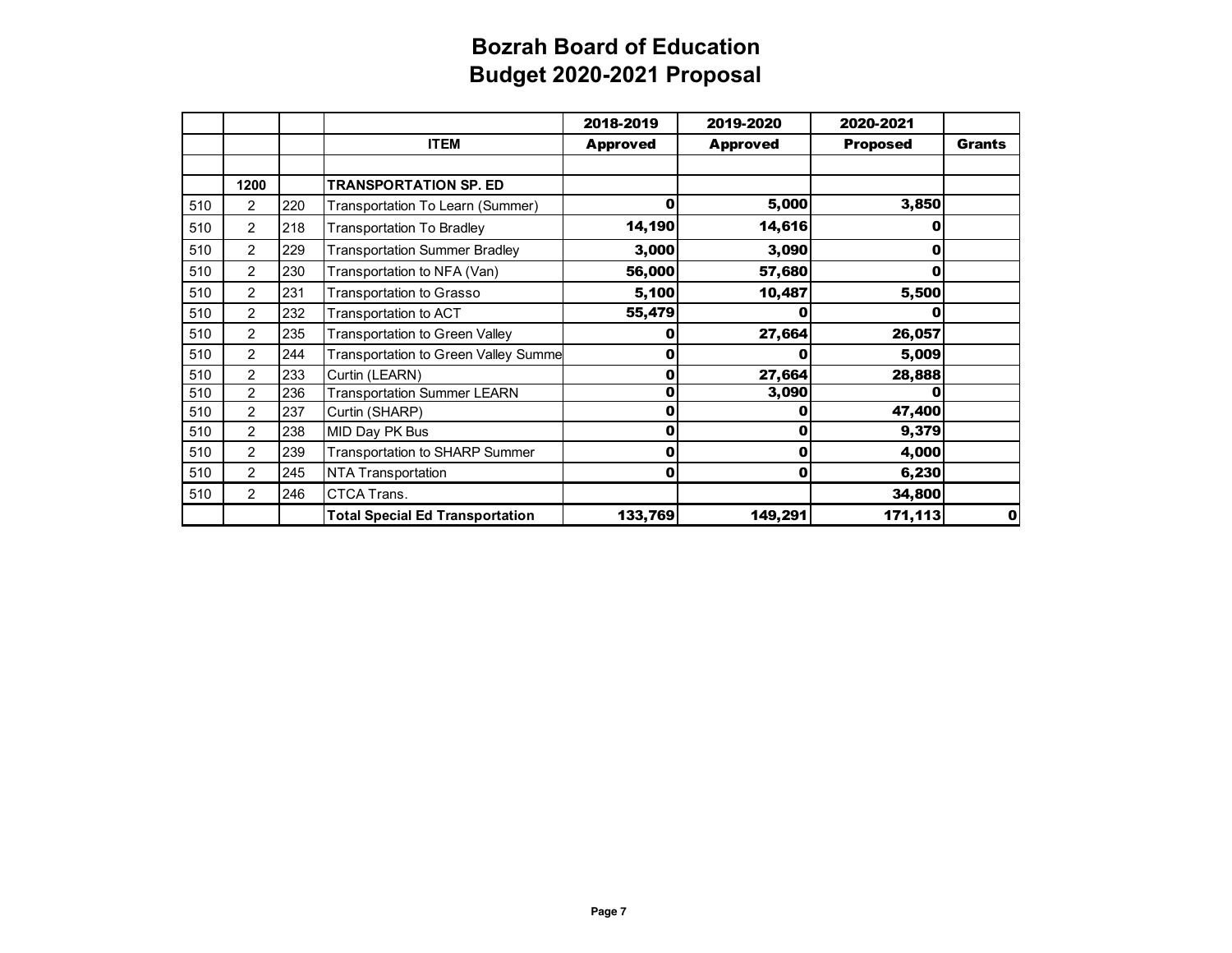|     |                |     |                                        | 2018-2019       | 2019-2020       | 2020-2021       |               |
|-----|----------------|-----|----------------------------------------|-----------------|-----------------|-----------------|---------------|
|     |                |     | <b>ITEM</b>                            | <b>Approved</b> | <b>Approved</b> | <b>Proposed</b> | <b>Grants</b> |
|     |                |     |                                        |                 |                 |                 |               |
|     | 1200           |     | <b>TRANSPORTATION SP. ED</b>           |                 |                 |                 |               |
| 510 | 2              | 220 | Transportation To Learn (Summer)       | 0               | 5,000           | 3,850           |               |
| 510 | $\overline{c}$ | 218 | <b>Transportation To Bradley</b>       | 14,190          | 14,616          | o               |               |
| 510 | $\overline{c}$ | 229 | <b>Transportation Summer Bradley</b>   | 3,000           | 3,090           | 0               |               |
| 510 | $\overline{c}$ | 230 | Transportation to NFA (Van)            | 56,000          | 57,680          | 0               |               |
| 510 | 2              | 231 | <b>Transportation to Grasso</b>        | 5,100           | 10,487          | 5,500           |               |
| 510 | 2              | 232 | Transportation to ACT                  | 55,479          | 0               | o               |               |
| 510 | 2              | 235 | <b>Transportation to Green Valley</b>  | 0               | 27,664          | 26,057          |               |
| 510 | $\overline{c}$ | 244 | Transportation to Green Valley Summe   | 0               | 0               | 5,009           |               |
| 510 | 2              | 233 | Curtin (LEARN)                         | 0               | 27,664          | 28,888          |               |
| 510 | 2              | 236 | <b>Transportation Summer LEARN</b>     | 0               | 3,090           | Λ               |               |
| 510 | 2              | 237 | Curtin (SHARP)                         | 0               | Ω               | 47,400          |               |
| 510 | 2              | 238 | MID Day PK Bus                         | 0               | 0               | 9,379           |               |
| 510 | $\overline{2}$ | 239 | Transportation to SHARP Summer         | 0               | 0               | 4,000           |               |
| 510 | 2              | 245 | NTA Transportation                     | 0               | 0               | 6,230           |               |
| 510 | $\overline{c}$ | 246 | CTCA Trans.                            |                 |                 | 34,800          |               |
|     |                |     | <b>Total Special Ed Transportation</b> | 133,769         | 149,291         | 171,113         | 0l            |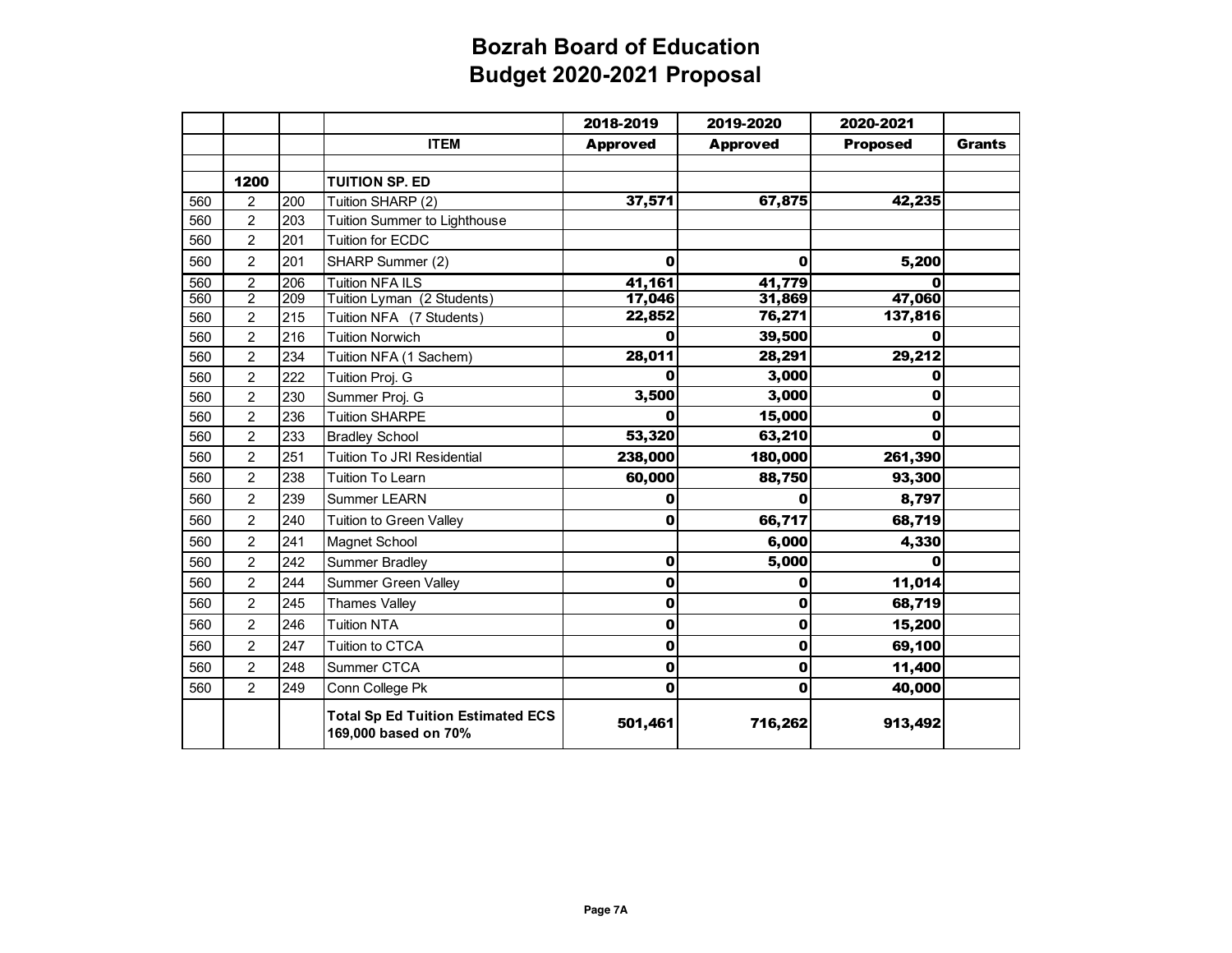|     |                |     |                                                                  | 2018-2019       | 2019-2020       | 2020-2021       |               |
|-----|----------------|-----|------------------------------------------------------------------|-----------------|-----------------|-----------------|---------------|
|     |                |     | <b>ITEM</b>                                                      | <b>Approved</b> | <b>Approved</b> | <b>Proposed</b> | <b>Grants</b> |
|     |                |     |                                                                  |                 |                 |                 |               |
|     | 1200           |     | <b>TUITION SP. ED</b>                                            |                 |                 |                 |               |
| 560 | 2              | 200 | Tuition SHARP (2)                                                | 37,571          | 67,875          | 42,235          |               |
| 560 | $\overline{c}$ | 203 | Tuition Summer to Lighthouse                                     |                 |                 |                 |               |
| 560 | $\overline{2}$ | 201 | Tuition for ECDC                                                 |                 |                 |                 |               |
| 560 | $\overline{2}$ | 201 | SHARP Summer (2)                                                 | 0               | 0               | 5,200           |               |
| 560 | 5              | 206 | Tuition NFA'IL'S                                                 | 41,161          | 41,779          | Ø               |               |
| 560 | $\overline{2}$ | 209 | Tuition Lyman (2 Students)                                       | 17,046          | 31,869          | 47,060          |               |
| 560 | $\overline{c}$ | 215 | Tuition NFA (7 Students)                                         | 22,852          | 76,271          | 137,816         |               |
| 560 | $\overline{c}$ | 216 | <b>Tuition Norwich</b>                                           | Ω               | 39,500          | 0               |               |
| 560 | $\overline{c}$ | 234 | Tuition NFA (1 Sachem)                                           | 28,011          | 28,291          | 29,212          |               |
| 560 | $\overline{2}$ | 222 | Tuition Proj. G                                                  | Λ               | 3,000           | 0               |               |
| 560 | 2              | 230 | Summer Proj. G                                                   | 3,500           | 3,000           | 0               |               |
| 560 | $\overline{2}$ | 236 | <b>Tuition SHARPE</b>                                            | O               | 15,000          | 0               |               |
| 560 | $\overline{2}$ | 233 | <b>Bradley School</b>                                            | 53,320          | 63,210          | 0               |               |
| 560 | $\overline{2}$ | 251 | <b>Tuition To JRI Residential</b>                                | 238,000         | 180,000         | 261,390         |               |
| 560 | $\overline{2}$ | 238 | <b>Tuition To Learn</b>                                          | 60,000          | 88,750          | 93,300          |               |
| 560 | $\overline{2}$ | 239 | <b>Summer LEARN</b>                                              | 0               | 0               | 8,797           |               |
| 560 | $\overline{c}$ | 240 | <b>Tuition to Green Valley</b>                                   | 0               | 66,717          | 68,719          |               |
| 560 | $\overline{2}$ | 241 | Magnet School                                                    |                 | 6,000           | 4,330           |               |
| 560 | $\overline{c}$ | 242 | Summer Bradley                                                   | 0               | 5,000           | U               |               |
| 560 | $\overline{c}$ | 244 | <b>Summer Green Valley</b>                                       | 0               | 0               | 11,014          |               |
| 560 | $\overline{c}$ | 245 | <b>Thames Valley</b>                                             | 0               | 0               | 68,719          |               |
| 560 | $\overline{c}$ | 246 | <b>Tuition NTA</b>                                               | 0               | $\mathbf 0$     | 15,200          |               |
| 560 | $\overline{c}$ | 247 | Tuition to CTCA                                                  | 0               | $\mathbf 0$     | 69,100          |               |
| 560 | $\overline{c}$ | 248 | Summer CTCA                                                      | 0               | $\mathbf 0$     | 11,400          |               |
| 560 | $\overline{2}$ | 249 | Conn College Pk                                                  | O               | $\mathbf 0$     | 40,000          |               |
|     |                |     | <b>Total Sp Ed Tuition Estimated ECS</b><br>169,000 based on 70% | 501,461         | 716,262         | 913,492         |               |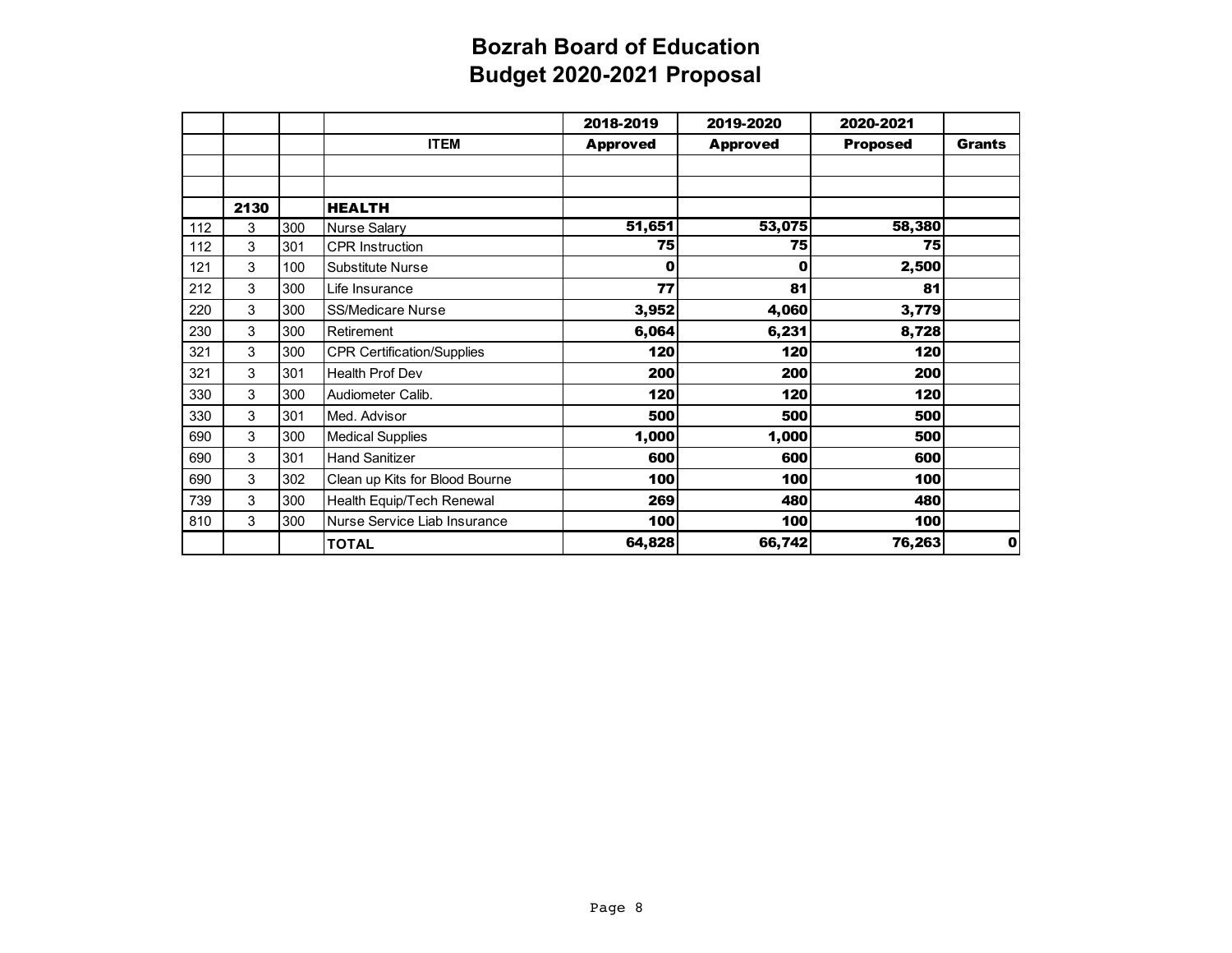|     |      |     |                                   | 2018-2019       | 2019-2020       | 2020-2021       |               |
|-----|------|-----|-----------------------------------|-----------------|-----------------|-----------------|---------------|
|     |      |     | <b>ITEM</b>                       | <b>Approved</b> | <b>Approved</b> | <b>Proposed</b> | <b>Grants</b> |
|     |      |     |                                   |                 |                 |                 |               |
|     |      |     |                                   |                 |                 |                 |               |
|     | 2130 |     | <b>HEALTH</b>                     |                 |                 |                 |               |
| 112 | 3    | 300 | <b>Nurse Salary</b>               | 51,651          | 53,075          | 58,380          |               |
| 112 | 3    | 301 | <b>CPR</b> Instruction            | 75              | 75              | 75              |               |
| 121 | 3    | 100 | Substitute Nurse                  | 0               | 0               | 2,500           |               |
| 212 | 3    | 300 | Life Insurance                    | 77              | 81              | 81              |               |
| 220 | 3    | 300 | <b>SS/Medicare Nurse</b>          | 3,952           | 4,060           | 3,779           |               |
| 230 | 3    | 300 | Retirement                        | 6,064           | 6,231           | 8,728           |               |
| 321 | 3    | 300 | <b>CPR Certification/Supplies</b> | 120             | 120             | 120             |               |
| 321 | 3    | 301 | <b>Health Prof Dev</b>            | 200             | 200             | 200             |               |
| 330 | 3    | 300 | Audiometer Calib.                 | 120             | 120             | 120             |               |
| 330 | 3    | 301 | Med. Advisor                      | 500             | 500             | 500             |               |
| 690 | 3    | 300 | <b>Medical Supplies</b>           | 1,000           | 1,000           | 500             |               |
| 690 | 3    | 301 | <b>Hand Sanitizer</b>             | 600             | 600             | 600             |               |
| 690 | 3    | 302 | Clean up Kits for Blood Bourne    | 100             | 100             | 100             |               |
| 739 | 3    | 300 | Health Equip/Tech Renewal         | 269             | 480             | 480             |               |
| 810 | 3    | 300 | Nurse Service Liab Insurance      | 100             | 100             | 100             |               |
|     |      |     | <b>TOTAL</b>                      | 64,828          | 66,742          | 76,263          | 0             |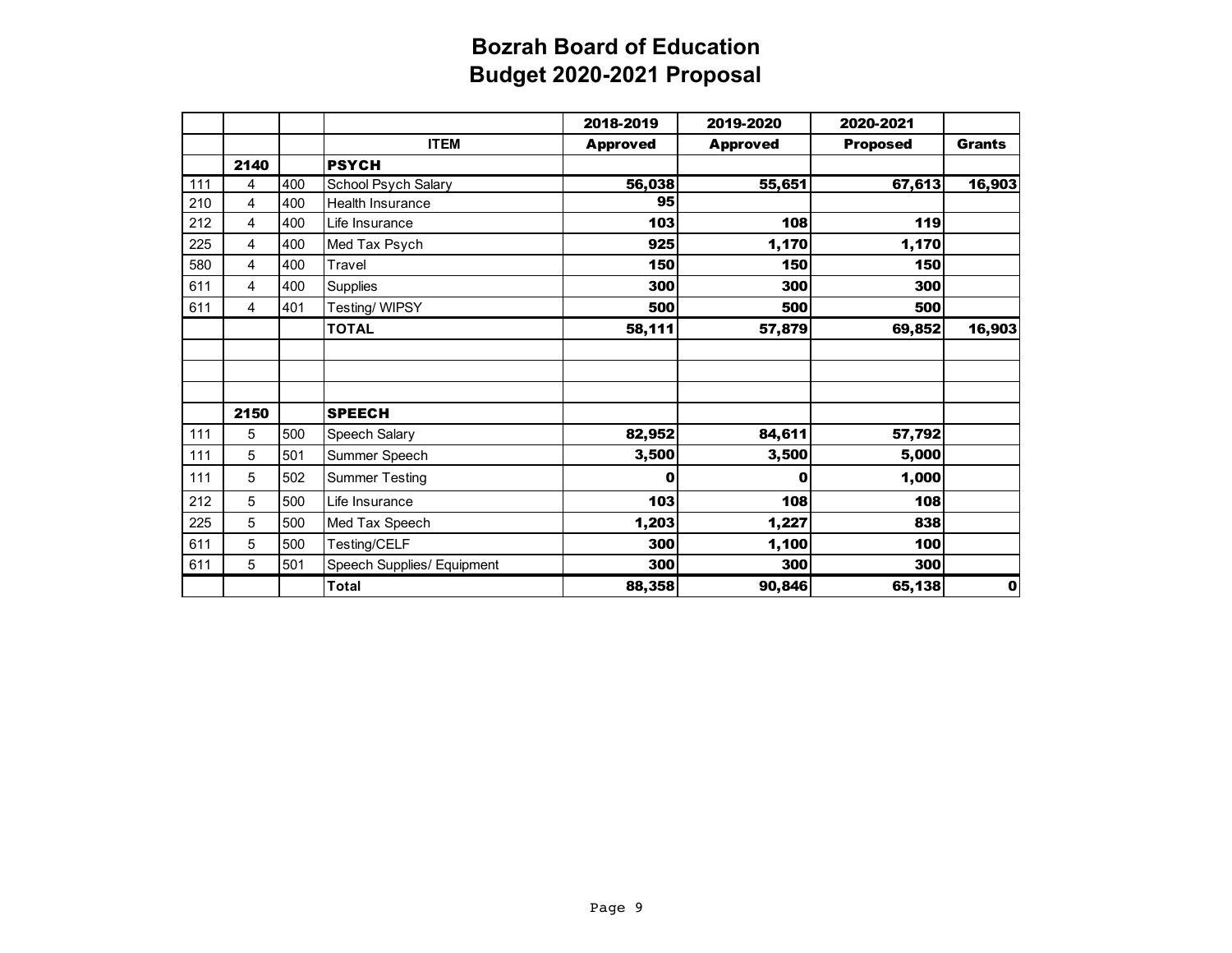|     |      |     |                            | 2018-2019       | 2019-2020       | 2020-2021       |               |
|-----|------|-----|----------------------------|-----------------|-----------------|-----------------|---------------|
|     |      |     | <b>ITEM</b>                | <b>Approved</b> | <b>Approved</b> | <b>Proposed</b> | <b>Grants</b> |
|     | 2140 |     | <b>PSYCH</b>               |                 |                 |                 |               |
| 111 | 4    | 400 | School Psych Salary        | 56,038          | 55,651          | 67,613          | 16,903        |
| 210 | 4    | 400 | Health Insurance           | 95              |                 |                 |               |
| 212 | 4    | 400 | Life Insurance             | 103             | 108             | 119             |               |
| 225 | 4    | 400 | Med Tax Psych              | 925             | 1,170           | 1,170           |               |
| 580 | 4    | 400 | Travel                     | 150             | 150             | 150             |               |
| 611 | 4    | 400 | Supplies                   | 300             | 300             | 300             |               |
| 611 | 4    | 401 | Testing/WIPSY              | 500             | 500             | <b>500</b>      |               |
|     |      |     | <b>TOTAL</b>               | 58,111          | 57,879          | 69,852          | 16,903        |
|     |      |     |                            |                 |                 |                 |               |
|     |      |     |                            |                 |                 |                 |               |
|     |      |     |                            |                 |                 |                 |               |
|     | 2150 |     | <b>SPEECH</b>              |                 |                 |                 |               |
| 111 | 5    | 500 | Speech Salary              | 82,952          | 84,611          | 57,792          |               |
| 111 | 5    | 501 | Summer Speech              | 3,500           | 3,500           | 5,000           |               |
| 111 | 5    | 502 | <b>Summer Testing</b>      | 0               | 0               | 1,000           |               |
| 212 | 5    | 500 | Life Insurance             | 103             | 108             | 108             |               |
| 225 | 5    | 500 | Med Tax Speech             | 1,203           | 1,227           | 838             |               |
| 611 | 5    | 500 | Testing/CELF               | 300             | 1,100           | 100             |               |
| 611 | 5    | 501 | Speech Supplies/ Equipment | 300             | 300             | 300             |               |
|     |      |     | Total                      | 88,358          | 90,846          | 65,138          | 0             |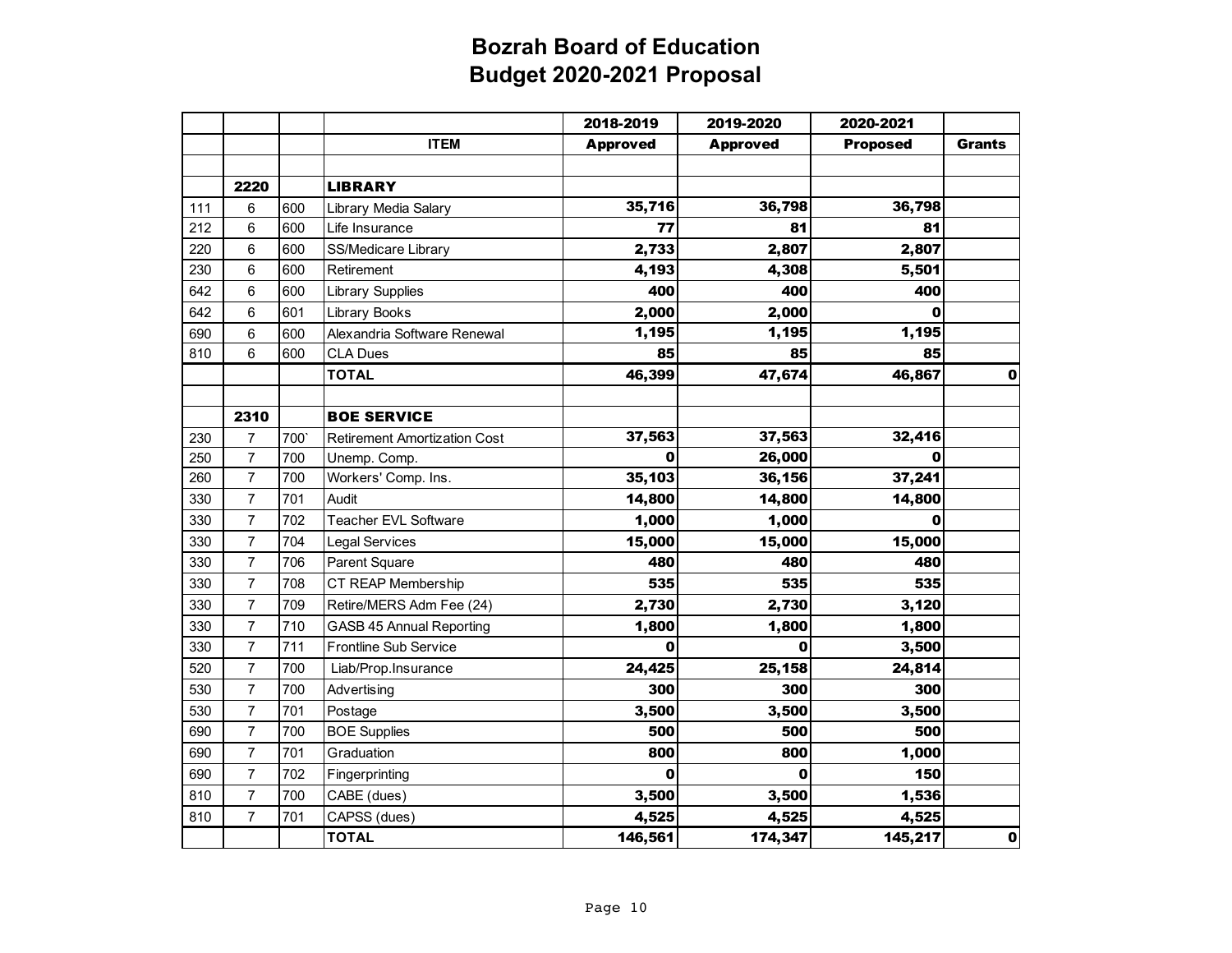|     |                |     |                                     | 2018-2019       | 2019-2020       | 2020-2021       |               |
|-----|----------------|-----|-------------------------------------|-----------------|-----------------|-----------------|---------------|
|     |                |     | <b>ITEM</b>                         | <b>Approved</b> | <b>Approved</b> | <b>Proposed</b> | <b>Grants</b> |
|     |                |     |                                     |                 |                 |                 |               |
|     | 2220           |     | <b>LIBRARY</b>                      |                 |                 |                 |               |
| 111 | 6              | 600 | Library Media Salary                | 35,716          | 36,798          | 36,798          |               |
| 212 | 6              | 600 | Life Insurance                      | 77              | 81              | 81              |               |
| 220 | 6              | 600 | SS/Medicare Library                 | 2,733           | 2,807           | 2,807           |               |
| 230 | 6              | 600 | Retirement                          | 4,193           | 4,308           | 5,501           |               |
| 642 | 6              | 600 | <b>Library Supplies</b>             | 400             | 400             | 400             |               |
| 642 | 6              | 601 | <b>Library Books</b>                | 2,000           | 2,000           | 0               |               |
| 690 | 6              | 600 | Alexandria Software Renewal         | 1,195           | 1,195           | 1,195           |               |
| 810 | 6              | 600 | <b>CLA Dues</b>                     | 85              | 85              | 85              |               |
|     |                |     | <b>TOTAL</b>                        | 46,399          | 47,674          | 46,867          | $\mathbf{0}$  |
|     |                |     |                                     |                 |                 |                 |               |
|     | 2310           |     | <b>BOE SERVICE</b>                  |                 |                 |                 |               |
| 230 | 7              | 700 | <b>Retirement Amortization Cost</b> | 37,563          | 37,563          | 32,416          |               |
| 250 | $\overline{7}$ | 700 | Unemp. Comp.                        | 0               | 26,000          | 0               |               |
| 260 | $\overline{7}$ | 700 | Workers' Comp. Ins.                 | 35,103          | 36,156          | 37,241          |               |
| 330 | $\overline{7}$ | 701 | Audit                               | 14,800          | 14,800          | 14,800          |               |
| 330 | $\overline{7}$ | 702 | <b>Teacher EVL Software</b>         | 1,000           | 1,000           | 0               |               |
| 330 | $\overline{7}$ | 704 | Legal Services                      | 15,000          | 15,000          | 15,000          |               |
| 330 | $\overline{7}$ | 706 | Parent Square                       | 480             | 480             | 480             |               |
| 330 | $\overline{7}$ | 708 | CT REAP Membership                  | 535             | 535             | 535             |               |
| 330 | $\overline{7}$ | 709 | Retire/MERS Adm Fee (24)            | 2,730           | 2,730           | 3,120           |               |
| 330 | $\overline{7}$ | 710 | GASB 45 Annual Reporting            | 1,800           | 1,800           | 1,800           |               |
| 330 | $\overline{7}$ | 711 | <b>Frontline Sub Service</b>        | O               | 0               | 3,500           |               |
| 520 | $\overline{7}$ | 700 | Liab/Prop.Insurance                 | 24,425          | 25,158          | 24,814          |               |
| 530 | $\overline{7}$ | 700 | Advertising                         | 300             | 300             | 300             |               |
| 530 | $\overline{7}$ | 701 | Postage                             | 3,500           | 3,500           | 3,500           |               |
| 690 | $\overline{7}$ | 700 | <b>BOE Supplies</b>                 | 500             | 500             | 500             |               |
| 690 | $\overline{7}$ | 701 | Graduation                          | 800             | 800             | 1,000           |               |
| 690 | $\overline{7}$ | 702 | Fingerprinting                      | 0               | 0               | 150             |               |
| 810 | $\overline{7}$ | 700 | CABE (dues)                         | 3,500           | 3,500           | 1,536           |               |
| 810 | $\overline{7}$ | 701 | CAPSS (dues)                        | 4,525           | 4,525           | 4,525           |               |
|     |                |     | <b>TOTAL</b>                        | 146,561         | 174,347         | 145,217         | $\mathbf{0}$  |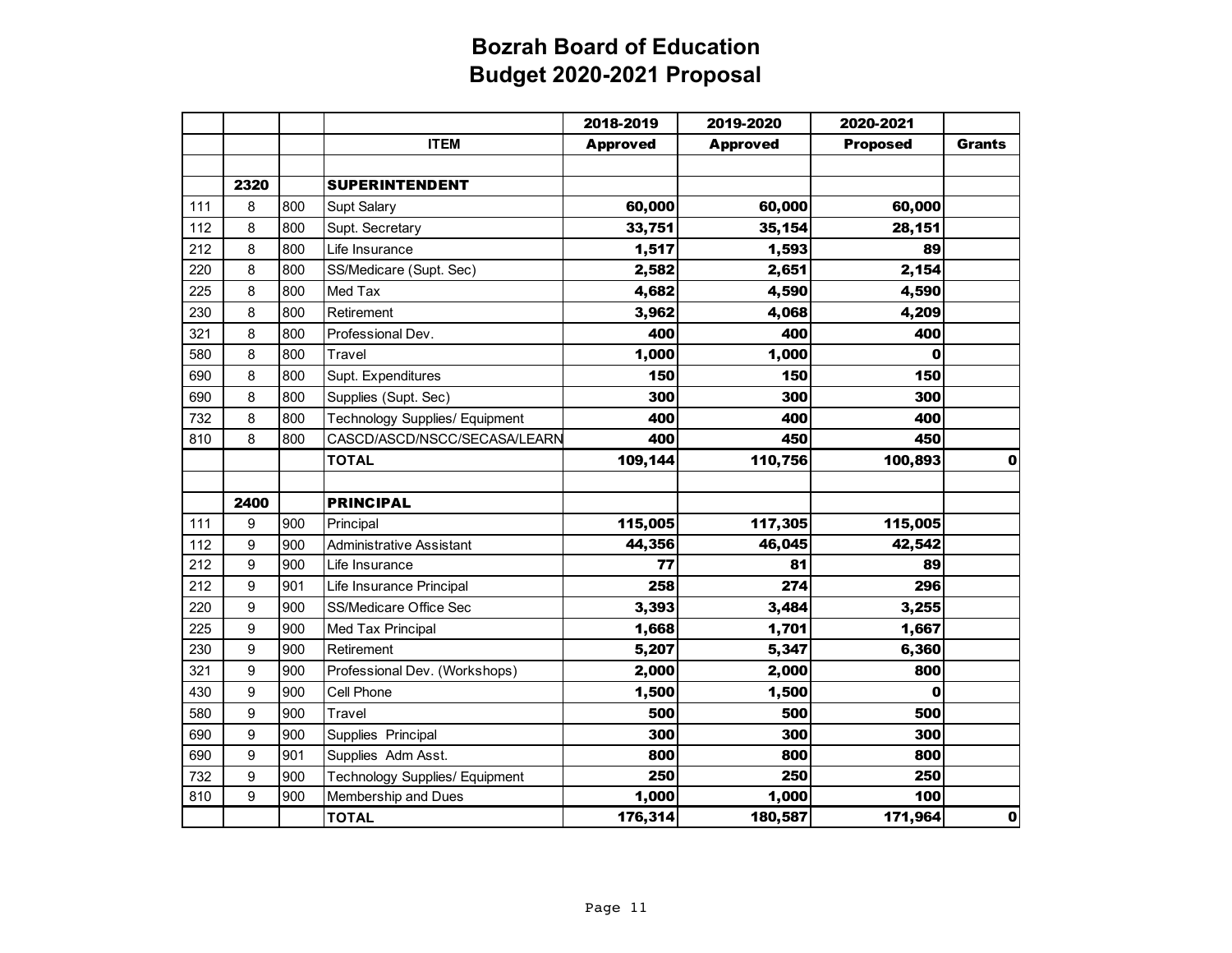|     |      |     |                                       | 2018-2019       | 2019-2020       | 2020-2021       |               |
|-----|------|-----|---------------------------------------|-----------------|-----------------|-----------------|---------------|
|     |      |     | <b>ITEM</b>                           | <b>Approved</b> | <b>Approved</b> | <b>Proposed</b> | <b>Grants</b> |
|     |      |     |                                       |                 |                 |                 |               |
|     | 2320 |     | <b>SUPERINTENDENT</b>                 |                 |                 |                 |               |
| 111 | 8    | 800 | Supt Salary                           | 60,000          | 60,000          | 60,000          |               |
| 112 | 8    | 800 | Supt. Secretary                       | 33,751          | 35,154          | 28,151          |               |
| 212 | 8    | 800 | Life Insurance                        | 1,517           | 1,593           | 89              |               |
| 220 | 8    | 800 | SS/Medicare (Supt. Sec)               | 2,582           | 2,651           | 2,154           |               |
| 225 | 8    | 800 | Med Tax                               | 4,682           | 4,590           | 4,590           |               |
| 230 | 8    | 800 | Retirement                            | 3,962           | 4,068           | 4,209           |               |
| 321 | 8    | 800 | Professional Dev.                     | 400             | 400             | 400             |               |
| 580 | 8    | 800 | Travel                                | 1,000           | 1,000           | 0               |               |
| 690 | 8    | 800 | Supt. Expenditures                    | 150             | 150             | 150             |               |
| 690 | 8    | 800 | Supplies (Supt. Sec)                  | 300             | 300             | 300             |               |
| 732 | 8    | 800 | <b>Technology Supplies/ Equipment</b> | 400             | 400             | 400             |               |
| 810 | 8    | 800 | CASCD/ASCD/NSCC/SECASA/LEARN          | 400             | 450             | 450             |               |
|     |      |     | <b>TOTAL</b>                          | 109,144         | 110,756         | 100,893         | $\mathbf 0$   |
|     |      |     |                                       |                 |                 |                 |               |
|     | 2400 |     | <b>PRINCIPAL</b>                      |                 |                 |                 |               |
| 111 | 9    | 900 | Principal                             | 115,005         | 117,305         | 115,005         |               |
| 112 | 9    | 900 | Administrative Assistant              | 44,356          | 46,045          | 42,542          |               |
| 212 | 9    | 900 | Life Insurance                        | 77              | 81              | 89              |               |
| 212 | 9    | 901 | Life Insurance Principal              | 258             | 274             | 296             |               |
| 220 | 9    | 900 | SS/Medicare Office Sec                | 3,393           | 3,484           | 3,255           |               |
| 225 | 9    | 900 | Med Tax Principal                     | 1,668           | 1,701           | 1,667           |               |
| 230 | 9    | 900 | Retirement                            | 5,207           | 5,347           | 6,360           |               |
| 321 | 9    | 900 | Professional Dev. (Workshops)         | 2,000           | 2,000           | 800             |               |
| 430 | 9    | 900 | Cell Phone                            | 1,500           | 1,500           | 0               |               |
| 580 | 9    | 900 | Travel                                | 500             | 500             | 500             |               |
| 690 | 9    | 900 | Supplies Principal                    | 300             | 300             | 300             |               |
| 690 | 9    | 901 | Supplies Adm Asst.                    | 800             | 800             | 800             |               |
| 732 | 9    | 900 | Technology Supplies/ Equipment        | 250             | 250             | 250             |               |
| 810 | 9    | 900 | Membership and Dues                   | 1,000           | 1,000           | 100             |               |
|     |      |     | <b>TOTAL</b>                          | 176,314         | 180,587         | 171,964         | $\pmb{0}$     |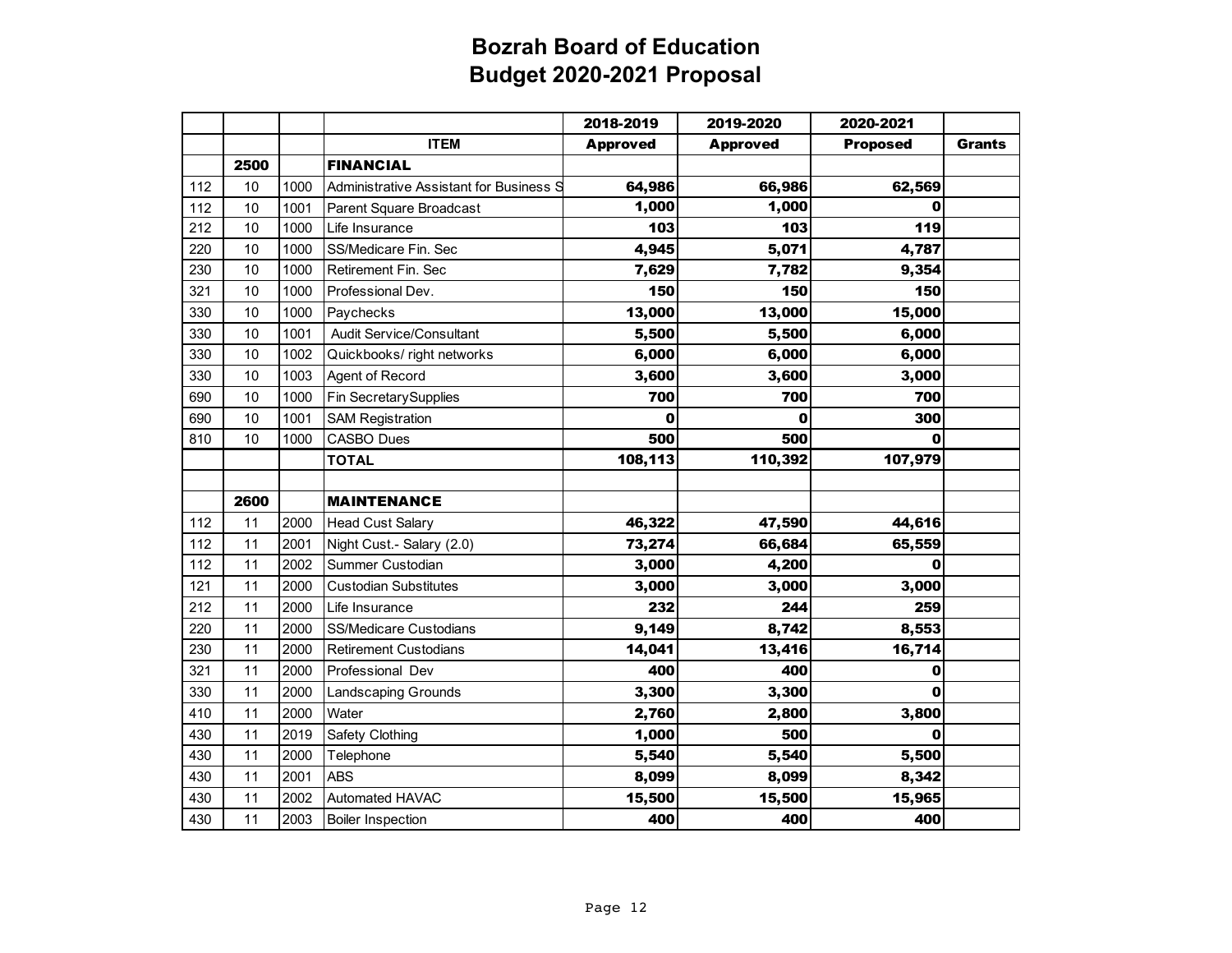|     |      |      |                                         | 2018-2019       | 2019-2020       | 2020-2021       |               |
|-----|------|------|-----------------------------------------|-----------------|-----------------|-----------------|---------------|
|     |      |      | <b>ITEM</b>                             | <b>Approved</b> | <b>Approved</b> | <b>Proposed</b> | <b>Grants</b> |
|     | 2500 |      | <b>FINANCIAL</b>                        |                 |                 |                 |               |
| 112 | 10   | 1000 | Administrative Assistant for Business S | 64,986          | 66,986          | 62,569          |               |
| 112 | 10   | 1001 | Parent Square Broadcast                 | 1,000           | 1,000           | 0               |               |
| 212 | 10   | 1000 | Life Insurance                          | 103             | 103             | 119             |               |
| 220 | 10   | 1000 | SS/Medicare Fin. Sec                    | 4,945           | 5,071           | 4,787           |               |
| 230 | 10   | 1000 | Retirement Fin. Sec                     | 7,629           | 7,782           | 9,354           |               |
| 321 | 10   | 1000 | Professional Dev.                       | 150             | 150             | 150             |               |
| 330 | 10   | 1000 | Paychecks                               | 13,000          | 13,000          | 15,000          |               |
| 330 | 10   | 1001 | <b>Audit Service/Consultant</b>         | 5,500           | 5,500           | 6,000           |               |
| 330 | 10   | 1002 | Quickbooks/ right networks              | 6,000           | 6,000           | 6,000           |               |
| 330 | 10   | 1003 | Agent of Record                         | 3,600           | 3,600           | 3,000           |               |
| 690 | 10   | 1000 | Fin SecretarySupplies                   | 700             | 700             | 700             |               |
| 690 | 10   | 1001 | <b>SAM Registration</b>                 | 0               | 0               | 300             |               |
| 810 | 10   | 1000 | <b>CASBO Dues</b>                       | 500             | 500             | 0               |               |
|     |      |      | <b>TOTAL</b>                            | 108,113         | 110,392         | 107,979         |               |
|     |      |      |                                         |                 |                 |                 |               |
|     | 2600 |      | <b>MAINTENANCE</b>                      |                 |                 |                 |               |
| 112 | 11   | 2000 | <b>Head Cust Salary</b>                 | 46,322          | 47,590          | 44,616          |               |
| 112 | 11   | 2001 | Night Cust.- Salary (2.0)               | 73,274          | 66,684          | 65,559          |               |
| 112 | 11   | 2002 | Summer Custodian                        | 3,000           | 4,200           | 0               |               |
| 121 | 11   | 2000 | <b>Custodian Substitutes</b>            | 3,000           | 3,000           | 3,000           |               |
| 212 | 11   | 2000 | Life Insurance                          | 232             | 244             | 259             |               |
| 220 | 11   | 2000 | <b>SS/Medicare Custodians</b>           | 9,149           | 8,742           | 8,553           |               |
| 230 | 11   | 2000 | <b>Retirement Custodians</b>            | 14,041          | 13,416          | 16,714          |               |
| 321 | 11   | 2000 | Professional Dev                        | 400             | 400             | 0               |               |
| 330 | 11   | 2000 | Landscaping Grounds                     | 3,300           | 3,300           | 0               |               |
| 410 | 11   | 2000 | Water                                   | 2,760           | 2,800           | 3,800           |               |
| 430 | 11   | 2019 | Safety Clothing                         | 1,000           | 500             | $\bf{0}$        |               |
| 430 | 11   | 2000 | Telephone                               | 5,540           | 5,540           | 5,500           |               |
| 430 | 11   | 2001 | <b>ABS</b>                              | 8,099           | 8,099           | 8,342           |               |
| 430 | 11   | 2002 | Automated HAVAC                         | 15,500          | 15,500          | 15,965          |               |
| 430 | 11   | 2003 | <b>Boiler Inspection</b>                | 400             | 400             | 400             |               |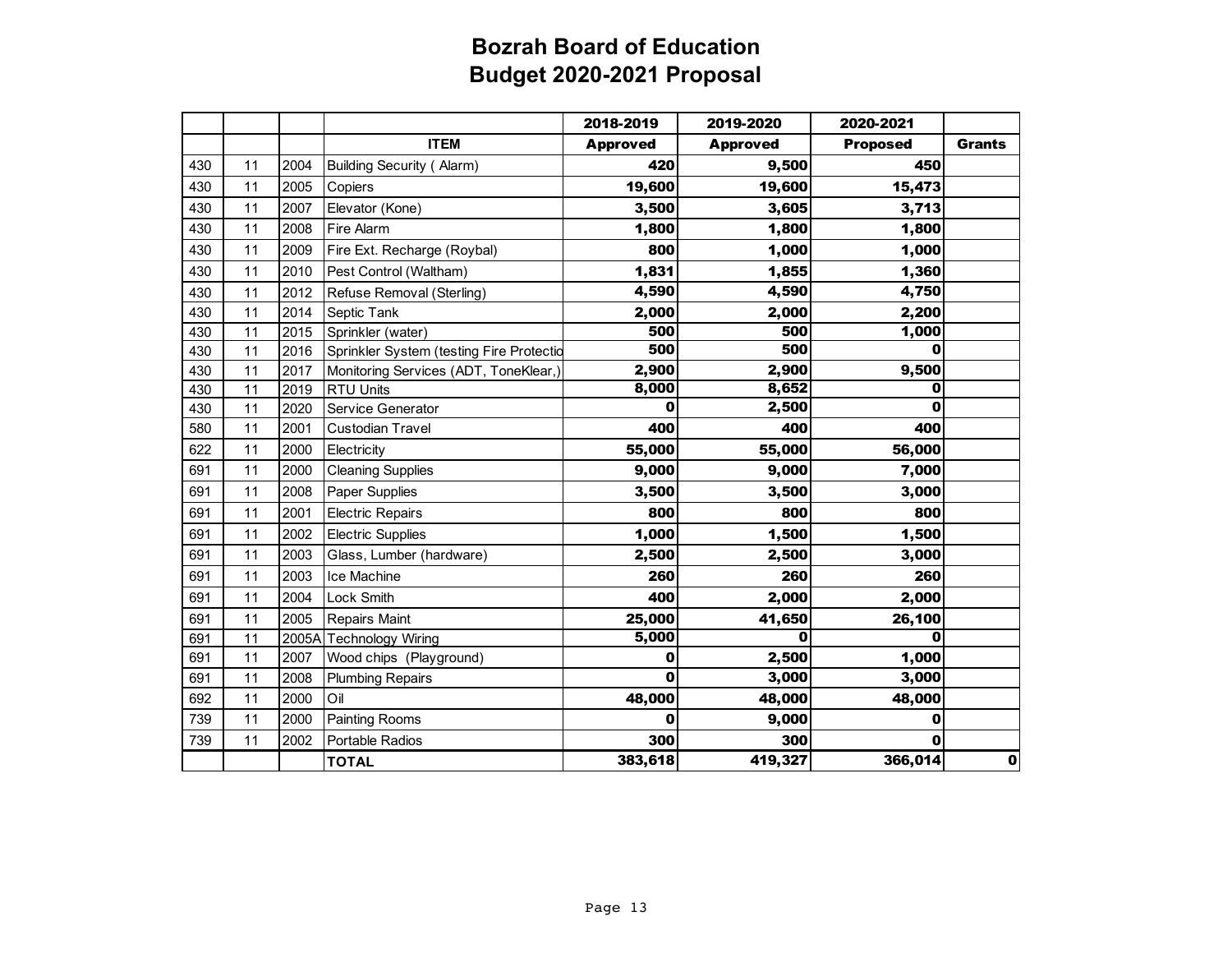|     |    |       |                                          | 2018-2019       | 2019-2020       | 2020-2021       |               |
|-----|----|-------|------------------------------------------|-----------------|-----------------|-----------------|---------------|
|     |    |       | <b>ITEM</b>                              | <b>Approved</b> | <b>Approved</b> | <b>Proposed</b> | <b>Grants</b> |
| 430 | 11 | 2004  | <b>Building Security (Alarm)</b>         | 420             | 9,500           | 450             |               |
| 430 | 11 | 2005  | Copiers                                  | 19,600          | 19,600          | 15,473          |               |
| 430 | 11 | 2007  | Elevator (Kone)                          | 3,500           | 3,605           | 3,713           |               |
| 430 | 11 | 2008  | Fire Alarm                               | 1,800           | 1,800           | 1,800           |               |
| 430 | 11 | 2009  | Fire Ext. Recharge (Roybal)              | 800             | 1,000           | 1,000           |               |
| 430 | 11 | 2010  | Pest Control (Waltham)                   | 1,831           | 1,855           | 1,360           |               |
| 430 | 11 | 2012  | Refuse Removal (Sterling)                | 4,590           | 4,590           | 4,750           |               |
| 430 | 11 | 2014  | Septic Tank                              | 2,000           | 2,000           | 2,200           |               |
| 430 | 11 | 2015  | Sprinkler (water)                        | 500             | 500             | 1,000           |               |
| 430 | 11 | 2016  | Sprinkler System (testing Fire Protectio | 500             | 500             | 0               |               |
| 430 | 11 | 2017  | Monitoring Services (ADT, ToneKlear,)    | 2,900           | 2,900           | 9,500           |               |
| 430 | 11 | 2019  | <b>RTU Units</b>                         | 8,000           | 8,652           | 0               |               |
| 430 | 11 | 2020  | Service Generator                        | O               | 2,500           | 0               |               |
| 580 | 11 | 2001  | Custodian Travel                         | 400             | 400             | 400             |               |
| 622 | 11 | 2000  | Electricity                              | 55,000          | 55,000          | 56,000          |               |
| 691 | 11 | 2000  | <b>Cleaning Supplies</b>                 | 9,000           | 9,000           | 7,000           |               |
| 691 | 11 | 2008  | Paper Supplies                           | 3,500           | 3,500           | 3,000           |               |
| 691 | 11 | 2001  | <b>Electric Repairs</b>                  | 800             | 800             | 800             |               |
| 691 | 11 | 2002  | <b>Electric Supplies</b>                 | 1,000           | 1,500           | 1,500           |               |
| 691 | 11 | 2003  | Glass, Lumber (hardware)                 | 2,500           | 2,500           | 3,000           |               |
| 691 | 11 | 2003  | Ice Machine                              | 260             | 260             | 260             |               |
| 691 | 11 | 2004  | Lock Smith                               | 400             | 2,000           | 2,000           |               |
| 691 | 11 | 2005  | Repairs Maint                            | 25,000          | 41,650          | 26,100          |               |
| 691 | 11 | 2005A | <b>Technology Wiring</b>                 | 5,000           | O               | 0               |               |
| 691 | 11 | 2007  | Wood chips (Playground)                  | 0               | 2,500           | 1,000           |               |
| 691 | 11 | 2008  | <b>Plumbing Repairs</b>                  | $\mathbf 0$     | 3,000           | 3,000           |               |
| 692 | 11 | 2000  | Oil                                      | 48,000          | 48,000          | 48,000          |               |
| 739 | 11 | 2000  | Painting Rooms                           | O               | 9,000           | 0               |               |
| 739 | 11 | 2002  | Portable Radios                          | 300             | 300             | 0               |               |
|     |    |       | <b>TOTAL</b>                             | 383,618         | 419,327         | 366,014         | $\mathbf{0}$  |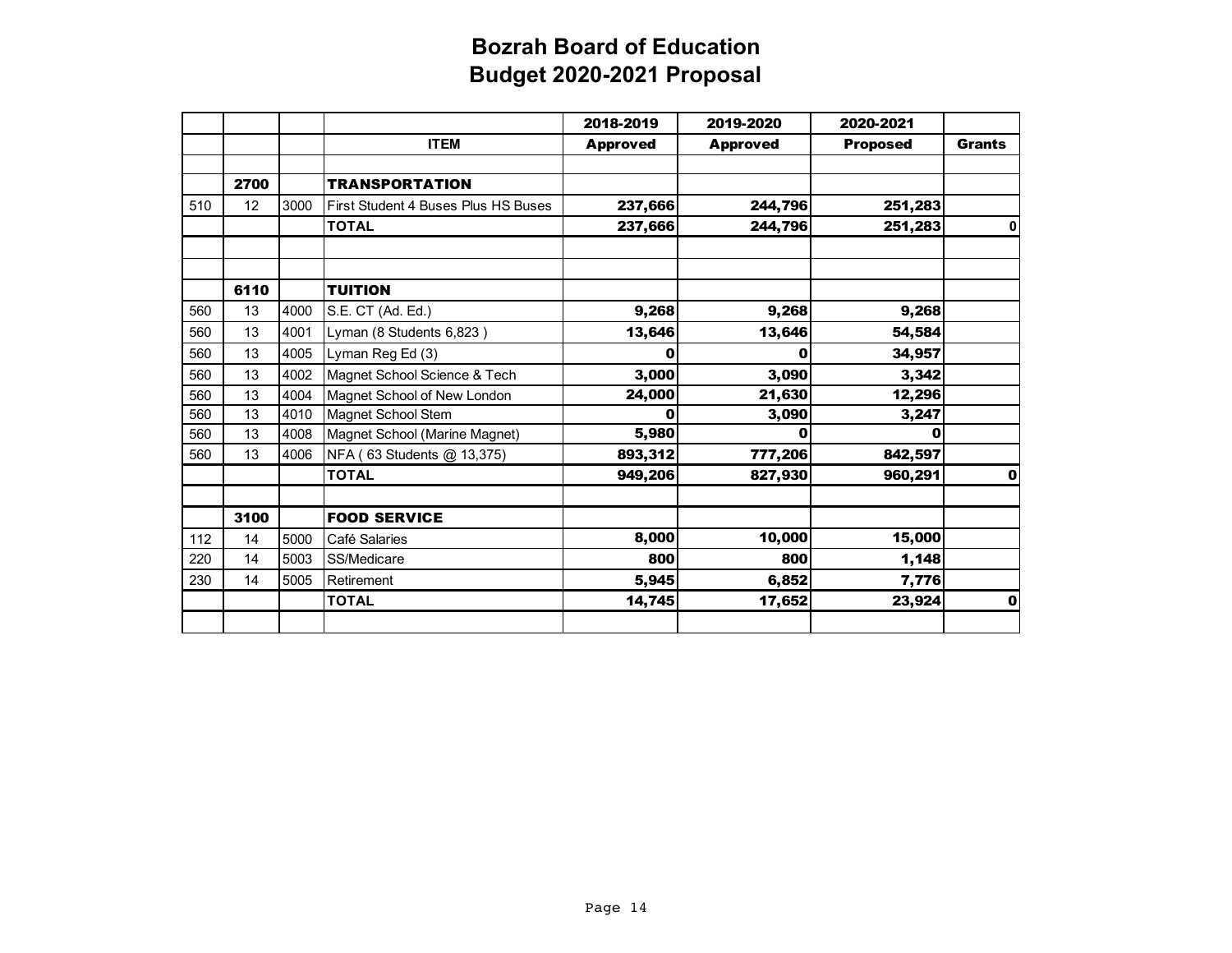|     |      |      |                                     | 2018-2019       | 2019-2020       | 2020-2021       |               |
|-----|------|------|-------------------------------------|-----------------|-----------------|-----------------|---------------|
|     |      |      | <b>ITEM</b>                         | <b>Approved</b> | <b>Approved</b> | <b>Proposed</b> | <b>Grants</b> |
|     |      |      |                                     |                 |                 |                 |               |
|     | 2700 |      | <b>TRANSPORTATION</b>               |                 |                 |                 |               |
| 510 | 12   | 3000 | First Student 4 Buses Plus HS Buses | 237,666         | 244,796         | 251,283         |               |
|     |      |      | <b>TOTAL</b>                        | 237,666         | 244,796         | 251,283         | 0             |
|     |      |      |                                     |                 |                 |                 |               |
|     | 6110 |      | <b>TUITION</b>                      |                 |                 |                 |               |
| 560 | 13   | 4000 | S.E. CT (Ad. Ed.)                   | 9,268           | 9,268           | 9,268           |               |
| 560 | 13   | 4001 | Lyman (8 Students 6,823)            | 13,646          | 13,646          | 54,584          |               |
| 560 | 13   | 4005 | Lyman Reg Ed (3)                    | 0               | 0               | 34,957          |               |
| 560 | 13   | 4002 | Magnet School Science & Tech        | 3,000           | 3,090           | 3,342           |               |
| 560 | 13   | 4004 | Magnet School of New London         | 24,000          | 21,630          | 12,296          |               |
| 560 | 13   | 4010 | Magnet School Stem                  | 0               | 3,090           | 3,247           |               |
| 560 | 13   | 4008 | Magnet School (Marine Magnet)       | 5,980           | 0               | Ω               |               |
| 560 | 13   | 4006 | NFA (63 Students @ 13,375)          | 893,312         | 777,206         | 842,597         |               |
|     |      |      | <b>TOTAL</b>                        | 949,206         | 827,930         | 960,291         | $\mathbf{0}$  |
|     |      |      |                                     |                 |                 |                 |               |
|     | 3100 |      | <b>FOOD SERVICE</b>                 |                 |                 |                 |               |
| 112 | 14   | 5000 | Café Salaries                       | 8,000           | 10,000          | 15,000          |               |
| 220 | 14   | 5003 | SS/Medicare                         | 800             | 800             | 1,148           |               |
| 230 | 14   | 5005 | Retirement                          | 5,945           | 6,852           | 7,776           |               |
|     |      |      | <b>TOTAL</b>                        | 14,745          | 17,652          | 23,924          | 0             |
|     |      |      |                                     |                 |                 |                 |               |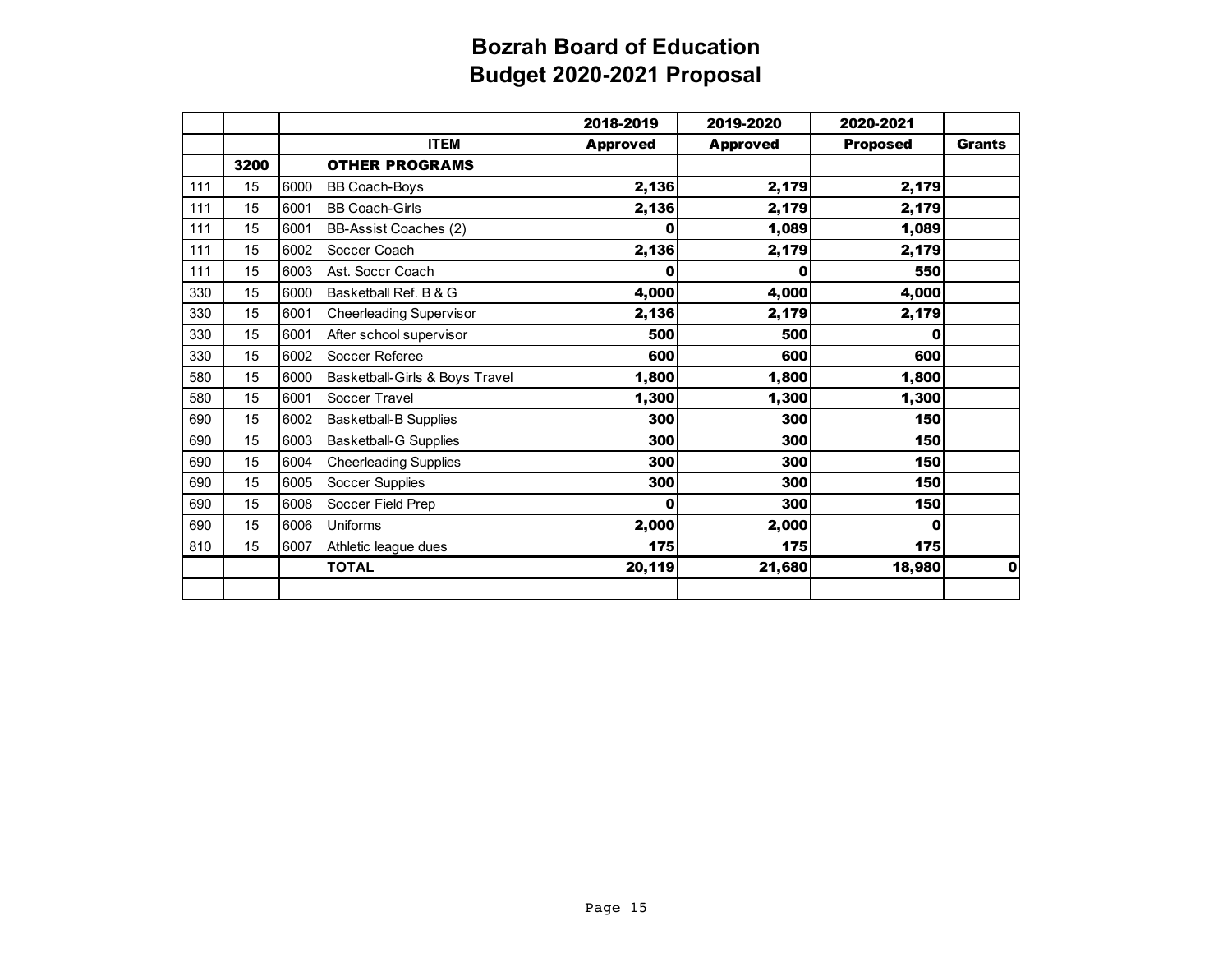|     |      |      |                                | 2018-2019       | 2019-2020       | 2020-2021       |               |
|-----|------|------|--------------------------------|-----------------|-----------------|-----------------|---------------|
|     |      |      | <b>ITEM</b>                    | <b>Approved</b> | <b>Approved</b> | <b>Proposed</b> | <b>Grants</b> |
|     | 3200 |      | <b>OTHER PROGRAMS</b>          |                 |                 |                 |               |
| 111 | 15   | 6000 | <b>BB Coach-Boys</b>           | 2,136           | 2,179           | 2,179           |               |
| 111 | 15   | 6001 | <b>BB Coach-Girls</b>          | 2,136           | 2,179           | 2,179           |               |
| 111 | 15   | 6001 | BB-Assist Coaches (2)          | 0               | 1,089           | 1,089           |               |
| 111 | 15   | 6002 | Soccer Coach                   | 2,136           | 2,179           | 2,179           |               |
| 111 | 15   | 6003 | Ast. Soccr Coach               | 0               | 0               | 550             |               |
| 330 | 15   | 6000 | Basketball Ref. B & G          | 4,000           | 4,000           | 4,000           |               |
| 330 | 15   | 6001 | <b>Cheerleading Supervisor</b> | 2,136           | 2,179           | 2,179           |               |
| 330 | 15   | 6001 | After school supervisor        | 500             | 500             | 0               |               |
| 330 | 15   | 6002 | Soccer Referee                 | 600             | 600             | 600             |               |
| 580 | 15   | 6000 | Basketball-Girls & Boys Travel | 1,800           | 1,800           | 1,800           |               |
| 580 | 15   | 6001 | Soccer Travel                  | 1,300           | 1,300           | 1,300           |               |
| 690 | 15   | 6002 | <b>Basketball-B Supplies</b>   | 300             | 300             | 150             |               |
| 690 | 15   | 6003 | <b>Basketball-G Supplies</b>   | 300             | 300             | 150             |               |
| 690 | 15   | 6004 | <b>Cheerleading Supplies</b>   | 300             | 300             | 150             |               |
| 690 | 15   | 6005 | Soccer Supplies                | 300             | 300             | 150             |               |
| 690 | 15   | 6008 | Soccer Field Prep              | 0               | 300             | 150             |               |
| 690 | 15   | 6006 | <b>Uniforms</b>                | 2,000           | 2,000           | 0               |               |
| 810 | 15   | 6007 | Athletic league dues           | 175             | 175             | 175             |               |
|     |      |      | <b>TOTAL</b>                   | 20,119          | 21,680          | 18,980          | 0             |
|     |      |      |                                |                 |                 |                 |               |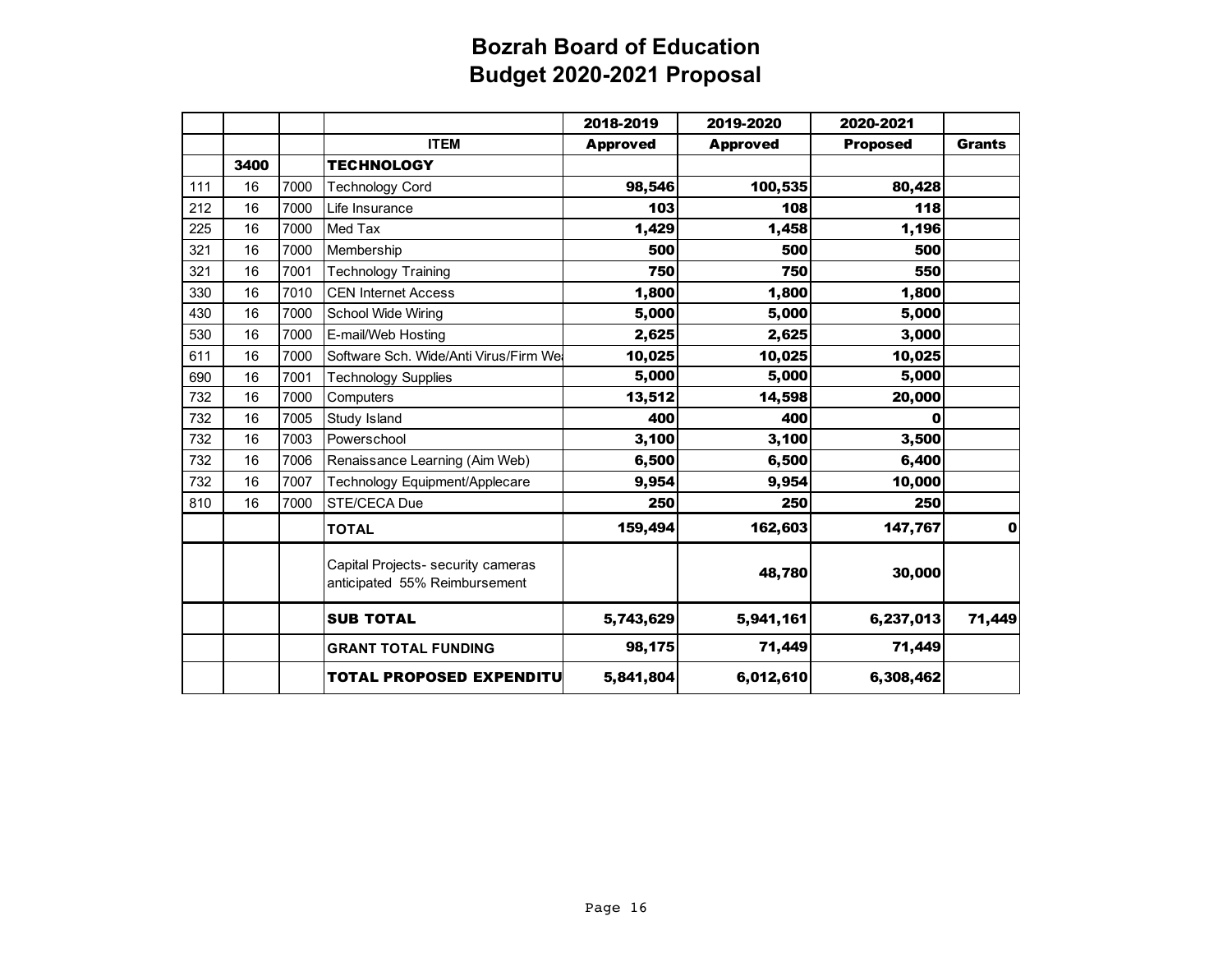|     |      |      |                                                                     | 2018-2019       | 2019-2020       | 2020-2021       |               |
|-----|------|------|---------------------------------------------------------------------|-----------------|-----------------|-----------------|---------------|
|     |      |      | <b>ITEM</b>                                                         | <b>Approved</b> | <b>Approved</b> | <b>Proposed</b> | <b>Grants</b> |
|     | 3400 |      | <b>TECHNOLOGY</b>                                                   |                 |                 |                 |               |
| 111 | 16   | 7000 | <b>Technology Cord</b>                                              | 98,546          | 100,535         | 80,428          |               |
| 212 | 16   | 7000 | Life Insurance                                                      | 103             | 108             | 118             |               |
| 225 | 16   | 7000 | Med Tax                                                             | 1,429           | 1,458           | 1,196           |               |
| 321 | 16   | 7000 | Membership                                                          | 500             | 500             | 500             |               |
| 321 | 16   | 7001 | <b>Technology Training</b>                                          | 750             | 750             | 550             |               |
| 330 | 16   | 7010 | <b>CEN Internet Access</b>                                          | 1,800           | 1,800           | 1,800           |               |
| 430 | 16   | 7000 | <b>School Wide Wiring</b>                                           | 5,000           | 5,000           | 5,000           |               |
| 530 | 16   | 7000 | E-mail/Web Hosting                                                  | 2,625           | 2,625           | 3,000           |               |
| 611 | 16   | 7000 | Software Sch. Wide/Anti Virus/Firm We                               | 10,025          | 10,025          | 10,025          |               |
| 690 | 16   | 7001 | <b>Technology Supplies</b>                                          | 5,000           | 5,000           | 5,000           |               |
| 732 | 16   | 7000 | Computers                                                           | 13,512          | 14,598          | 20,000          |               |
| 732 | 16   | 7005 | Study Island                                                        | 400             | 400             | 0               |               |
| 732 | 16   | 7003 | Powerschool                                                         | 3,100           | 3,100           | 3,500           |               |
| 732 | 16   | 7006 | Renaissance Learning (Aim Web)                                      | 6,500           | 6,500           | 6,400           |               |
| 732 | 16   | 7007 | Technology Equipment/Applecare                                      | 9,954           | 9,954           | 10,000          |               |
| 810 | 16   | 7000 | STE/CECA Due                                                        | 250             | 250             | 250             |               |
|     |      |      | <b>TOTAL</b>                                                        | 159,494         | 162,603         | 147,767         | $\mathbf 0$   |
|     |      |      | Capital Projects- security cameras<br>anticipated 55% Reimbursement |                 | 48,780          | 30,000          |               |
|     |      |      | <b>SUB TOTAL</b>                                                    | 5,743,629       | 5,941,161       | 6,237,013       | 71,449        |
|     |      |      | <b>GRANT TOTAL FUNDING</b>                                          | 98,175          | 71,449          | 71,449          |               |
|     |      |      | <b>TOTAL PROPOSED EXPENDITU</b>                                     | 5,841,804       | 6,012,610       | 6,308,462       |               |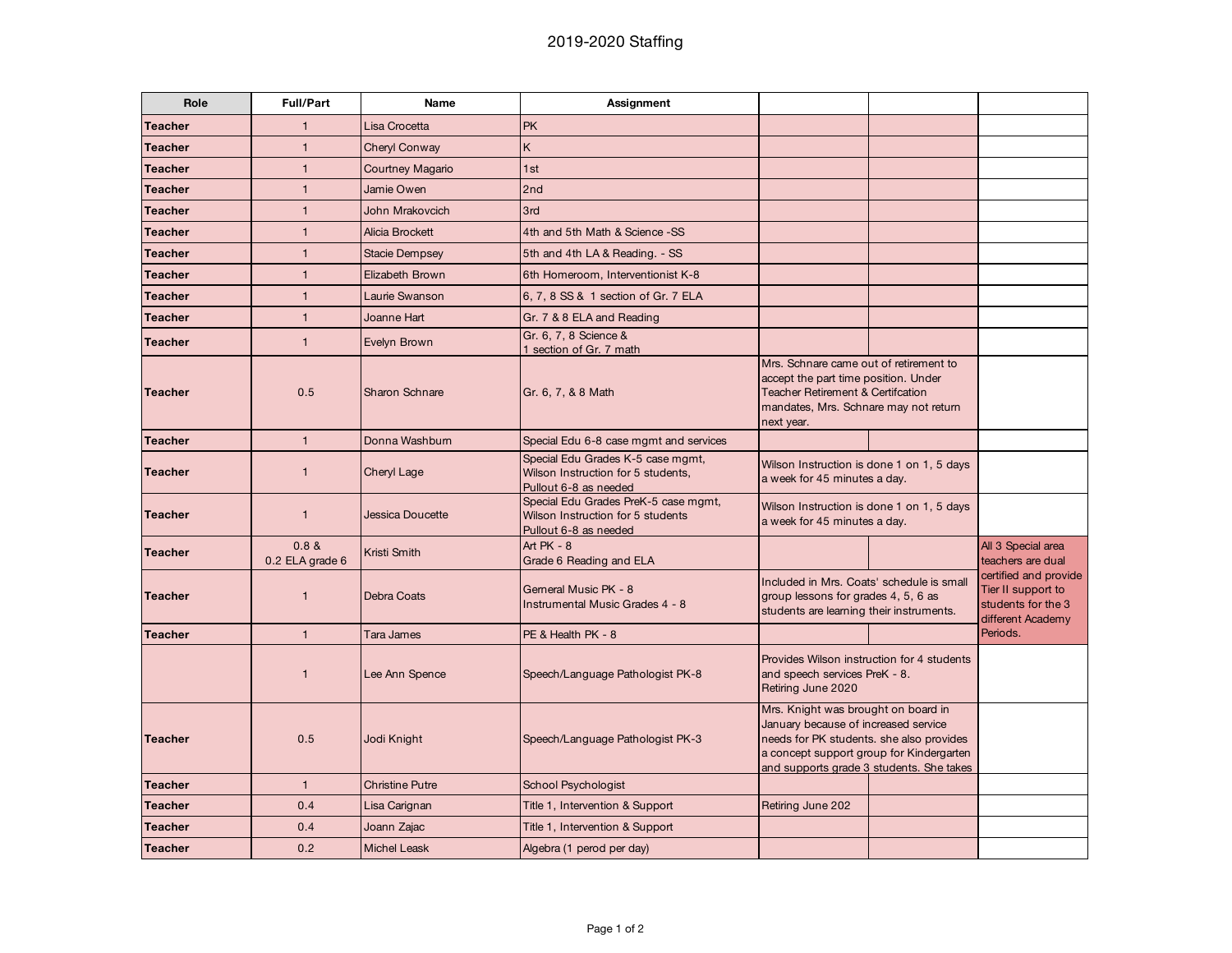| Role           | <b>Full/Part</b>         | <b>Name</b>             | Assignment                                                                                         |                                                                                                                                                                                                                 |  |                                                                                        |
|----------------|--------------------------|-------------------------|----------------------------------------------------------------------------------------------------|-----------------------------------------------------------------------------------------------------------------------------------------------------------------------------------------------------------------|--|----------------------------------------------------------------------------------------|
| <b>Teacher</b> | $\mathbf{1}$             | Lisa Crocetta           | <b>PK</b>                                                                                          |                                                                                                                                                                                                                 |  |                                                                                        |
| <b>Teacher</b> | $\mathbf{1}$             | Cheryl Conway           | K                                                                                                  |                                                                                                                                                                                                                 |  |                                                                                        |
| <b>Teacher</b> | $\mathbf{1}$             | <b>Courtney Magario</b> | 1st                                                                                                |                                                                                                                                                                                                                 |  |                                                                                        |
| <b>Teacher</b> | $\mathbf{1}$             | Jamie Owen              | 2nd                                                                                                |                                                                                                                                                                                                                 |  |                                                                                        |
| <b>Teacher</b> | $\mathbf{1}$             | John Mrakovcich         | 3rd                                                                                                |                                                                                                                                                                                                                 |  |                                                                                        |
| <b>Teacher</b> | $\mathbf{1}$             | Alicia Brockett         | 4th and 5th Math & Science -SS                                                                     |                                                                                                                                                                                                                 |  |                                                                                        |
| <b>Teacher</b> | $\mathbf{1}$             | <b>Stacie Dempsey</b>   | 5th and 4th LA & Reading. - SS                                                                     |                                                                                                                                                                                                                 |  |                                                                                        |
| <b>Teacher</b> | $\mathbf{1}$             | Elizabeth Brown         | 6th Homeroom, Interventionist K-8                                                                  |                                                                                                                                                                                                                 |  |                                                                                        |
| <b>Teacher</b> | $\mathbf{1}$             | Laurie Swanson          | 6, 7, 8 SS & 1 section of Gr. 7 ELA                                                                |                                                                                                                                                                                                                 |  |                                                                                        |
| <b>Teacher</b> | $\mathbf{1}$             | Joanne Hart             | Gr. 7 & 8 ELA and Reading                                                                          |                                                                                                                                                                                                                 |  |                                                                                        |
| <b>Teacher</b> | $\mathbf{1}$             | Evelyn Brown            | Gr. 6, 7, 8 Science &<br>1 section of Gr. 7 math                                                   |                                                                                                                                                                                                                 |  |                                                                                        |
| <b>Teacher</b> | 0.5                      | Sharon Schnare          | Gr. 6, 7, & 8 Math                                                                                 | Mrs. Schnare came out of retirement to<br>accept the part time position. Under<br><b>Teacher Retirement &amp; Certifcation</b><br>mandates, Mrs. Schnare may not return<br>next year.                           |  |                                                                                        |
| <b>Teacher</b> | $\mathbf{1}$             | Donna Washbum           | Special Edu 6-8 case mgmt and services                                                             |                                                                                                                                                                                                                 |  |                                                                                        |
| <b>Teacher</b> | $\mathbf{1}$             | Cheryl Lage             | Special Edu Grades K-5 case mgmt,<br>Wilson Instruction for 5 students,<br>Pullout 6-8 as needed   | Wilson Instruction is done 1 on 1, 5 days<br>a week for 45 minutes a day.                                                                                                                                       |  |                                                                                        |
| <b>Teacher</b> | $\mathbf{1}$             | Jessica Doucette        | Special Edu Grades PreK-5 case mgmt,<br>Wilson Instruction for 5 students<br>Pullout 6-8 as needed | Wilson Instruction is done 1 on 1, 5 days<br>a week for 45 minutes a day.                                                                                                                                       |  |                                                                                        |
| <b>Teacher</b> | 0.8 &<br>0.2 ELA grade 6 | Kristi Smith            | Art PK - 8<br>Grade 6 Reading and ELA                                                              |                                                                                                                                                                                                                 |  | All 3 Special area<br>teachers are dual                                                |
| <b>Teacher</b> | $\mathbf{1}$             | <b>Debra Coats</b>      | Gerneral Music PK - 8<br>Instrumental Music Grades 4 - 8                                           | Included in Mrs. Coats' schedule is small<br>group lessons for grades 4, 5, 6 as<br>students are learning their instruments.                                                                                    |  | certified and provide<br>Tier II support to<br>students for the 3<br>different Academy |
| <b>Teacher</b> | $\mathbf{1}$             | Tara James              | PE & Health PK - 8                                                                                 |                                                                                                                                                                                                                 |  | Periods.                                                                               |
|                | $\mathbf{1}$             | Lee Ann Spence          | Speech/Language Pathologist PK-8                                                                   | Provides Wilson instruction for 4 students<br>and speech services PreK - 8.<br>Retiring June 2020                                                                                                               |  |                                                                                        |
| <b>Teacher</b> | 0.5                      | Jodi Knight             | Speech/Language Pathologist PK-3                                                                   | Mrs. Knight was brought on board in<br>January because of increased service<br>needs for PK students. she also provides<br>a concept support group for Kindergarten<br>and supports grade 3 students. She takes |  |                                                                                        |
| <b>Teacher</b> | $\mathbf{1}$             | <b>Christine Putre</b>  | <b>School Psychologist</b>                                                                         |                                                                                                                                                                                                                 |  |                                                                                        |
| <b>Teacher</b> | 0.4                      | Lisa Carignan           | Title 1, Intervention & Support                                                                    | Retiring June 202                                                                                                                                                                                               |  |                                                                                        |
| <b>Teacher</b> | 0.4                      | Joann Zajac             | Title 1, Intervention & Support                                                                    |                                                                                                                                                                                                                 |  |                                                                                        |
| <b>Teacher</b> | 0.2                      | <b>Michel Leask</b>     | Algebra (1 perod per day)                                                                          |                                                                                                                                                                                                                 |  |                                                                                        |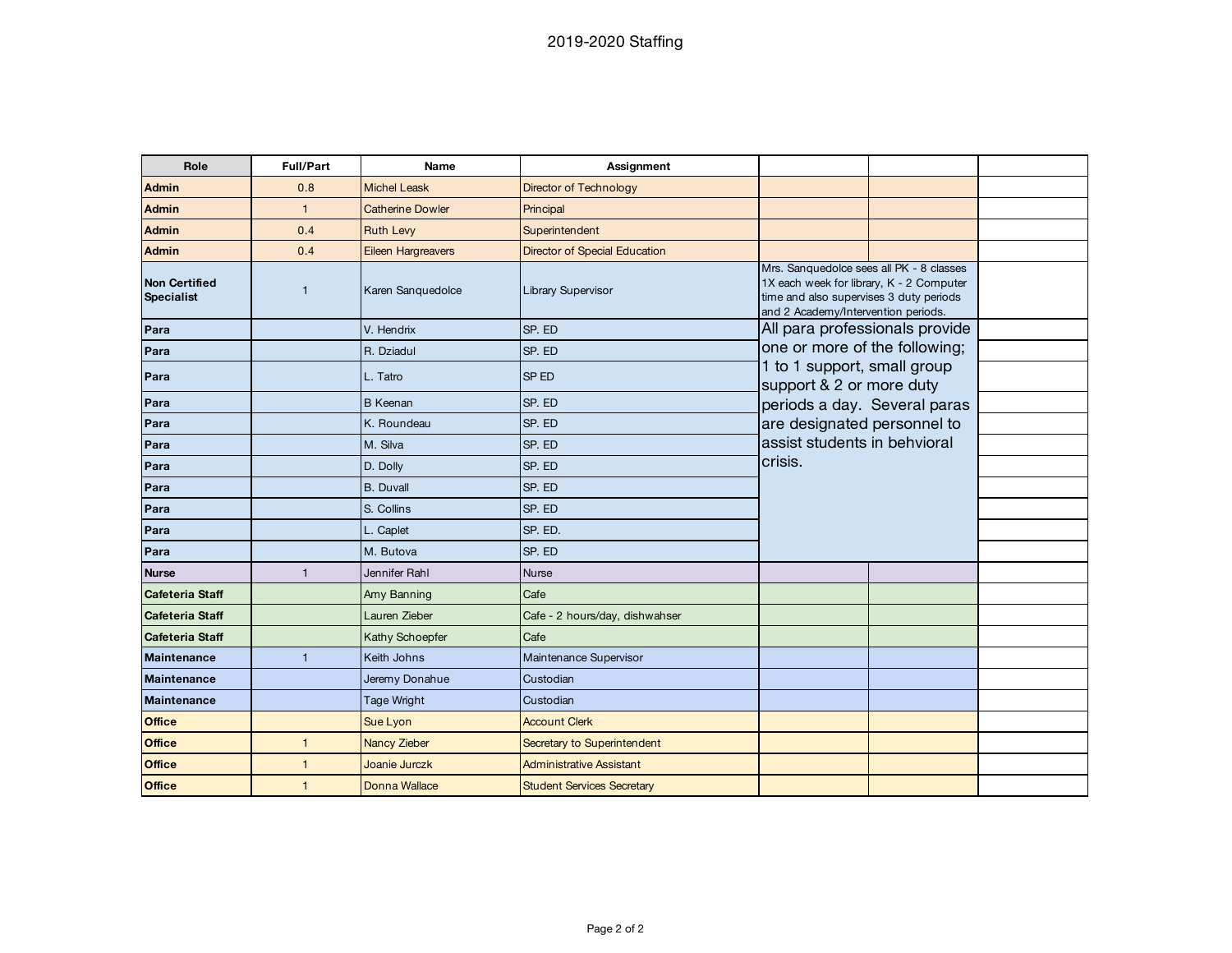| Role                                      | <b>Full/Part</b> | Name                    | Assignment                        |                                                                                                                                                                        |  |  |
|-------------------------------------------|------------------|-------------------------|-----------------------------------|------------------------------------------------------------------------------------------------------------------------------------------------------------------------|--|--|
| <b>Admin</b>                              | 0.8              | <b>Michel Leask</b>     | Director of Technology            |                                                                                                                                                                        |  |  |
| <b>Admin</b>                              | $\mathbf{1}$     | <b>Catherine Dowler</b> | Principal                         |                                                                                                                                                                        |  |  |
| <b>Admin</b>                              | 0.4              | <b>Ruth Levy</b>        | Superintendent                    |                                                                                                                                                                        |  |  |
| <b>Admin</b>                              | 0.4              | Eileen Hargreavers      | Director of Special Education     |                                                                                                                                                                        |  |  |
| <b>Non Certified</b><br><b>Specialist</b> | $\mathbf{1}$     | Karen Sanguedolce       | Library Supervisor                | Mrs. Sanquedolce sees all PK - 8 classes<br>1X each week for library, K - 2 Computer<br>time and also supervises 3 duty periods<br>and 2 Academy/Intervention periods. |  |  |
| Para                                      |                  | V. Hendrix              | SP. ED                            | All para professionals provide                                                                                                                                         |  |  |
| Para                                      |                  | R. Dziadul              | SP. ED                            | one or more of the following;                                                                                                                                          |  |  |
| Para                                      |                  | L. Tatro                | <b>SPED</b>                       | 1 to 1 support, small group<br>support & 2 or more duty                                                                                                                |  |  |
| Para                                      |                  | <b>B</b> Keenan         | SP. ED                            | periods a day. Several paras                                                                                                                                           |  |  |
| Para                                      |                  | K. Roundeau             | SP. ED                            | are designated personnel to                                                                                                                                            |  |  |
| Para                                      |                  | M. Silva                | SP. ED                            | assist students in behvioral                                                                                                                                           |  |  |
| Para                                      |                  | D. Dolly                | SP. ED                            | crisis.                                                                                                                                                                |  |  |
| Para                                      |                  | <b>B.</b> Duvall        | SP. ED                            |                                                                                                                                                                        |  |  |
| Para                                      |                  | S. Collins              | SP. ED                            |                                                                                                                                                                        |  |  |
| Para                                      |                  | L. Caplet               | SP. ED.                           |                                                                                                                                                                        |  |  |
| Para                                      |                  | M. Butova               | SP. ED                            |                                                                                                                                                                        |  |  |
| <b>Nurse</b>                              | $\mathbf{1}$     | Jennifer Rahl           | <b>Nurse</b>                      |                                                                                                                                                                        |  |  |
| <b>Cafeteria Staff</b>                    |                  | Amy Banning             | Cafe                              |                                                                                                                                                                        |  |  |
| <b>Cafeteria Staff</b>                    |                  | Lauren Zieber           | Cafe - 2 hours/day, dishwahser    |                                                                                                                                                                        |  |  |
| <b>Cafeteria Staff</b>                    |                  | Kathy Schoepfer         | Cafe                              |                                                                                                                                                                        |  |  |
| <b>Maintenance</b>                        | $\mathbf{1}$     | Keith Johns             | Maintenance Supervisor            |                                                                                                                                                                        |  |  |
| <b>Maintenance</b>                        |                  | Jeremy Donahue          | Custodian                         |                                                                                                                                                                        |  |  |
| <b>Maintenance</b>                        |                  | Tage Wright             | Custodian                         |                                                                                                                                                                        |  |  |
| <b>Office</b>                             |                  | Sue Lyon                | <b>Account Clerk</b>              |                                                                                                                                                                        |  |  |
| <b>Office</b>                             | $\mathbf{1}$     | Nancy Zieber            | Secretary to Superintendent       |                                                                                                                                                                        |  |  |
| <b>Office</b>                             | $\mathbf{1}$     | Joanie Jurczk           | Administrative Assistant          |                                                                                                                                                                        |  |  |
| <b>Office</b>                             | $\mathbf{1}$     | <b>Donna Wallace</b>    | <b>Student Services Secretary</b> |                                                                                                                                                                        |  |  |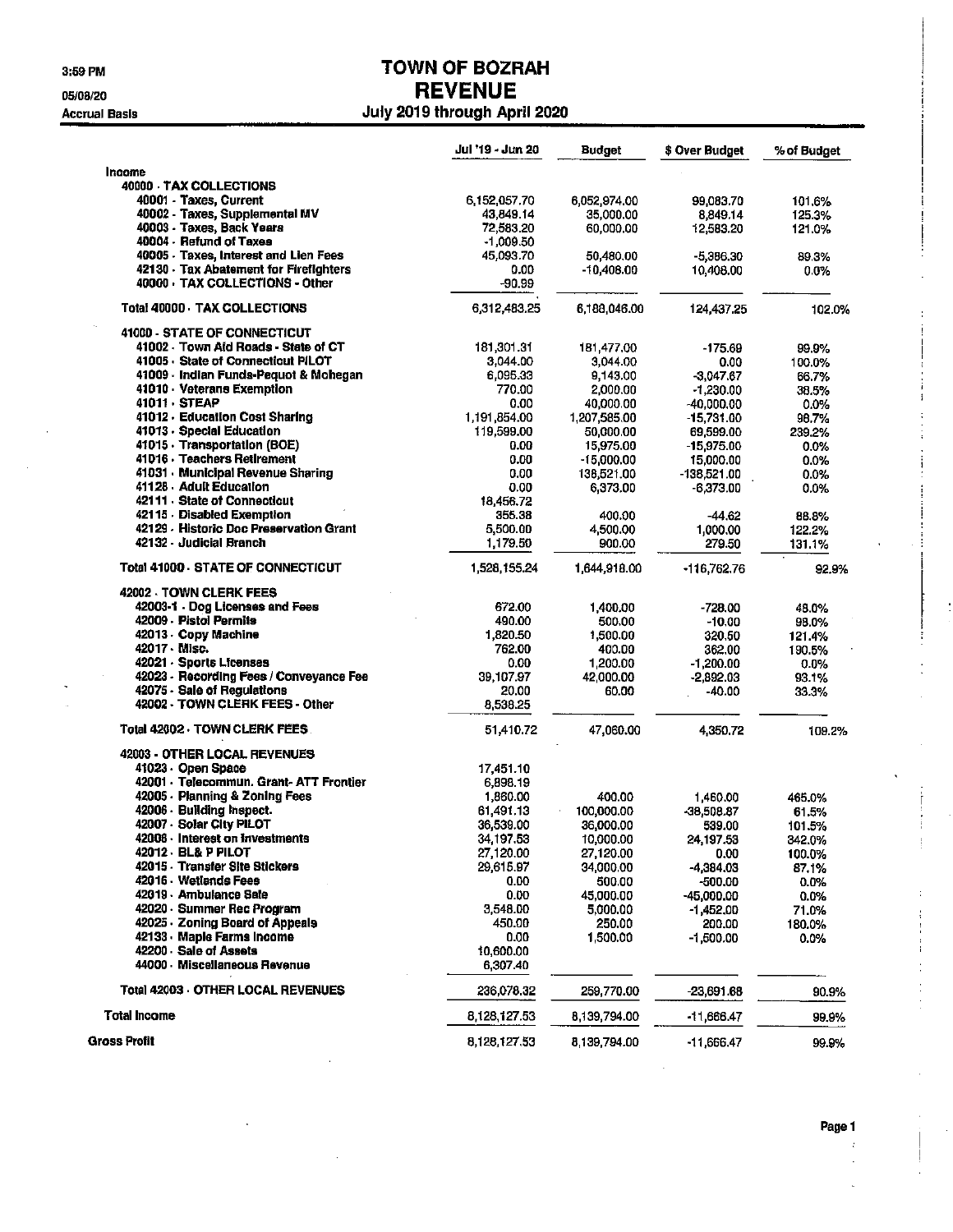3:59 PM

05/08/20

### **Accrual Basis**

### **TOWN OF BOZRAH REVENUE** July 2019 through April 2020

|                                         | Jul '19 - Jun 20 | <b>Budget</b> | \$ Over Budget | % of Budget |
|-----------------------------------------|------------------|---------------|----------------|-------------|
| <b>Income</b>                           |                  |               |                |             |
| 40000 TAX COLLECTIONS                   |                  |               |                |             |
| 40001 Taxes, Current                    | 6,152,057.70     | 6,052,974.00  | 99,083.70      | 101.6%      |
| 40002 Taxes, Supplemental MV            | 43,849.14        | 35,000.00     | 8.849.14       | 125.3%      |
| 40003 - Taxes, Back Years               | 72,583.20        | 60,000.00     | 12,583.20      | 121.0%      |
| 40004 Refund of Taxes                   | $-1,009.50$      |               |                |             |
| 40005 Taxes, Interest and Lien Fees     | 45,093.70        | 50,480.00     | $-5,386,30$    | 89.3%       |
| 42130 Tax Abatement for Firefighters    | 0.00             | -10,408.00    | 10,408.00      | $0.0\%$     |
| 40000 TAX COLLECTIONS - Other           | $-90.99$         |               |                |             |
| <b>Total 40000 TAX COLLECTIONS</b>      | 6,312,483,25     | 6,188,046.00  | 124,437.25     | 102.0%      |
| 41000 - STATE OF CONNECTICUT            |                  |               |                |             |
| 41002 Town Aid Roads - State of CT      | 181,301.31       | 181,477.00    | $-175.69$      | 99.9%       |
| 41005 State of Connecticut PILOT        | 3,044.00         | 3,044.00      | 0.00           | 100.0%      |
| 41009 Indian Funds-Pequot & Mohegan     | 6,095.33         | 9,143.00      | $-3,047.67$    | 66.7%       |
| 41010 Veterans Exemption                | 770.00           | 2,000.00      | $-1.230.00$    | 38.5%       |
| 41011 · STEAP                           | 0.00             | 40,000.00     | $-40.000.00$   | $0.0\%$     |
| 41012 - Education Cost Sharing          | 1,191,854.00     | 1,207,585.00  | $-15,731.00$   | 98.7%       |
| 41013 - Special Education               | 119,599.00       | 50,000.00     | 69,599.00      | 239.2%      |
| 41015 · Transportation (BOE)            | 0.00             | 15,975.00     | $-15.975.00$   | $0.0\%$     |
| 41016 · Teachers Retirement             | 0.00             | -15,000.00    | 15,000.00      | 0.0%        |
| 41031 Municipal Revenue Sharing         | 0.00             | 138,521.00    | -138.521.00    | 0.0%        |
| 41128 Adult Education                   | 0.00             | 6,373.00      | $-6.373.00$    | 0.0%        |
| 42111 State of Connecticut              | 18,456.72        |               |                |             |
| 42115 Disabled Exemption                | 355.38           | 400.00        | $-44.62$       | 88.8%       |
| 42129 - Historic Doc Preservation Grant | 5,500.00         | 4,500.00      | 1,000.00       | 122.2%      |
| 42132 Judicial Branch                   | 1,179.50         | 900.00        | 279.50         | 131.1%      |
| <b>Total 41000 STATE OF CONNECTICUT</b> | 1,528,155.24     | 1,644,918.00  | $-116,762.76$  | 92.9%       |
| 42002 TOWN CLERK FEES                   |                  |               |                |             |
| 42003-1 - Dog Licenses and Fees         | 672.00           | 1,400.00      | $-728.00$      | 48.0%       |
| 42009 - Pistol Permits                  | 490.00           | 500.00        | $-10.00$       | 98.0%       |
| 42013 Copy Machine                      | 1.820.50         | 1,500.00      | 320.50         | 121.4%      |
| 42017 - Misc.                           | 762.00           | 400.00        | 362,00         | 190.5%      |
| 42021 Sports Licenses                   | 0.00             | 1,200.00      | $-1,200.00$    | $0.0\%$     |
| 42023 - Recording Fees / Conveyance Fee | 39,107.97        | 42,000.00     | $-2,892.03$    | 93.1%       |
| 42075 - Sale of Regulations             | 20.00            | 60.00         | $-40.00$       | 33.3%       |
| 42002 - TOWN CLERK FEES - Other         | 8,538.25         |               |                |             |
| Total 42002 · TOWN CLERK FEES .         | 51,410.72        | 47,060.00     | 4,350,72       | 109.2%      |
| 42003 - OTHER LOCAL REVENUES            |                  |               |                |             |
| 41023 - Open Space                      | 17,451.10        |               |                |             |
| 42001 - Telecommun. Grant- ATT Frontier | 6,898.19         |               |                |             |
| 42005 - Planning & Zoning Fees          | 1,860.00         | 400.00        | 1,460.00       | 465.0%      |
| 42006 - Building Inspect.               | 61,491.13        | 100,000.00    | $-38,508.87$   | 61.5%       |
| 42007 - Solar City PILOT                | 36,539.00        | 36,000.00     | 539.00         | 101.5%      |
| 42008 · Interest on investments         | 34,197.53        | 10,000.00     | 24,197.53      | 342.0%      |
| 42012 · BL& P PILOT                     | 27,120.00        | 27,120.00     | 0.00           | 100.0%      |
| 42015 - Transfer Site Stickers          | 29,615.97        | 34,000.00     | -4,384.03      | 87.1%       |
| 42016 - Wetlands Fees                   | 0.00             | 500.00        | -500.00        | 0.0%        |
| 42019 - Ambulance Sale                  | 0.00             | 45,000.00     | -45,000.00     | 0.0%        |
| 42020 - Summer Rec Program              | 3,548.00         | 5,000.00      | -1,452.00      | 71.0%       |
| 42025 - Zoning Board of Appeals         | 450.00           | 250.00        | 200.00         | 180.0%      |
| 42133 · Maple Farms Income              | 0.00             | 1.500.00      | $-1,500.00$    | 0.0%        |
| 42200 Sale of Assets                    | 10,600.00        |               |                |             |
| 44000 Miscellaneous Revenue             | 6,307.40         |               |                |             |
| Total 42003 OTHER LOCAL REVENUES        | 236,078.32       | 259,770.00    | $-23,691.68$   | 90.9%       |
| <b>Total Income</b>                     | 8 128,127.53     | 8,139,794.00  | -11,666.47     | 99,9%       |
| <b>Gross Profit</b>                     | 8 128 127 53     | 8,139,794.00  | -11,666.47     | 99.9%       |

 $\ddot{\phantom{0}}$